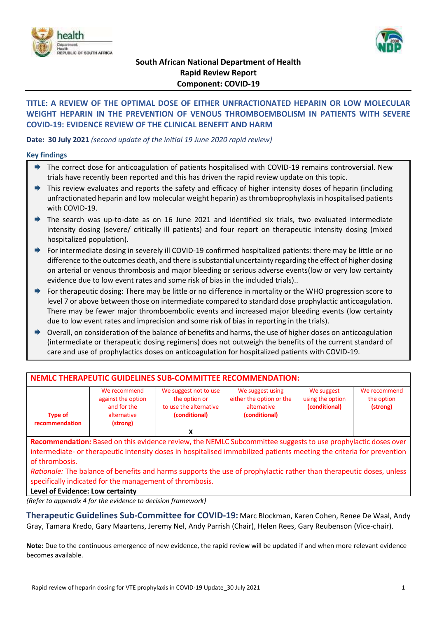



# **South African National Department of Health Rapid Review Report Component: COVID-19**

# **TITLE: A REVIEW OF THE OPTIMAL DOSE OF EITHER UNFRACTIONATED HEPARIN OR LOW MOLECULAR WEIGHT HEPARIN IN THE PREVENTION OF VENOUS THROMBOEMBOLISM IN PATIENTS WITH SEVERE COVID-19: EVIDENCE REVIEW OF THE CLINICAL BENEFIT AND HARM**

### **Date: 30 July 2021** *(second update of the initial 19 June 2020 rapid review)*

#### **Key findings**

- ◆ The correct dose for anticoagulation of patients hospitalised with COVID-19 remains controversial. New trials have recently been reported and this has driven the rapid review update on this topic.
- $\rightarrow$  This review evaluates and reports the safety and efficacy of higher intensity doses of heparin (including unfractionated heparin and low molecular weight heparin) as thromboprophylaxis in hospitalised patients with COVID-19.
- The search was up-to-date as on 16 June 2021 and identified six trials, two evaluated intermediate intensity dosing (severe/ critically ill patients) and four report on therapeutic intensity dosing (mixed hospitalized population).
- ◆ For intermediate dosing in severely ill COVID-19 confirmed hospitalized patients: there may be little or no difference to the outcomes death, and there is substantial uncertainty regarding the effect of higher dosing on arterial or venous thrombosis and major bleeding or serious adverse events(low or very low certainty evidence due to low event rates and some risk of bias in the included trials)..
- For therapeutic dosing: There may be little or no difference in mortality or the WHO progression score to level 7 or above between those on intermediate compared to standard dose prophylactic anticoagulation. There may be fewer major thromboembolic events and increased major bleeding events (low certainty due to low event rates and imprecision and some risk of bias in reporting in the trials).
- Overall, on consideration of the balance of benefits and harms, the use of higher doses on anticoagulation (intermediate or therapeutic dosing regimens) does not outweigh the benefits of the current standard of care and use of prophylactics doses on anticoagulation for hospitalized patients with COVID-19.

| NEMLC THERAPEUTIC GUIDELINES SUB-COMMITTEE RECOMMENDATION: |                                                                              |                                                                                   |                                                                              |                                                 |                                        |  |  |  |
|------------------------------------------------------------|------------------------------------------------------------------------------|-----------------------------------------------------------------------------------|------------------------------------------------------------------------------|-------------------------------------------------|----------------------------------------|--|--|--|
| <b>Type of</b><br>recommendation                           | We recommend<br>against the option<br>and for the<br>alternative<br>(strong) | We suggest not to use<br>the option or<br>to use the alternative<br>(conditional) | We suggest using<br>either the option or the<br>alternative<br>(conditional) | We suggest<br>using the option<br>(conditional) | We recommend<br>the option<br>(strong) |  |  |  |
|                                                            |                                                                              |                                                                                   |                                                                              |                                                 |                                        |  |  |  |

**Recommendation:** Based on this evidence review, the NEMLC Subcommittee suggests to use prophylactic doses over intermediate- or therapeutic intensity doses in hospitalised immobilized patients meeting the criteria for prevention of thrombosis.

*Rationale:* The balance of benefits and harms supports the use of prophylactic rather than therapeutic doses, unless specifically indicated for the management of thrombosis.

#### **Level of Evidence: Low certainty**

*(Refer to appendix 4 for the evidence to decision framework)*

**Therapeutic Guidelines Sub-Committee for COVID-19:** Marc Blockman, Karen Cohen, Renee De Waal, Andy Gray, Tamara Kredo, Gary Maartens, Jeremy Nel, Andy Parrish (Chair), Helen Rees, Gary Reubenson (Vice-chair).

**Note:** Due to the continuous emergence of new evidence, the rapid review will be updated if and when more relevant evidence becomes available.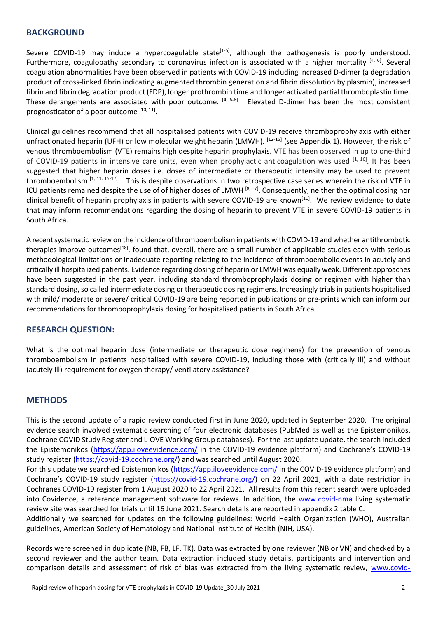## **BACKGROUND**

Severe COVID-19 may induce a hypercoagulable state<sup>[1-5]</sup>, although the pathogenesis is poorly understood. Furthermore, coagulopathy secondary to coronavirus infection is associated with a higher mortality [4, 6]. Several coagulation abnormalities have been observed in patients with COVID-19 including increased D-dimer (a degradation product of cross-linked fibrin indicating augmented thrombin generation and fibrin dissolution by plasmin), increased fibrin and fibrin degradation product (FDP), longer prothrombin time and longer activated partial thromboplastin time. These derangements are associated with poor outcome. <sup>[4, 6-8]</sup> Elevated D-dimer has been the most consistent prognosticator of a poor outcome [10, 11].

Clinical guidelines recommend that all hospitalised patients with COVID-19 receive thromboprophylaxis with either unfractionated heparin (UFH) or low molecular weight heparin (LMWH). <sup>[12-15]</sup> (see Appendix 1). However, the risk of venous thromboembolism (VTE) remains high despite heparin prophylaxis. VTE has been observed in up to one-third of COVID-19 patients in intensive care units, even when prophylactic anticoagulation was used [1, 16]. It has been suggested that higher heparin doses i.e. doses of intermediate or therapeutic intensity may be used to prevent thromboembolism <sup>[1, 11, 15-17]</sup>. This is despite observations in two retrospective case series wherein the risk of VTE in ICU patients remained despite the use of of higher doses of LMWH [8,17]. Consequently, neither the optimal dosing nor clinical benefit of heparin prophylaxis in patients with severe COVID-19 are known<sup>[11]</sup>. We review evidence to date that may inform recommendations regarding the dosing of heparin to prevent VTE in severe COVID-19 patients in South Africa.

A recent systematic review on the incidence of thromboembolism in patients with COVID-19 and whether antithrombotic therapies improve outcomes<sup>[18]</sup>, found that, overall, there are a small number of applicable studies each with serious methodological limitations or inadequate reporting relating to the incidence of thromboembolic events in acutely and critically ill hospitalized patients. Evidence regarding dosing of heparin or LMWH was equally weak. Different approaches have been suggested in the past year, including standard thromboprophylaxis dosing or regimen with higher than standard dosing, so called intermediate dosing or therapeutic dosing regimens. Increasingly trials in patients hospitalised with mild/ moderate or severe/ critical COVID-19 are being reported in publications or pre-prints which can inform our recommendations for thromboprophylaxis dosing for hospitalised patients in South Africa.

## **RESEARCH QUESTION:**

What is the optimal heparin dose (intermediate or therapeutic dose regimens) for the prevention of venous thromboembolism in patients hospitalised with severe COVID-19, including those with (critically ill) and without (acutely ill) requirement for oxygen therapy/ ventilatory assistance?

## **METHODS**

This is the second update of a rapid review conducted first in June 2020, updated in September 2020. The original evidence search involved systematic searching of four electronic databases (PubMed as well as the Epistemonikos, Cochrane COVID Study Register and L-OVE Working Group databases). For the last update update, the search included the Epistemonikos [\(https://app.iloveevidence.com/](https://app.iloveevidence.com/) in the COVID-19 evidence platform) and Cochrane's COVID-19 study register [\(https://covid-19.cochrane.org/\)](https://covid-19.cochrane.org/) and was searched until August 2020.

For this update we searched Epistemonikos [\(https://app.iloveevidence.com/](https://app.iloveevidence.com/) in the COVID-19 evidence platform) and Cochrane's COVID-19 study register [\(https://covid-19.cochrane.org/\)](https://covid-19.cochrane.org/) on 22 April 2021, with a date restriction in Cochranes COVID-19 register from 1 August 2020 to 22 April 2021. All results from this recent search were uploaded into Covidence, a reference management software for reviews. In addition, the [www.covid-nma](http://www.covid-nma/) living systematic review site was searched for trials until 16 June 2021. Search details are reported in appendix 2 table C.

Additionally we searched for updates on the following guidelines: World Health Organization (WHO), Australian guidelines, American Society of Hematology and National Institute of Health (NIH, USA).

Records were screened in duplicate (NB, FB, LF, TK). Data was extracted by one reviewer (NB or VN) and checked by a second reviewer and the author team. Data extraction included study details, participants and intervention and comparison details and assessment of risk of bias was extracted from the living systematic review, [www.covid-](http://www.covid-nma.com/)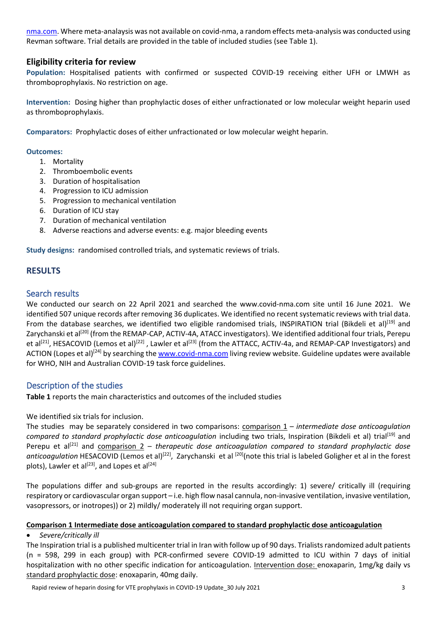[nma.com.](http://www.covid-nma.com/) Where meta-analaysis was not available on covid-nma, a random effects meta-analysis was conducted using Revman software. Trial details are provided in the table of included studies (see Table 1).

# **Eligibility criteria for review**

**Population:** Hospitalised patients with confirmed or suspected COVID‐19 receiving either UFH or LMWH as thromboprophylaxis. No restriction on age.

**Intervention:** Dosing higher than prophylactic doses of either unfractionated or low molecular weight heparin used as thromboprophylaxis.

**Comparators:** Prophylactic doses of either unfractionated or low molecular weight heparin.

#### **Outcomes:**

- 1. Mortality
- 2. Thromboembolic events
- 3. Duration of hospitalisation
- 4. Progression to ICU admission
- 5. Progression to mechanical ventilation
- 6. Duration of ICU stay
- 7. Duration of mechanical ventilation
- 8. Adverse reactions and adverse events: e.g. major bleeding events

**Study designs:** randomised controlled trials, and systematic reviews of trials.

# **RESULTS**

## Search results

We conducted our search on 22 April 2021 and searched the www.covid-nma.com site until 16 June 2021. We identified 507 unique records after removing 36 duplicates. We identified no recent systematic reviews with trial data. From the database searches, we identified two eligible randomised trials, INSPIRATION trial (Bikdeli et al)<sup>[19]</sup> and Zarychanski et al<sup>[20]</sup> (from the REMAP-CAP, ACTIV-4A, ATACC investigators). We identified additional four trials, Perepu et al<sup>[21]</sup>, HESACOVID (Lemos et al)<sup>[22]</sup>, Lawler et al<sup>[23]</sup> (from the ATTACC, ACTIV-4a, and REMAP-CAP Investigators) and ACTION (Lopes et al)<sup>[24]</sup> by searching the [www.covid-nma.com](http://www.covid-nma.com/) living review website. Guideline updates were available for WHO, NIH and Australian COVID-19 task force guidelines.

# Description of the studies

**Table 1** reports the main characteristics and outcomes of the included studies

We identified six trials for inclusion.

The studies may be separately considered in two comparisons: comparison 1 – *intermediate dose anticoagulation compared to standard prophylactic dose anticoagulation* including two trials, Inspiration (Bikdeli et al) trial[19] and Perepu et al<sup>[21]</sup> and comparison 2 – *therapeutic dose anticoagulation compared to standard prophylactic dose* anticoagulation HESACOVID (Lemos et al)<sup>[22]</sup>, Zarychanski et al <sup>[20]</sup>(note this trial is labeled Goligher et al in the forest plots), Lawler et al<sup>[23]</sup>, and Lopes et al<sup>[24]</sup>

The populations differ and sub-groups are reported in the results accordingly: 1) severe/ critically ill (requiring respiratory or cardiovascular organ support – i.e. high flow nasal cannula, non-invasive ventilation, invasive ventilation, vasopressors, or inotropes)) or 2) mildly/ moderately ill not requiring organ support.

#### **Comparison 1 Intermediate dose anticoagulation compared to standard prophylactic dose anticoagulation**

## *Severe/critically ill*

The Inspiration trial is a published multicenter trial in Iran with follow up of 90 days. Trialists randomized adult patients (n = 598, 299 in each group) with PCR-confirmed severe COVID-19 admitted to ICU within 7 days of initial hospitalization with no other specific indication for anticoagulation. Intervention dose: enoxaparin, 1mg/kg daily vs standard prophylactic dose: enoxaparin, 40mg daily.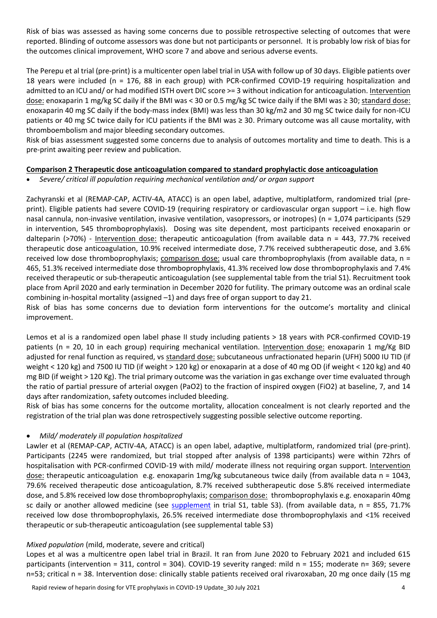Risk of bias was assessed as having some concerns due to possible retrospective selecting of outcomes that were reported. Blinding of outcome assessors was done but not participants or personnel. It is probably low risk of bias for the outcomes clinical improvement, WHO score 7 and above and serious adverse events.

The Perepu et al trial (pre-print) is a multicenter open label trial in USA with follow up of 30 days. Eligible patients over 18 years were included (n = 176, 88 in each group) with PCR-confirmed COVID-19 requiring hospitalization and admitted to an ICU and/ or had modified ISTH overt DIC score >= 3 without indication for anticoagulation. Intervention dose: enoxaparin 1 mg/kg SC daily if the BMI was < 30 or 0.5 mg/kg SC twice daily if the BMI was ≥ 30; standard dose: enoxaparin 40 mg SC daily if the body-mass index (BMI) was less than 30 kg/m2 and 30 mg SC twice daily for non-ICU patients or 40 mg SC twice daily for ICU patients if the BMI was ≥ 30. Primary outcome was all cause mortality, with thromboembolism and major bleeding secondary outcomes.

Risk of bias assessment suggested some concerns due to analysis of outcomes mortality and time to death. This is a pre-print awaiting peer review and publication.

### **Comparison 2 Therapeutic dose anticoagulation compared to standard prophylactic dose anticoagulation**

*Severe/ critical ill population requiring mechanical ventilation and/ or organ support*

Zachyranski et al (REMAP-CAP, ACTIV-4A, ATACC) is an open label, adaptive, multiplatform, randomized trial (preprint). Eligible patients had severe COVID-19 (requiring respiratory or cardiovascular organ support – i.e. high flow nasal cannula, non-invasive ventilation, invasive ventilation, vasopressors, or inotropes) (n = 1,074 participants (529 in intervention, 545 thromboprophylaxis). Dosing was site dependent, most participants received enoxaparin or dalteparin (>70%) - Intervention dose: therapeutic anticoagulation (from available data n = 443, 77.7% received therapeutic dose anticoagulation, 10.9% received intermediate dose, 7.7% received subtherapeutic dose, and 3.6% received low dose thromboprophylaxis; comparison dose: usual care thromboprophylaxis (from available data, n = 465, 51.3% received intermediate dose thromboprophylaxis, 41.3% received low dose thromboprophylaxis and 7.4% received therapeutic or sub-therapeutic anticoagulation (see supplemental table from the trial S1). Recruitment took place from April 2020 and early termination in December 2020 for futility. The primary outcome was an ordinal scale combining in-hospital mortality (assigned –1) and days free of organ support to day 21.

Risk of bias has some concerns due to deviation form interventions for the outcome's mortality and clinical improvement.

Lemos et al is a randomized open label phase II study including patients > 18 years with PCR-confirmed COVID-19 patients (n = 20, 10 in each group) requiring mechanical ventilation. Intervention dose: enoxaparin 1 mg/Kg BID adjusted for renal function as required, vs standard dose: subcutaneous unfractionated heparin (UFH) 5000 IU TID (if weight < 120 kg) and 7500 IU TID (if weight > 120 kg) or enoxaparin at a dose of 40 mg OD (if weight < 120 kg) and 40 mg BID (if weight > 120 Kg). The trial primary outcome was the variation in gas exchange over time evaluated through the ratio of partial pressure of arterial oxygen (PaO2) to the fraction of inspired oxygen (FiO2) at baseline, 7, and 14 days after randomization, safety outcomes included bleeding.

Risk of bias has some concerns for the outcome mortality, allocation concealment is not clearly reported and the registration of the trial plan was done retrospectively suggesting possible selective outcome reporting.

## *Mild/ moderately ill population hospitalized*

Lawler et al (REMAP-CAP, ACTIV-4A, ATACC) is an open label, adaptive, multiplatform, randomized trial (pre-print). Participants (2245 were randomized, but trial stopped after analysis of 1398 participants) were within 72hrs of hospitalisation with PCR-confirmed COVID-19 with mild/ moderate illness not requiring organ support. Intervention dose: therapeutic anticoagulation e.g. enoxaparin 1mg/kg subcutaneous twice daily (from available data n = 1043, 79.6% received therapeutic dose anticoagulation, 8.7% received subtherapeutic dose 5.8% received intermediate dose, and 5.8% received low dose thromboprophylaxis; comparison dose: thromboprophylaxis e.g. enoxaparin 40mg sc daily or another allowed medicine (see [supplement](https://www.medrxiv.org/content/10.1101/2021.05.13.21256846v1.supplementary-material) in trial S1, table S3). (from available data,  $n = 855$ , 71.7% received low dose thromboprophylaxis, 26.5% received intermediate dose thromboprophylaxis and <1% received therapeutic or sub-therapeutic anticoagulation (see supplemental table S3)

#### *Mixed population* (mild, moderate, severe and critical)

Lopes et al was a multicentre open label trial in Brazil. It ran from June 2020 to February 2021 and included 615 participants (intervention = 311, control = 304). COVID-19 severity ranged: mild n = 155; moderate n= 369; severe n=53; critical n = 38. Intervention dose: clinically stable patients received oral rivaroxaban, 20 mg once daily (15 mg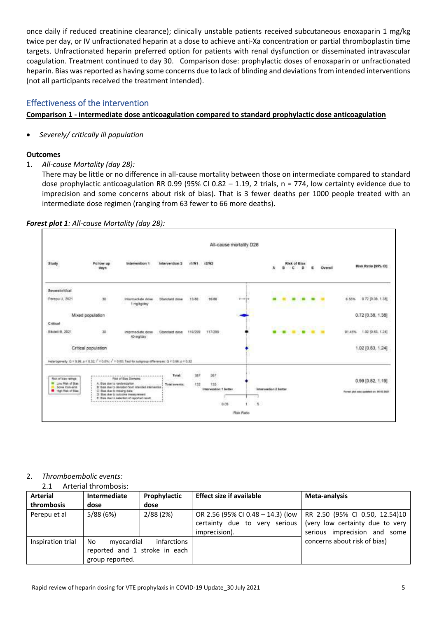once daily if reduced creatinine clearance); clinically unstable patients received subcutaneous enoxaparin 1 mg/kg twice per day, or IV unfractionated heparin at a dose to achieve anti-Xa concentration or partial thromboplastin time targets. Unfractionated heparin preferred option for patients with renal dysfunction or disseminated intravascular coagulation. Treatment continued to day 30. Comparison dose: prophylactic doses of enoxaparin or unfractionated heparin. Bias was reported as having some concerns due to lack of blinding and deviations from intended interventions (not all participants received the treatment intended).

# Effectiveness of the intervention

# **Comparison 1 - intermediate dose anticoagulation compared to standard prophylactic dose anticoagulation**

*Severely/ critically ill population*

## **Outcomes**

1. *All-cause Mortality (day 28):* 

There may be little or no difference in all-cause mortality between those on intermediate compared to standard dose prophylactic anticoagulation RR 0.99 (95% CI 0.82 – 1.19, 2 trials, n = 774, low certainty evidence due to imprecision and some concerns about risk of bias). That is 3 fewer deaths per 1000 people treated with an intermediate dose regimen (ranging from 63 fewer to 66 more deaths).



#### *Forest plot 1: All-cause Mortality (day 28):*

# 2. *Thromboembolic events:*

2.1 Arterial thrombosis:

| Arterial<br>thrombosis | Intermediate<br>dose                                                 | Prophylactic<br>dose | <b>Effect size if available</b>                                                     | Meta-analysis                                                                                     |
|------------------------|----------------------------------------------------------------------|----------------------|-------------------------------------------------------------------------------------|---------------------------------------------------------------------------------------------------|
| Perepu et al           | 5/88 (6%)                                                            | 2/88 (2%)            | OR 2.56 (95% CI 0.48 – 14.3) (low<br>certainty due to very serious<br>imprecision). | RR 2.50 (95% CI 0.50, 12.54)10<br>(very low certainty due to very<br>serious imprecision and some |
| Inspiration trial      | No<br>myocardial<br>reported and 1 stroke in each<br>group reported. | infarctions          |                                                                                     | concerns about risk of bias)                                                                      |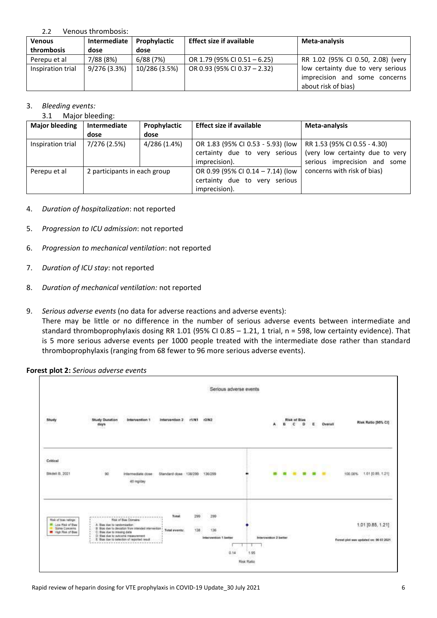#### 2.2 Venous thrombosis:

| <b>Venous</b>     | Intermediate<br>Prophylactic |               | <b>Effect size if available</b> | Meta-analysis                     |
|-------------------|------------------------------|---------------|---------------------------------|-----------------------------------|
| thrombosis        | dose                         | dose          |                                 |                                   |
| Perepu et al      | 7/88 (8%)                    | 6/88 (7%)     | OR 1.79 (95% CI 0.51 - 6.25)    | RR 1.02 (95% CI 0.50, 2.08) (very |
| Inspiration trial | 9/276 (3.3%)                 | 10/286 (3.5%) | OR 0.93 (95% CI 0.37 - 2.32)    | low certainty due to very serious |
|                   |                              |               |                                 | imprecision and some concerns     |
|                   |                              |               |                                 | about risk of bias)               |

### 3. *Bleeding events:*

3.1 Major bleeding:

| <b>Major bleeding</b> | Intermediate<br>Prophylactic |              | <b>Effect size if available</b>   | Meta-analysis                   |
|-----------------------|------------------------------|--------------|-----------------------------------|---------------------------------|
|                       | dose                         | dose         |                                   |                                 |
| Inspiration trial     | 7/276 (2.5%)                 | 4/286 (1.4%) | OR 1.83 (95% CI 0.53 - 5.93) (low | RR 1.53 (95% CI 0.55 - 4.30)    |
|                       |                              |              | certainty due to very serious     | (very low certainty due to very |
|                       |                              |              | imprecision).                     | serious imprecision and<br>some |
| Perepu et al          | 2 participants in each group |              | OR 0.99 (95% CI 0.14 - 7.14) (low | concerns with risk of bias)     |
|                       |                              |              | certainty due to very serious     |                                 |
|                       |                              |              | imprecision).                     |                                 |

- 4. *Duration of hospitalization*: not reported
- 5. *Progression to ICU admission*: not reported
- 6. *Progression to mechanical ventilation*: not reported
- 7. *Duration of ICU stay*: not reported
- 8. *Duration of mechanical ventilation:* not reported
- 9. *Serious adverse events* (no data for adverse reactions and adverse events):

There may be little or no difference in the number of serious adverse events between intermediate and standard thromboprophylaxis dosing RR 1.01 (95% CI 0.85 – 1.21, 1 trial,  $n = 598$ , low certainty evidence). That is 5 more serious adverse events per 1000 people treated with the intermediate dose rather than standard thromboprophylaxis (ranging from 68 fewer to 96 more serious adverse events).

**Forest plot 2:** *Serious adverse events*

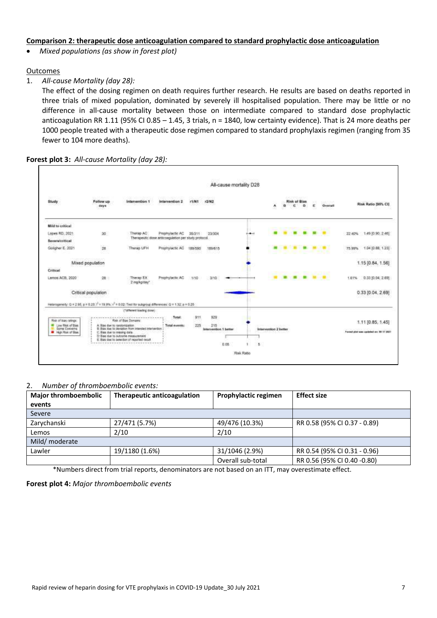### **Comparison 2: therapeutic dose anticoagulation compared to standard prophylactic dose anticoagulation**

*Mixed populations (as show in forest plot)*

#### **Outcomes**

1. *All-cause Mortality (day 28):*

The effect of the dosing regimen on death requires further research. He results are based on deaths reported in three trials of mixed population, dominated by severely ill hospitalised population. There may be little or no difference in all-cause mortality between those on intermediate compared to standard dose prophylactic anticoagulation RR 1.11 (95% CI 0.85 – 1.45, 3 trials,  $n = 1840$ , low certainty evidence). That is 24 more deaths per 1000 people treated with a therapeutic dose regimen compared to standard prophylaxis regimen (ranging from 35 fewer to 104 more deaths).

**Forest plot 3:** *All-cause Mortality (day 28):*



#### 2. *Number of thromboembolic events:*

| <b>Major thromboembolic</b> | <b>Therapeutic anticoagulation</b> | Prophylactic regimen | <b>Effect size</b>           |
|-----------------------------|------------------------------------|----------------------|------------------------------|
| events                      |                                    |                      |                              |
| Severe                      |                                    |                      |                              |
| Zarychanski                 | 27/471 (5.7%)                      | 49/476 (10.3%)       | RR 0.58 (95% CI 0.37 - 0.89) |
| Lemos                       | 2/10                               | 2/10                 |                              |
| Mild/ moderate              |                                    |                      |                              |
| Lawler                      | 19/1180 (1.6%)                     | 31/1046 (2.9%)       | RR 0.54 (95% CI 0.31 - 0.96) |
|                             |                                    | Overall sub-total    | RR 0.56 (95% CI 0.40 -0.80)  |

\*Numbers direct from trial reports, denominators are not based on an ITT, may overestimate effect.

**Forest plot 4:** *Major thromboembolic events*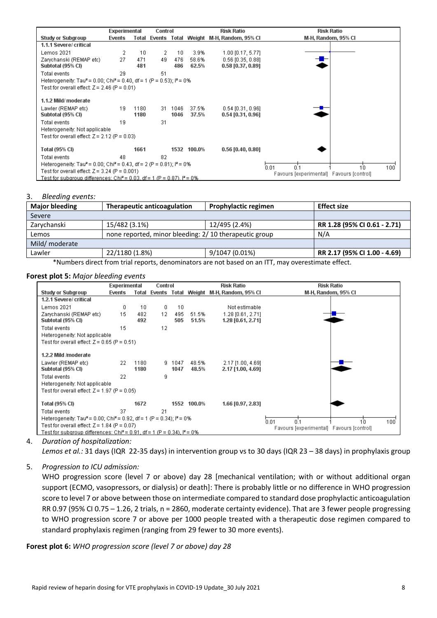|                                                                                               | Experimental |              | Control |              |                | Risk Ratio                                    | <b>Risk Ratio</b>                               |
|-----------------------------------------------------------------------------------------------|--------------|--------------|---------|--------------|----------------|-----------------------------------------------|-------------------------------------------------|
| <b>Study or Subgroup</b>                                                                      | Events       |              |         |              |                | Total Events Total Weight M-H, Random, 95% Cl | M-H, Random, 95% CI                             |
| 1.1.1 Severe/ critical                                                                        |              |              |         |              |                |                                               |                                                 |
| Lemos 2021                                                                                    | 2            | 10           | 2       | 10           | 3.9%           | $1.00$ [0.17, 5.77]                           |                                                 |
| Zarychanski (REMAP etc)<br>Subtotal (95% CI)                                                  | 27           | 471<br>481   | 49      | 476<br>486   | 58.6%<br>62.5% | $0.56$ [0.35, 0.88]<br>$0.58$ [0.37, 0.89]    |                                                 |
| Total events                                                                                  | 29           |              | 51      |              |                |                                               |                                                 |
| Heterogeneity: Tau <sup>2</sup> = 0.00; Chi <sup>2</sup> = 0.40, df = 1 (P = 0.53); $P = 0\%$ |              |              |         |              |                |                                               |                                                 |
| Test for overall effect: $Z = 2.46$ (P = 0.01)                                                |              |              |         |              |                |                                               |                                                 |
| 1.1.2 Mild/moderate                                                                           |              |              |         |              |                |                                               |                                                 |
| Lawler (REMAP etc)<br>Subtotal (95% CI)                                                       | 19           | 1180<br>1180 | 31.     | 1046<br>1046 | 37.5%<br>37.5% | $0.54$ [0.31, 0.96]<br>$0.54$ [0.31, 0.96]    |                                                 |
| Total events<br>Heterogeneity: Not applicable                                                 | 19           |              | 31      |              |                |                                               |                                                 |
| Test for overall effect: $Z = 2.12$ (P = 0.03)                                                |              |              |         |              |                |                                               |                                                 |
| Total (95% CI)                                                                                |              | 1661         |         |              | 1532 100.0%    | $0.56$ [0.40, 0.80]                           |                                                 |
| Total events                                                                                  | 48           |              | 82      |              |                |                                               |                                                 |
| Heterogeneity: Tau <sup>2</sup> = 0.00; Chi <sup>2</sup> = 0.43, df = 2 (P = 0.81); $P = 0\%$ |              |              |         |              |                |                                               | 0.01<br>$100^{\degree}$<br>0 <sup>1</sup><br>1n |
| Test for overall effect: $Z = 3.24$ (P = 0.001)                                               |              |              |         |              |                |                                               | Favours [experimental] Favours [control]        |
| Fest for subaroup differences: Chi? = 0.03, df = 1 (P = 0.87), l? = 0%                        |              |              |         |              |                |                                               |                                                 |

#### 3. *Bleeding events:*

| <b>Major bleeding</b> | <b>Therapeutic anticoagulation</b>                                                                                                                                                                                               | <b>Effect size</b> |                              |  |  |  |  |  |  |
|-----------------------|----------------------------------------------------------------------------------------------------------------------------------------------------------------------------------------------------------------------------------|--------------------|------------------------------|--|--|--|--|--|--|
| Severe                |                                                                                                                                                                                                                                  |                    |                              |  |  |  |  |  |  |
| Zarychanski           | 15/482 (3.1%)                                                                                                                                                                                                                    | 12/495 (2.4%)      | RR 1.28 (95% CI 0.61 - 2.71) |  |  |  |  |  |  |
| Lemos                 | none reported, minor bleeding: 2/10 therapeutic group                                                                                                                                                                            |                    | N/A                          |  |  |  |  |  |  |
| Mild/ moderate        |                                                                                                                                                                                                                                  |                    |                              |  |  |  |  |  |  |
| Lawler                | 22/1180 (1.8%)                                                                                                                                                                                                                   | 9/1047 (0.01%)     | RR 2.17 (95% CI 1.00 - 4.69) |  |  |  |  |  |  |
|                       | $\star$ , the contract of the contract of the contract of the contract of the contract of the contract of the contract of the contract of the contract of the contract of the contract of the contract of the contract of the co |                    |                              |  |  |  |  |  |  |

\*Numbers direct from trial reports, denominators are not based on an ITT, may overestimate effect.

#### **Forest plot 5:** *Major bleeding events*

|                                                                                                 | Experimental |              | Control  |                |                | <b>Risk Ratio</b>                             | <b>Risk Ratio</b>                        |
|-------------------------------------------------------------------------------------------------|--------------|--------------|----------|----------------|----------------|-----------------------------------------------|------------------------------------------|
| Study or Subgroup                                                                               | Events       |              |          |                |                | Total Events Total Weight M-H, Random, 95% Cl | M-H, Random, 95% CI                      |
| 1.2.1 Severe/ critical                                                                          |              |              |          |                |                |                                               |                                          |
| Lemos 2021                                                                                      | 0            | 10           | $\Omega$ | 10             |                | Not estimable                                 |                                          |
| Zarvchanski (REMAP etc).<br>Subtotal (95% CI)                                                   | 15           | 482<br>492   | 12       | 495<br>505     | 51.5%<br>51.5% | 1.28 [0.61, 2.71]<br>1.28 [0.61, 2.71]        |                                          |
| Total events<br>Heterogeneity: Not applicable<br>Test for overall effect: $Z = 0.65$ (P = 0.51) | 15           |              | 12       |                |                |                                               |                                          |
| 1.2.2 Mild /moderate                                                                            |              |              |          |                |                |                                               |                                          |
| Lawler (REMAP etc)<br>Subtotal (95% CI)                                                         | 22           | 1180<br>1180 |          | 9 1047<br>1047 | 48.5%<br>48.5% | 2.17 [1.00, 4.69]<br>2.17 [1.00, 4.69]        |                                          |
| Total events<br>Heterogeneity: Not applicable                                                   | 22           |              | я        |                |                |                                               |                                          |
| Test for overall effect: $Z = 1.97$ (P = 0.05)                                                  |              |              |          |                |                |                                               |                                          |
| Total (95% CI)                                                                                  |              | 1672         |          |                | 1552 100.0%    | 1.66 [0.97, 2.83]                             |                                          |
| Total events                                                                                    | 37           |              | 21       |                |                |                                               |                                          |
| Heterogeneity: Tau <sup>2</sup> = 0.00; Chi <sup>2</sup> = 0.92, df = 1 (P = 0.34); $P = 0\%$   |              |              |          |                |                |                                               | 0.1<br>100<br>0.01<br>1n                 |
| Test for overall effect: $Z = 1.84$ (P = 0.07)                                                  |              |              |          |                |                |                                               | Favours [experimental] Favours [control] |
| Test for subgroup differences: Chi <sup>2</sup> = 0.91, df = 1 (P = 0.34), $P = 0\%$            |              |              |          |                |                |                                               |                                          |

#### 4. *Duration of hospitalization:*

*Lemos et al.:* 31 days (IQR 22-35 days) in intervention group vs to 30 days (IQR 23 – 38 days) in prophylaxis group

5. *Progression to ICU admission:*

WHO progression score (level 7 or above) day 28 [mechanical ventilation; with or without additional organ support (ECMO, vasopressors, or dialysis) or death]: There is probably little or no difference in WHO progression score to level 7 or above between those on intermediate compared to standard dose prophylactic anticoagulation RR 0.97 (95% CI 0.75 – 1.26, 2 trials, n = 2860, moderate certainty evidence). That are 3 fewer people progressing to WHO progression score 7 or above per 1000 people treated with a therapeutic dose regimen compared to standard prophylaxis regimen (ranging from 29 fewer to 30 more events).

**Forest plot 6:** *WHO progression score (level 7 or above) day 28*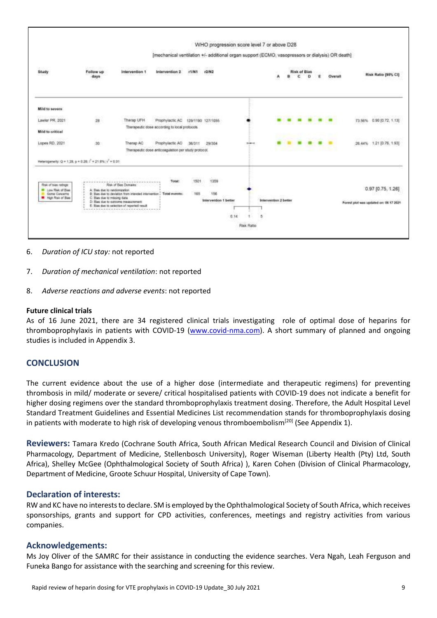|                                                                                                                                       |                                 |                                                                                                                                          |                                                                                                 |             | WHO progression score level 7 or above D28 |               |                            |  |                          |   |   |         |                                             |
|---------------------------------------------------------------------------------------------------------------------------------------|---------------------------------|------------------------------------------------------------------------------------------------------------------------------------------|-------------------------------------------------------------------------------------------------|-------------|--------------------------------------------|---------------|----------------------------|--|--------------------------|---|---|---------|---------------------------------------------|
|                                                                                                                                       |                                 |                                                                                                                                          | [mechanical ventilation +/- additional organ support (ECMO, vasopressors or dialysis) OR death] |             |                                            |               |                            |  |                          |   |   |         |                                             |
| 2017<br>Study                                                                                                                         | 22년 분구 10년<br>Follow up<br>days | 19990093199415<br>Intervention 1                                                                                                         | <b>Miller</b><br>Intervention 2                                                                 | r1/N1       | 0-92<br>r2/N2                              |               |                            |  | <b>Risk of Bias</b><br>ć | o | E | Overall | Risk Ratio (95% CI)                         |
| Mild to severe                                                                                                                        |                                 |                                                                                                                                          |                                                                                                 |             |                                            |               |                            |  |                          |   |   |         |                                             |
| 15455555565555555<br>Lawler PR. 2021                                                                                                  | 28                              | Therap UFH                                                                                                                               | Prophylactic AC<br>Therapeutic dose according to local protocols.                               |             | 129/1190 127/1055                          |               |                            |  |                          |   |   |         | ASAN ACTIVITIES<br>73.56% 0.90 (0.72, 1.13) |
| <b>Mild to critical</b>                                                                                                               |                                 |                                                                                                                                          |                                                                                                 |             |                                            |               |                            |  |                          |   |   |         |                                             |
| Lopes RD, 2021                                                                                                                        | 30 <sup>°</sup>                 | Therap AC                                                                                                                                | Prophylactic AC<br>Therapeutic dose anticoagulation per study protocol.                         | 36/311      | 29/304                                     | <b>Scheme</b> |                            |  |                          |   |   |         | 26.44% 1.21 (0.76, 1.93)                    |
| Meterogeneity: Q = 1.28, p = 0.26; $t^2$ = 21.8%; $t^2$ = 0.01<br>Risk of bies ratings:<br><b>B</b> Low Risk of Blaz<br>Sene Concerns | A. Basi due to randomization    | ******************************<br>Risk of Rias Domains<br>B: Bus due to deviation from intended intervention . Total events:             | Dealer over the Chicago Caller<br>Total<br>7.1111                                               | 1501<br>165 | 1359<br>m<br>156                           |               |                            |  |                          |   |   |         | 0.97 [0.75, 1.26]                           |
| <b>B</b> High Risk of Bas                                                                                                             | C. Bias due to missing data     | D: Bias due to outcome measurement<br>E. Bies due to selection of reported result.<br>우리 가는 돈 잘 먹었다. 그만 없는 것 같아요. 그만 좋은 것 같아요. 그만 좋은 것 같 |                                                                                                 |             | <b>Intervention 1 better</b>               | 0.14          | intervention 2 better<br>5 |  |                          |   |   |         | Forest plot was speaked on: 06 17 2021      |

- 6. *Duration of ICU stay:* not reported
- 7. *Duration of mechanical ventilation*: not reported
- 8. *Adverse reactions and adverse events*: not reported

#### **Future clinical trials**

As of 16 June 2021, there are 34 registered clinical trials investigating role of optimal dose of heparins for thromboprophylaxis in patients with COVID-19 [\(www.covid-nma.com\)](http://www.covid-nma.com/). A short summary of planned and ongoing studies is included in Appendix 3.

## **CONCLUSION**

The current evidence about the use of a higher dose (intermediate and therapeutic regimens) for preventing thrombosis in mild/ moderate or severe/ critical hospitalised patients with COVID-19 does not indicate a benefit for higher dosing regimens over the standard thromboprophylaxis treatment dosing. Therefore, the Adult Hospital Level Standard Treatment Guidelines and Essential Medicines List recommendation stands for thromboprophylaxis dosing in patients with moderate to high risk of developing venous thromboembolism<sup>[20]</sup> (See Appendix 1).

**Reviewers:** Tamara Kredo (Cochrane South Africa, South African Medical Research Council and Division of Clinical Pharmacology, Department of Medicine, Stellenbosch University), Roger Wiseman (Liberty Health (Pty) Ltd, South Africa), Shelley McGee (Ophthalmological Society of South Africa) ), Karen Cohen (Division of Clinical Pharmacology, Department of Medicine, Groote Schuur Hospital, University of Cape Town).

#### **Declaration of interests:**

RW and KC have no interests to declare. SM is employed by the Ophthalmological Society of South Africa, which receives sponsorships, grants and support for CPD activities, conferences, meetings and registry activities from various companies.

#### **Acknowledgements:**

Ms Joy Oliver of the SAMRC for their assistance in conducting the evidence searches. Vera Ngah, Leah Ferguson and Funeka Bango for assistance with the searching and screening for this review.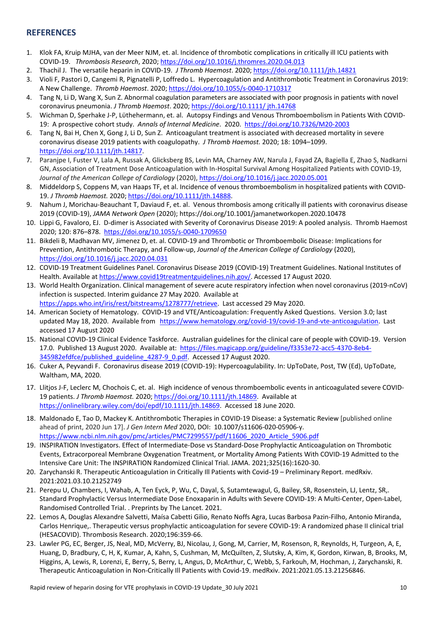# **REFERENCES**

- 1. Klok FA, Kruip MJHA, van der Meer NJM, et. al. Incidence of thrombotic complications in critically ill ICU patients with COVID-19. *Thrombosis Research*, 2020; https://doi.org/10.1016/j.thromres.2020.04.013
- 2. Thachil J. The versatile heparin in COVID-19. *J Thromb Haemost*. 2020; <https://doi.org/10.1111/jth.14821>
- 3. Violi F, Pastori D, Cangemi R, Pignatelli P, Loffredo L. Hypercoagulation and Antithrombotic Treatment in Coronavirus 2019: A New Challenge. *Thromb Haemost*. 2020;<https://doi.org/10.1055/s-0040-1710317>
- 4. Tang N, Li D, Wang X, Sun Z. Abnormal coagulation parameters are associated with poor prognosis in patients with novel coronavirus pneumonia. *J Thromb Haemost*. 2020; https://doi.org/10.1111/ jth.14768
- 5. Wichman D, Sperhake J-P, Lϋthehermann, et. al. Autopsy Findings and Venous Thromboembolism in Patients With COVID-19: A prospective cohort study. *Annals of Internal Medicine*. 2020.<https://doi.org/10.7326/M20-2003>
- 6. Tang N, Bai H, Chen X, Gong J, Li D, Sun Z. Anticoagulant treatment is associated with decreased mortality in severe coronavirus disease 2019 patients with coagulopathy. *J Thromb Haemost.* 2020; 18: 1094–1099. [https://doi.org/10.1111/jth.14817.](https://doi.org/10.1111/jth.14817)
- 7. Paranjpe I, Fuster V, Lala A, Russak A, Glicksberg BS, Levin MA, Charney AW, Narula J, Fayad ZA, Bagiella E, Zhao S, Nadkarni GN, Association of Treatment Dose Anticoagulation with In-Hospital Survival Among Hospitalized Patients with COVID-19, *Journal of the American College of Cardiology* (2020)[, https://doi.org/10.1016/j.jacc.2020.05.001](https://doi.org/10.1016/j.jacc.2020.05.001)
- 8. Middeldorp S, Coppens M, van Haaps TF, et al. Incidence of venous thromboembolism in hospitalized patients with COVID-19. *J Thromb Haemost.* 2020; https://doi.org/10.1111/jth.14888.
- 9. Nahum J, Morichau-Beauchant T, Daviaud F, et. al. Venous thrombosis among critically ill patients with coronavirus disease 2019 (COVID-19), *JAMA Network Open* (2020)[; https://doi.org/1](https://doi.org/)0.1001/jamanetworkopen.2020.10478
- 10. Lippi G, Favaloro, EJ. D-dimer is Associated with Severity of Coronavirus Disease 2019: A pooled analysis. Thromb Haemost 2020; 120: 876–878. <https://doi.org/10.1055/s-0040-1709650>
- 11. Bikdeli B, Madhavan MV, Jimenez D, et. al. COVID-19 and Thrombotic or Thromboembolic Disease: Implications for Prevention, Antithrombotic Therapy, and Follow-up, *Journal of the American College of Cardiology* (2020), https://doi.org/10.1016/j.jacc.2020.04.031
- 12. COVID-19 Treatment Guidelines Panel. Coronavirus Disease 2019 (COVID-19) Treatment Guidelines. National Institutes of Health. Available at [https://www.covid19treatmentguidelines.nih.gov/.](https://www.covid19treatmentguidelines.nih.gov/) Accessed 17 August 2020.
- 13. World Health Organization. Clinical management of severe acute respiratory infection when novel coronavirus (2019-nCoV) infection is suspected. Interim guidance 27 May 2020. Available at [https://apps.who.int/iris/rest/bitstreams/1278777/retrieve.](https://protect-za.mimecast.com/s/6ozFCAnXPYuEynj3IYXtCI) Last accessed 29 May 2020.
- 14. American Society of Hematology. COVID-19 and VTE/Anticoagulation: Frequently Asked Questions. Version 3.0; last updated May 18, 2020. Available from [https://www.hematology.org/covid-19/covid-19-and-vte-anticoagulation.](https://www.hematology.org/covid-19/covid-19-and-vte-anticoagulation) Last accessed 17 August 2020
- 15. National COVID-19 Clinical Evidence Taskforce. Australian guidelines for the clinical care of people with COVID-19. Version 17.0. Published 13 August 2020. Available at: [https://files.magicapp.org/guideline/f3353e72-acc5-4370-8eb4-](https://files.magicapp.org/guideline/f3353e72-acc5-4370-8eb4-345982efdfce/published_guideline_4287-9_0.pdf) [345982efdfce/published\\_guideline\\_4287-9\\_0.pdf.](https://files.magicapp.org/guideline/f3353e72-acc5-4370-8eb4-345982efdfce/published_guideline_4287-9_0.pdf) Accessed 17 August 2020.
- 16. Cuker A, Peyvandi F. Coronavirus disease 2019 (COVID-19): Hypercoagulability. In: UpToDate, Post, TW (Ed), UpToDate, Waltham, MA, 2020.
- 17. [Llitjos](https://onlinelibrary.wiley.com/action/doSearch?ContribAuthorStored=Llitjos%2C+Jean-Fran%C3%A7ois) J-F[, Leclerc](https://onlinelibrary.wiley.com/action/doSearch?ContribAuthorStored=Leclerc%2C+Maxime) M[, Chochois](https://onlinelibrary.wiley.com/action/doSearch?ContribAuthorStored=Chochois%2C+Camille) C, et. al. High incidence of venous thromboembolic events in anticoagulated severe COVID‐ 19 patients. *J Thromb Haemost.* 2020; [https://doi.org/10.1111/jth.14869.](https://doi.org/10.1111/jth.14869) Available at [https://onlinelibrary.wiley.com/doi/epdf/10.1111/jth.14869.](https://onlinelibrary.wiley.com/doi/epdf/10.1111/jth.14869) Accessed 18 June 2020.
- 18. Maldonado E, Tao D, Mackey K. Antithrombotic Therapies in COVID-19 Disease: a Systematic Review [published online ahead of print, 2020 Jun 17]. *J Gen Intern Med* 2020, DOI: 10.1007/s11606-020-05906-y. [https://www.ncbi.nlm.nih.gov/pmc/articles/PMC7299557/pdf/11606\\_2020\\_Article\\_5906.pdf](https://www.ncbi.nlm.nih.gov/pmc/articles/PMC7299557/pdf/11606_2020_Article_5906.pdf)
- 19. INSPIRATION Investigators. Effect of Intermediate-Dose vs Standard-Dose Prophylactic Anticoagulation on Thrombotic Events, Extracorporeal Membrane Oxygenation Treatment, or Mortality Among Patients With COVID-19 Admitted to the Intensive Care Unit: The INSPIRATION Randomized Clinical Trial. JAMA. 2021;325(16):1620-30.
- 20. Zarychanski R. Therapeutic Anticoagulation in Critically Ill Patients with Covid-19 Preliminary Report. medRxiv. 2021:2021.03.10.21252749
- 21. Perepu U, Chambers, I, Wahab, A, Ten Eyck, P, Wu, C, Dayal, S, Sutamtewagul, G, Bailey, SR, Rosenstein, LJ, Lentz, SR,. Standard Prophylactic Versus Intermediate Dose Enoxaparin in Adults with Severe COVID-19: A Multi-Center, Open-Label, Randomised Controlled Trial. . Preprints by The Lancet. 2021.
- 22. Lemos A, Douglas Alexandre Salvetti, Maísa Cabetti Gilio, Renato Noffs Agra, Lucas Barbosa Pazin-Filho, Antonio Miranda, Carlos Henrique,. Therapeutic versus prophylactic anticoagulation for severe COVID-19: A randomized phase II clinical trial (HESACOVID). Thrombosis Research. 2020;196:359-66.
- 23. Lawler PG, EC, Berger, JS, Neal, MD, McVerry, BJ, Nicolau, J, Gong, M, Carrier, M, Rosenson, R, Reynolds, H, Turgeon, A, E, Huang, D, Bradbury, C, H, K, Kumar, A, Kahn, S, Cushman, M, McQuilten, Z, Slutsky, A, Kim, K, Gordon, Kirwan, B, Brooks, M, Higgins, A, Lewis, R, Lorenzi, E, Berry, S, Berry, L, Angus, D, McArthur, C, Webb, S, Farkouh, M, Hochman, J, Zarychanski, R. Therapeutic Anticoagulation in Non-Critically Ill Patients with Covid-19. medRxiv. 2021:2021.05.13.21256846.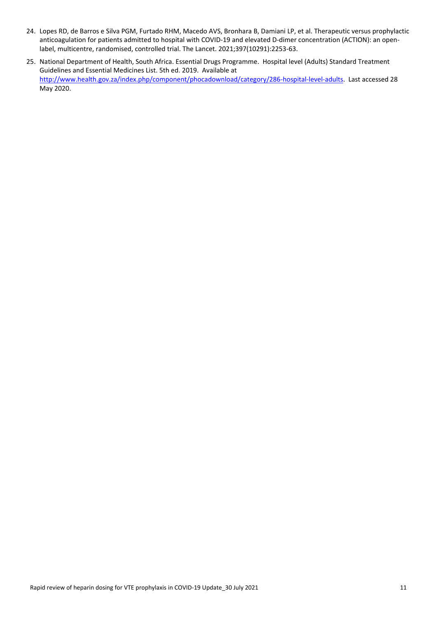- 24. Lopes RD, de Barros e Silva PGM, Furtado RHM, Macedo AVS, Bronhara B, Damiani LP, et al. Therapeutic versus prophylactic anticoagulation for patients admitted to hospital with COVID-19 and elevated D-dimer concentration (ACTION): an openlabel, multicentre, randomised, controlled trial. The Lancet. 2021;397(10291):2253-63.
- 25. National Department of Health, South Africa. Essential Drugs Programme. Hospital level (Adults) Standard Treatment Guidelines and Essential Medicines List. 5th ed. 2019. Available at [http://www.health.gov.za/index.php/component/phocadownload/category/286-hospital-level-adults.](http://www.health.gov.za/index.php/component/phocadownload/category/286-hospital-level-adults) Last accessed 28 May 2020.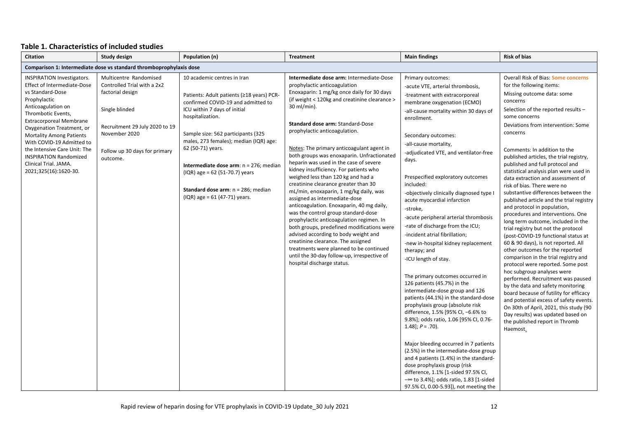#### **Table 1. Characteristics of included studies**

| <b>Citation</b>                                                                                                                                                                                                                                                                                                                                                                                           | <b>Study design</b><br>Population (n)<br><b>Treatment</b>                                                                                                                                   |                                                                                                                                                                                                                                                                                                                                                                                                                                               |                                                                                                                                                                                                                                                                                                                                                                                                                                                                                                                                                                                                                                                                                                                                                                                                                                                                                                                                                                                                | <b>Main findings</b>                                                                                                                                                                                                                                                                                                                                                                                                                                                                                                                                                                                                                                                                                                                                                                                                                                                                                                                                                                                                                                                                                                                                                                                               | <b>Risk of bias</b>                                                                                                                                                                                                                                                                                                                                                                                                                                                                                                                                                                                                                                                                                                                                                                                                                                                                                                                                                                                                                                                                                                                                                                                        |
|-----------------------------------------------------------------------------------------------------------------------------------------------------------------------------------------------------------------------------------------------------------------------------------------------------------------------------------------------------------------------------------------------------------|---------------------------------------------------------------------------------------------------------------------------------------------------------------------------------------------|-----------------------------------------------------------------------------------------------------------------------------------------------------------------------------------------------------------------------------------------------------------------------------------------------------------------------------------------------------------------------------------------------------------------------------------------------|------------------------------------------------------------------------------------------------------------------------------------------------------------------------------------------------------------------------------------------------------------------------------------------------------------------------------------------------------------------------------------------------------------------------------------------------------------------------------------------------------------------------------------------------------------------------------------------------------------------------------------------------------------------------------------------------------------------------------------------------------------------------------------------------------------------------------------------------------------------------------------------------------------------------------------------------------------------------------------------------|--------------------------------------------------------------------------------------------------------------------------------------------------------------------------------------------------------------------------------------------------------------------------------------------------------------------------------------------------------------------------------------------------------------------------------------------------------------------------------------------------------------------------------------------------------------------------------------------------------------------------------------------------------------------------------------------------------------------------------------------------------------------------------------------------------------------------------------------------------------------------------------------------------------------------------------------------------------------------------------------------------------------------------------------------------------------------------------------------------------------------------------------------------------------------------------------------------------------|------------------------------------------------------------------------------------------------------------------------------------------------------------------------------------------------------------------------------------------------------------------------------------------------------------------------------------------------------------------------------------------------------------------------------------------------------------------------------------------------------------------------------------------------------------------------------------------------------------------------------------------------------------------------------------------------------------------------------------------------------------------------------------------------------------------------------------------------------------------------------------------------------------------------------------------------------------------------------------------------------------------------------------------------------------------------------------------------------------------------------------------------------------------------------------------------------------|
|                                                                                                                                                                                                                                                                                                                                                                                                           | Comparison 1: Intermediate dose vs standard thromboprophylaxis dose                                                                                                                         |                                                                                                                                                                                                                                                                                                                                                                                                                                               |                                                                                                                                                                                                                                                                                                                                                                                                                                                                                                                                                                                                                                                                                                                                                                                                                                                                                                                                                                                                |                                                                                                                                                                                                                                                                                                                                                                                                                                                                                                                                                                                                                                                                                                                                                                                                                                                                                                                                                                                                                                                                                                                                                                                                                    |                                                                                                                                                                                                                                                                                                                                                                                                                                                                                                                                                                                                                                                                                                                                                                                                                                                                                                                                                                                                                                                                                                                                                                                                            |
| <b>INSPIRATION Investigators.</b><br><b>Effect of Intermediate-Dose</b><br>vs Standard-Dose<br>Prophylactic<br>Anticoagulation on<br>Thrombotic Events,<br><b>Extracorporeal Membrane</b><br>Oxygenation Treatment, or<br><b>Mortality Among Patients</b><br>With COVID-19 Admitted to<br>the Intensive Care Unit: The<br><b>INSPIRATION Randomized</b><br>Clinical Trial. JAMA.<br>2021;325(16):1620-30. | Multicentre Randomised<br>Controlled Trial with a 2x2<br>factorial design<br>Single blinded<br>Recruitment 29 July 2020 to 19<br>November 2020<br>Follow up 30 days for primary<br>outcome. | 10 academic centres in Iran<br>Patients: Adult patients (≥18 years) PCR-<br>confirmed COVID-19 and admitted to<br>ICU within 7 days of initial<br>hospitalization.<br>Sample size: 562 participants (325<br>males, 273 females); median (IQR) age:<br>62 (50-71) years.<br>Intermediate dose arm: $n = 276$ ; median<br>$(IQR)$ age = 62 (51-70.7) years<br><b>Standard dose arm:</b> $n = 286$ ; median<br>$(IQR)$ age = 61 $(47-71)$ years. | Intermediate dose arm: Intermediate-Dose<br>prophylactic anticoagulation<br>Enoxaparin: 1 mg/kg once daily for 30 days<br>(if weight < 120kg and creatinine clearance ><br>30 ml/min).<br><b>Standard dose arm: Standard-Dose</b><br>prophylactic anticoagulation.<br>Notes: The primary anticoagulant agent in<br>both groups was enoxaparin. Unfractionated<br>heparin was used in the case of severe<br>kidney insufficiency. For patients who<br>weighed less than 120 kg and had a<br>creatinine clearance greater than 30<br>mL/min, enoxaparin, 1 mg/kg daily, was<br>assigned as intermediate-dose<br>anticoagulation. Enoxaparin, 40 mg daily,<br>was the control group standard-dose<br>prophylactic anticoagulation regimen. In<br>both groups, predefined modifications were<br>advised according to body weight and<br>creatinine clearance. The assigned<br>treatments were planned to be continued<br>until the 30-day follow-up, irrespective of<br>hospital discharge status. | Primary outcomes:<br>-acute VTE, arterial thrombosis,<br>-treatment with extracorporeal<br>membrane oxygenation (ECMO)<br>-all-cause mortality within 30 days of<br>enrollment.<br>Secondary outcomes:<br>-all-cause mortality,<br>-adjudicated VTE, and ventilator-free<br>days.<br>Prespecified exploratory outcomes<br>included:<br>-objectively clinically diagnosed type I<br>acute myocardial infarction<br>-stroke.<br>-acute peripheral arterial thrombosis<br>-rate of discharge from the ICU;<br>-incident atrial fibrillation;<br>-new in-hospital kidney replacement<br>therapy; and<br>-ICU length of stay.<br>The primary outcomes occurred in<br>126 patients (45.7%) in the<br>intermediate-dose group and 126<br>patients (44.1%) in the standard-dose<br>prophylaxis group (absolute risk<br>difference, 1.5% [95% CI, -6.6% to<br>9.8%]; odds ratio, 1.06 [95% CI, 0.76-<br>$1.48$ ; $P = .70$ ).<br>Major bleeding occurred in 7 patients<br>(2.5%) in the intermediate-dose group<br>and 4 patients (1.4%) in the standard-<br>dose prophylaxis group (risk<br>difference, 1.1% [1-sided 97.5% CI,<br>$-\infty$ to 3.4%]; odds ratio, 1.83 [1-sided<br>97.5% CI, 0.00-5.93]), not meeting the | Overall Risk of Bias: Some concerns<br>for the following items:<br>Missing outcome data: some<br>concerns<br>Selection of the reported results -<br>some concerns<br>Deviations from intervention: Some<br>concerns<br>Comments: In addition to the<br>published articles, the trial registry,<br>published and full protocol and<br>statistical analysis plan were used in<br>data extraction and assessment of<br>risk of bias. There were no<br>substantive differences between the<br>published article and the trial registry<br>and protocol in population,<br>procedures and interventions. One<br>long term outcome, included in the<br>trial registry but not the protocol<br>(post-COVID-19 functional status at<br>60 & 90 days), is not reported. All<br>other outcomes for the reported<br>comparison in the trial registry and<br>protocol were reported. Some post<br>hoc subgroup analyses were<br>performed. Recruitment was paused<br>by the data and safety monitoring<br>board because of futility for efficacy<br>and potential excess of safety events.<br>On 30th of April, 2021, this study (90<br>Day results) was updated based on<br>the published report in Thromb<br>Haemost. |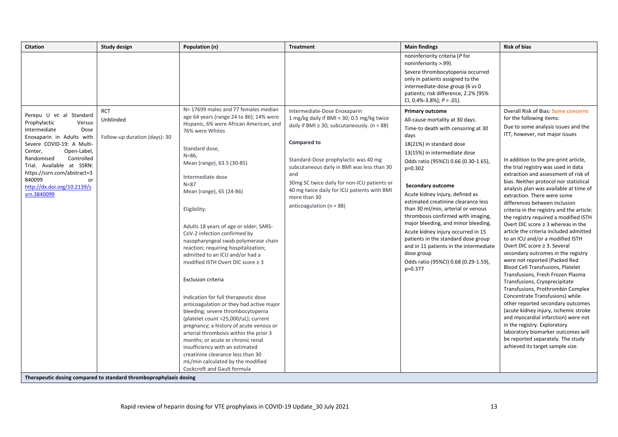| <b>Citation</b>                                                                                                                                    | <b>Study design</b>                                               | Population (n)                                                                                                                                                                                                                                                                                                                                                                                                      | <b>Treatment</b>                                                                                                                                                                                                                        | <b>Main findings</b>                                                                                                                                                                                                                                                                                                                                                                                                                                                                               | <b>Risk of bias</b>                                                                                                                                                                                                                                                                                                                                                                                                                                                                                                                                                                                                                                                                                                                                                               |
|----------------------------------------------------------------------------------------------------------------------------------------------------|-------------------------------------------------------------------|---------------------------------------------------------------------------------------------------------------------------------------------------------------------------------------------------------------------------------------------------------------------------------------------------------------------------------------------------------------------------------------------------------------------|-----------------------------------------------------------------------------------------------------------------------------------------------------------------------------------------------------------------------------------------|----------------------------------------------------------------------------------------------------------------------------------------------------------------------------------------------------------------------------------------------------------------------------------------------------------------------------------------------------------------------------------------------------------------------------------------------------------------------------------------------------|-----------------------------------------------------------------------------------------------------------------------------------------------------------------------------------------------------------------------------------------------------------------------------------------------------------------------------------------------------------------------------------------------------------------------------------------------------------------------------------------------------------------------------------------------------------------------------------------------------------------------------------------------------------------------------------------------------------------------------------------------------------------------------------|
| Perepu U et al Standard                                                                                                                            | <b>RCT</b><br>Unblinded                                           | N= 17699 males and 77 females median<br>age 64 years (range 24 to 86); 14% were                                                                                                                                                                                                                                                                                                                                     | Intermediate-Dose Enoxaparin<br>1 mg/kg daily if BMI < 30; 0.5 mg/kg twice                                                                                                                                                              | noninferiority criteria (P for<br>noninferiority >.99).<br>Severe thrombocytopenia occurred<br>only in patients assigned to the<br>intermediate-dose group (6 vs 0<br>patients; risk difference, 2.2% [95%<br>CI, 0.4%-3.8%]; $P = .01$ ).<br><b>Primary outcome</b><br>All-cause mortality at 30 days.                                                                                                                                                                                            | Overall Risk of Bias: Some concerns<br>for the following items:                                                                                                                                                                                                                                                                                                                                                                                                                                                                                                                                                                                                                                                                                                                   |
| Prophylactic<br>Versus<br>Intermediate<br>Dose                                                                                                     |                                                                   | Hispanic, 6% were African American, and<br>76% were Whites                                                                                                                                                                                                                                                                                                                                                          | daily if BMI $\geq$ 30; subcutaneously. (n = 88)                                                                                                                                                                                        | Time-to death with censoring at 30<br>days                                                                                                                                                                                                                                                                                                                                                                                                                                                         | Due to some analysis issues and the<br>ITT, however, not major issues                                                                                                                                                                                                                                                                                                                                                                                                                                                                                                                                                                                                                                                                                                             |
| Enoxaparin in Adults with<br>Severe COVID-19: A Multi-<br>Open-Label,<br>Center,                                                                   | Follow-up duration (days): 30                                     | Standard dose,                                                                                                                                                                                                                                                                                                                                                                                                      | <b>Compared to</b>                                                                                                                                                                                                                      | 18(21%) in standard dose                                                                                                                                                                                                                                                                                                                                                                                                                                                                           |                                                                                                                                                                                                                                                                                                                                                                                                                                                                                                                                                                                                                                                                                                                                                                                   |
| Randomised<br>Controlled<br>Trial. Available at SSRN:<br>https://ssrn.com/abstract=3<br>840099<br>or<br>http://dx.doi.org/10.2139/s<br>srn.3840099 |                                                                   | $N = 86$<br>Mean (range), 63.5 (30-85)<br>Intermediate dose<br>$N = 87$<br>Mean (range), 65 (24-86)<br>Eligibility:<br>Adults 18 years of age or older; SARS-<br>CoV-2 infection confirmed by<br>nasopharyngeal swab polymerase chain<br>reaction; requiring hospitalization;<br>admitted to an ICU and/or had a<br>modified ISTH Overt DIC score ≥ 3<br>Exclusion criteria<br>Indication for full therapeutic dose | Standard-Dose prophylactic was 40 mg<br>subcutaneous daily in BMI was less than 30<br>and<br>30mg SC twice daily for non-ICU patients or<br>40 mg twice daily for ICU patients with BMI<br>more than 30<br>anticoagulation ( $n = 88$ ) | 13(15%) in intermediate dose<br>Odds ratio (95%CI) 0.66 (0.30-1.65),<br>$p=0.302$<br><b>Secondary outcome</b><br>Acute kidney injury, defined as<br>estimated creatinine clearance less<br>than 30 ml/min, arterial or venous<br>thrombosis confirmed with imaging,<br>major bleeding, and minor bleeding.<br>Acute kidney injury occurred in 15<br>patients in the standard dose group<br>and in 11 patients in the intermediate<br>dose group<br>Odds ratio (95%CI) 0.68 (0.29-1.59),<br>p=0.377 | In addition to the pre-print article,<br>the trial registry was used in data<br>extraction and assessment of risk of<br>bias. Neither protocol nor statistical<br>analysis plan was available at time of<br>extraction. There were some<br>differences between inclusion<br>criteria in the registry and the article:<br>the registry required a modified ISTH<br>Overt DIC score $\geq 3$ whereas in the<br>article the criteria included admitted<br>to an ICU and/or a modified ISTH<br>Overt DIC score ≥ 3. Several<br>secondary outcomes in the registry<br>were not reported (Packed Red<br>Blood Cell Transfusions, Platelet<br>Transfusions, Fresh Frozen Plasma<br>Transfusions, Cryoprecipitate<br>Transfusions, Prothrombin Complex<br>Concentrate Transfusions) while |
|                                                                                                                                                    |                                                                   | anticoagulation or they had active major<br>bleeding; severe thrombocytopenia<br>(platelet count <25,000/uL); current<br>pregnancy; a history of acute venous or<br>arterial thrombosis within the prior 3<br>months; or acute or chronic renal<br>insufficiency with an estimated<br>creatinine clearance less than 30<br>mL/min calculated by the modified                                                        |                                                                                                                                                                                                                                         |                                                                                                                                                                                                                                                                                                                                                                                                                                                                                                    | other reported secondary outcomes<br>(acute kidney injury, ischemic stroke<br>and myocardial infarction) were not<br>in the registry. Exploratory<br>laboratory biomarker outcomes will<br>be reported separately. The study<br>achieved its target sample size.                                                                                                                                                                                                                                                                                                                                                                                                                                                                                                                  |
|                                                                                                                                                    | Therapeutic dosing compared to standard thromboprophylaxis dosing | Cockcroft and Gault formula                                                                                                                                                                                                                                                                                                                                                                                         |                                                                                                                                                                                                                                         |                                                                                                                                                                                                                                                                                                                                                                                                                                                                                                    |                                                                                                                                                                                                                                                                                                                                                                                                                                                                                                                                                                                                                                                                                                                                                                                   |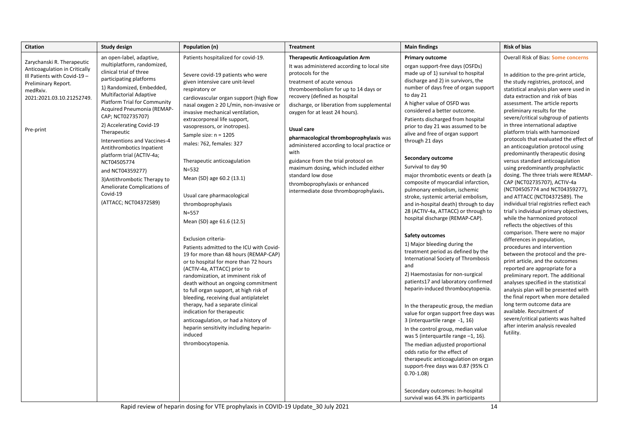| <b>Citation</b>                                                                                                                                                          | Study design                                                                                                                                                                                                                                                                                                                                                                                                                                                                                                                                     | Population (n)                                                                                                                                                                                                                                                                                                                                                                                                                                                                                                                                                                                                                                                                                                                                                                                                                                                                                                                                                                                                                                                                                 | <b>Treatment</b>                                                                                                                                                                                                                                                                                                                                                                                                                                                                                                                                                                                       | <b>Main findings</b>                                                                                                                                                                                                                                                                                                                                                                                                                                                                                                                                                                                                                                                                                                                                                                                                                                                                                                                                                                                                                                                                                                                                                                                                                                                                                                                                                               | <b>Risk of bias</b>                                                                                                                                                                                                                                                                                                                                                                                                                                                                                                                                                                                                                                                                                                                                                                                                                                                                                                                                                                                                                                                                                                                                                                                                                                                                                                                                                                                       |
|--------------------------------------------------------------------------------------------------------------------------------------------------------------------------|--------------------------------------------------------------------------------------------------------------------------------------------------------------------------------------------------------------------------------------------------------------------------------------------------------------------------------------------------------------------------------------------------------------------------------------------------------------------------------------------------------------------------------------------------|------------------------------------------------------------------------------------------------------------------------------------------------------------------------------------------------------------------------------------------------------------------------------------------------------------------------------------------------------------------------------------------------------------------------------------------------------------------------------------------------------------------------------------------------------------------------------------------------------------------------------------------------------------------------------------------------------------------------------------------------------------------------------------------------------------------------------------------------------------------------------------------------------------------------------------------------------------------------------------------------------------------------------------------------------------------------------------------------|--------------------------------------------------------------------------------------------------------------------------------------------------------------------------------------------------------------------------------------------------------------------------------------------------------------------------------------------------------------------------------------------------------------------------------------------------------------------------------------------------------------------------------------------------------------------------------------------------------|------------------------------------------------------------------------------------------------------------------------------------------------------------------------------------------------------------------------------------------------------------------------------------------------------------------------------------------------------------------------------------------------------------------------------------------------------------------------------------------------------------------------------------------------------------------------------------------------------------------------------------------------------------------------------------------------------------------------------------------------------------------------------------------------------------------------------------------------------------------------------------------------------------------------------------------------------------------------------------------------------------------------------------------------------------------------------------------------------------------------------------------------------------------------------------------------------------------------------------------------------------------------------------------------------------------------------------------------------------------------------------|-----------------------------------------------------------------------------------------------------------------------------------------------------------------------------------------------------------------------------------------------------------------------------------------------------------------------------------------------------------------------------------------------------------------------------------------------------------------------------------------------------------------------------------------------------------------------------------------------------------------------------------------------------------------------------------------------------------------------------------------------------------------------------------------------------------------------------------------------------------------------------------------------------------------------------------------------------------------------------------------------------------------------------------------------------------------------------------------------------------------------------------------------------------------------------------------------------------------------------------------------------------------------------------------------------------------------------------------------------------------------------------------------------------|
| Zarychanski R. Therapeutic<br>Anticoagulation in Critically<br>Ill Patients with Covid-19 -<br>Preliminary Report.<br>medRxiv.<br>2021:2021.03.10.21252749.<br>Pre-print | an open-label, adaptive,<br>multiplatform, randomized,<br>clinical trial of three<br>participating platforms<br>1) Randomized, Embedded,<br><b>Multifactorial Adaptive</b><br><b>Platform Trial for Community</b><br>Acquired Pneumonia (REMAP-<br>CAP; NCT02735707)<br>2) Accelerating Covid-19<br>Therapeutic<br>Interventions and Vaccines-4<br>Antithrombotics Inpatient<br>platform trial (ACTIV-4a;<br>NCT04505774<br>and NCT04359277)<br>3) Antithrombotic Therapy to<br>Ameliorate Complications of<br>Covid-19<br>(ATTACC; NCT04372589) | Patients hospitalized for covid-19.<br>Severe covid-19 patients who were<br>given intensive care unit-level<br>respiratory or<br>cardiovascular organ support (high flow<br>nasal oxygen ≥ 20 L/min, non-invasive or<br>invasive mechanical ventilation,<br>extracorporeal life support,<br>vasopressors, or inotropes).<br>Sample size: $n = 1205$<br>males: 762, females: 327<br>Therapeutic anticoagulation<br>$N = 532$<br>Mean (SD) age 60.2 (13.1)<br>Usual care pharmacological<br>thromboprophylaxis<br>$N = 557$<br>Mean (SD) age 61.6 (12.5)<br>Exclusion criteria-<br>Patients admitted to the ICU with Covid-<br>19 for more than 48 hours (REMAP-CAP)<br>or to hospital for more than 72 hours<br>(ACTIV-4a, ATTACC) prior to<br>randomization, at imminent risk of<br>death without an ongoing commitment<br>to full organ support, at high risk of<br>bleeding, receiving dual antiplatelet<br>therapy, had a separate clinical<br>indication for therapeutic<br>anticoagulation, or had a history of<br>heparin sensitivity including heparin-<br>induced<br>thrombocytopenia. | <b>Therapeutic Anticoagulation Arm</b><br>It was administered according to local site<br>protocols for the<br>treatment of acute venous<br>thromboembolism for up to 14 days or<br>recovery (defined as hospital<br>discharge, or liberation from supplemental<br>oxygen for at least 24 hours).<br><b>Usual care</b><br>pharmacological thromboprophylaxis was<br>administered according to local practice or<br>with<br>guidance from the trial protocol on<br>maximum dosing, which included either<br>standard low dose<br>thromboprophylaxis or enhanced<br>intermediate dose thromboprophylaxis. | <b>Primary outcome</b><br>organ support-free days (OSFDs)<br>made up of 1) survival to hospital<br>discharge and 2) in survivors, the<br>number of days free of organ support<br>to day 21<br>A higher value of OSFD was<br>considered a better outcome.<br>Patients discharged from hospital<br>prior to day 21 was assumed to be<br>alive and free of organ support<br>through 21 days<br>Secondary outcome<br>Survival to day 90<br>major thrombotic events or death (a<br>composite of myocardial infarction,<br>pulmonary embolism, ischemic<br>stroke, systemic arterial embolism,<br>and in-hospital death) through to day<br>28 (ACTIV-4a, ATTACC) or through to<br>hospital discharge (REMAP-CAP).<br><b>Safety outcomes</b><br>1) Major bleeding during the<br>treatment period as defined by the<br>International Society of Thrombosis<br>and<br>2) Haemostasias for non-surgical<br>patients17 and laboratory confirmed<br>heparin-induced thrombocytopenia.<br>In the therapeutic group, the median<br>value for organ support free days was<br>3 (interquartile range -1, 16)<br>In the control group, median value<br>was 5 (interquartile range $-1$ , 16).<br>The median adjusted proportional<br>odds ratio for the effect of<br>therapeutic anticoagulation on organ<br>support-free days was 0.87 (95% CI<br>$0.70 - 1.08$<br>Secondary outcomes: In-hospital | Overall Risk of Bias: Some concerns<br>In addition to the pre-print article,<br>the study registries, protocol, and<br>statistical analysis plan were used in<br>data extraction and risk of bias<br>assessment. The article reports<br>preliminary results for the<br>severe/critical subgroup of patients<br>in three international adaptive<br>platform trials with harmonized<br>protocols that evaluated the effect of<br>an anticoagulation protocol using<br>predominantly therapeutic dosing<br>versus standard anticoagulation<br>using predominantly prophylactic<br>dosing. The three trials were REMAP-<br>CAP (NCT02735707), ACTIV-4a<br>(NCT04505774 and NCT04359277),<br>and ATTACC (NCT04372589). The<br>individual trial registries reflect each<br>trial's individual primary objectives,<br>while the harmonized protocol<br>reflects the objectives of this<br>comparison. There were no major<br>differences in population,<br>procedures and intervention<br>between the protocol and the pre-<br>print article, and the outcomes<br>reported are appropriate for a<br>preliminary report. The additional<br>analyses specified in the statistical<br>analysis plan will be presented with<br>the final report when more detailed<br>long term outcome data are<br>available. Recruitment of<br>severe/critical patients was halted<br>after interim analysis revealed<br>futility. |
|                                                                                                                                                                          |                                                                                                                                                                                                                                                                                                                                                                                                                                                                                                                                                  |                                                                                                                                                                                                                                                                                                                                                                                                                                                                                                                                                                                                                                                                                                                                                                                                                                                                                                                                                                                                                                                                                                |                                                                                                                                                                                                                                                                                                                                                                                                                                                                                                                                                                                                        | survival was 64.3% in participants                                                                                                                                                                                                                                                                                                                                                                                                                                                                                                                                                                                                                                                                                                                                                                                                                                                                                                                                                                                                                                                                                                                                                                                                                                                                                                                                                 |                                                                                                                                                                                                                                                                                                                                                                                                                                                                                                                                                                                                                                                                                                                                                                                                                                                                                                                                                                                                                                                                                                                                                                                                                                                                                                                                                                                                           |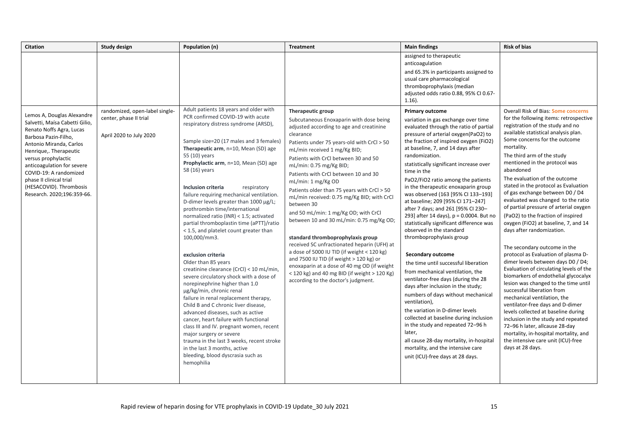| <b>Citation</b>                                                                                                                                                                                                                                                                                                                          | <b>Study design</b>                               | Population (n)                                                                                                                                                                                                                                                                                                                                                                                                                                                                                                                                                                                                                                                                                                                                                                                                                                                                                                                                                                                                                                                                                                                  | <b>Treatment</b>                                                                                                                                                                                                                                                                                                                                                                                                                                                                                                                                                                                                                                                                                                                                                                                                                          | <b>Main findings</b>                                                                                                                                                                                                                                                                                                                                                                                                                                                                                                                                                                                                                                                                                                                                                                                                                                                                                                                                                                                                                                                                                               | <b>Risk of bias</b>                                                                                                                                                                                                                                                                                                                                                                                                                                                                                                                                                                                                                                                                                                                                                                                                                                                                                                                                                                                                                                                                                              |
|------------------------------------------------------------------------------------------------------------------------------------------------------------------------------------------------------------------------------------------------------------------------------------------------------------------------------------------|---------------------------------------------------|---------------------------------------------------------------------------------------------------------------------------------------------------------------------------------------------------------------------------------------------------------------------------------------------------------------------------------------------------------------------------------------------------------------------------------------------------------------------------------------------------------------------------------------------------------------------------------------------------------------------------------------------------------------------------------------------------------------------------------------------------------------------------------------------------------------------------------------------------------------------------------------------------------------------------------------------------------------------------------------------------------------------------------------------------------------------------------------------------------------------------------|-------------------------------------------------------------------------------------------------------------------------------------------------------------------------------------------------------------------------------------------------------------------------------------------------------------------------------------------------------------------------------------------------------------------------------------------------------------------------------------------------------------------------------------------------------------------------------------------------------------------------------------------------------------------------------------------------------------------------------------------------------------------------------------------------------------------------------------------|--------------------------------------------------------------------------------------------------------------------------------------------------------------------------------------------------------------------------------------------------------------------------------------------------------------------------------------------------------------------------------------------------------------------------------------------------------------------------------------------------------------------------------------------------------------------------------------------------------------------------------------------------------------------------------------------------------------------------------------------------------------------------------------------------------------------------------------------------------------------------------------------------------------------------------------------------------------------------------------------------------------------------------------------------------------------------------------------------------------------|------------------------------------------------------------------------------------------------------------------------------------------------------------------------------------------------------------------------------------------------------------------------------------------------------------------------------------------------------------------------------------------------------------------------------------------------------------------------------------------------------------------------------------------------------------------------------------------------------------------------------------------------------------------------------------------------------------------------------------------------------------------------------------------------------------------------------------------------------------------------------------------------------------------------------------------------------------------------------------------------------------------------------------------------------------------------------------------------------------------|
|                                                                                                                                                                                                                                                                                                                                          | randomized, open-label single-                    | Adult patients 18 years and older with                                                                                                                                                                                                                                                                                                                                                                                                                                                                                                                                                                                                                                                                                                                                                                                                                                                                                                                                                                                                                                                                                          | Therapeutic group                                                                                                                                                                                                                                                                                                                                                                                                                                                                                                                                                                                                                                                                                                                                                                                                                         | assigned to therapeutic<br>anticoagulation<br>and 65.3% in participants assigned to<br>usual care pharmacological<br>thromboprophylaxis (median<br>adjusted odds ratio 0.88, 95% CI 0.67-<br>$1.16$ ).<br><b>Primary outcome</b>                                                                                                                                                                                                                                                                                                                                                                                                                                                                                                                                                                                                                                                                                                                                                                                                                                                                                   | Overall Risk of Bias: Some concerns                                                                                                                                                                                                                                                                                                                                                                                                                                                                                                                                                                                                                                                                                                                                                                                                                                                                                                                                                                                                                                                                              |
| Lemos A, Douglas Alexandre<br>Salvetti, Maísa Cabetti Gilio,<br>Renato Noffs Agra, Lucas<br>Barbosa Pazin-Filho,<br>Antonio Miranda, Carlos<br>Henrique,. Therapeutic<br>versus prophylactic<br>anticoagulation for severe<br>COVID-19: A randomized<br>phase II clinical trial<br>(HESACOVID). Thrombosis<br>Research. 2020;196:359-66. | center, phase II trial<br>April 2020 to July 2020 | PCR confirmed COVID-19 with acute<br>respiratory distress syndrome (ARSD),<br>Sample size=20 (17 males and 3 females)<br>Therapeutic arm, n=10, Mean (SD) age<br>55 (10) years<br>Prophylactic arm, n=10, Mean (SD) age<br>58 (16) years<br>Inclusion criteria<br>respiratory<br>failure requiring mechanical ventilation.<br>D-dimer levels greater than 1000 µg/L;<br>prothrombin time/international<br>normalized ratio (INR) < 1.5; activated<br>partial thromboplastin time (aPTT)/ratio<br>< 1.5, and platelet count greater than<br>100,000/mm3.<br>exclusion criteria<br>Older than 85 years<br>creatinine clearance (CrCl) < 10 mL/min,<br>severe circulatory shock with a dose of<br>norepinephrine higher than 1.0<br>µg/kg/min, chronic renal<br>failure in renal replacement therapy,<br>Child B and C chronic liver disease,<br>advanced diseases, such as active<br>cancer, heart failure with functional<br>class III and IV. pregnant women, recent<br>major surgery or severe<br>trauma in the last 3 weeks, recent stroke<br>in the last 3 months, active<br>bleeding, blood dyscrasia such as<br>hemophilia | Subcutaneous Enoxaparin with dose being<br>adjusted according to age and creatinine<br>clearance<br>Patients under 75 years-old with CrCl > 50<br>mL/min received 1 mg/Kg BID;<br>Patients with CrCl between 30 and 50<br>mL/min: 0.75 mg/Kg BID;<br>Patients with CrCl between 10 and 30<br>mL/min: 1 mg/Kg OD<br>Patients older than 75 years with CrCl > 50<br>mL/min received: 0.75 mg/Kg BID; with CrCl<br>between 30<br>and 50 mL/min: 1 mg/Kg OD; with CrCl<br>between 10 and 30 mL/min: 0.75 mg/Kg OD;<br>standard thromboprophylaxis group<br>received SC unfractionated heparin (UFH) at<br>a dose of 5000 IU TID (if weight $<$ 120 kg)<br>and 7500 IU TID (if weight $>$ 120 kg) or<br>enoxaparin at a dose of 40 mg OD (if weight<br>$<$ 120 kg) and 40 mg BID (if weight $>$ 120 Kg)<br>according to the doctor's judgment. | variation in gas exchange over time<br>evaluated through the ratio of partial<br>pressure of arterial oxygen(PaO2) to<br>the fraction of inspired oxygen (FiO2)<br>at baseline, 7, and 14 days after<br>randomization.<br>statistically significant increase over<br>time in the<br>PaO2/FiO2 ratio among the patients<br>in the therapeutic enoxaparin group<br>was observed (163 [95% CI 133-193]<br>at baseline; 209 [95% CI 171-247]<br>after 7 days; and 261 [95% CI 230-<br>293] after 14 days), p = 0.0004. But no<br>statistically significant difference was<br>observed in the standard<br>thromboprophylaxis group<br>Secondary outcome<br>the time until successful liberation<br>from mechanical ventilation, the<br>ventilator-free days (during the 28<br>days after inclusion in the study;<br>numbers of days without mechanical<br>ventilation),<br>the variation in D-dimer levels<br>collected at baseline during inclusion<br>in the study and repeated 72-96 h<br>later,<br>all cause 28-day mortality, in-hospital<br>mortality, and the intensive care<br>unit (ICU)-free days at 28 days. | for the following items: retrospective<br>registration of the study and no<br>available statistical analysis plan.<br>Some concerns for the outcome<br>mortality.<br>The third arm of the study<br>mentioned in the protocol was<br>abandoned<br>The evaluation of the outcome<br>stated in the protocol as Evaluation<br>of gas exchange between D0 / D4<br>evaluated was changed to the ratio<br>of partial pressure of arterial oxygen<br>(PaO2) to the fraction of inspired<br>oxygen (FiO2) at baseline, 7, and 14<br>days after randomization.<br>The secondary outcome in the<br>protocol as Evaluation of plasma D-<br>dimer levels between days D0 / D4;<br>Evaluation of circulating levels of the<br>biomarkers of endothelial glycocalyx<br>lesion was changed to the time until<br>successful liberation from<br>mechanical ventilation, the<br>ventilator-free days and D-dimer<br>levels collected at baseline during<br>inclusion in the study and repeated<br>72-96 h later, allcause 28-day<br>mortality, in-hospital mortality, and<br>the intensive care unit (ICU)-free<br>days at 28 days. |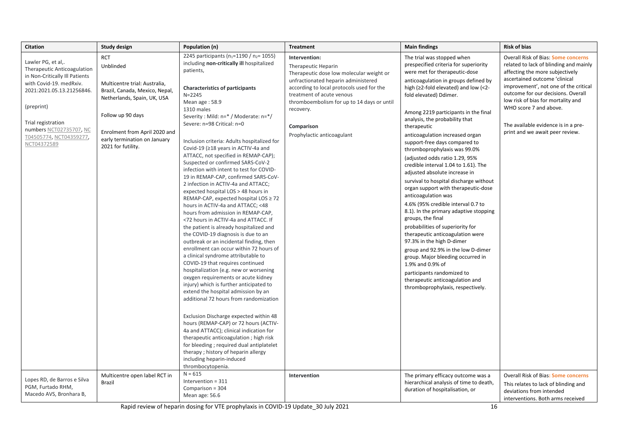| <b>Citation</b>                                                                                                                                                                                                                                      | <b>Study design</b>                                                                                                                                                                                                                   | Population (n)                                                                                                                                                                                                                                                                                                                                                                                                                                                                                                                                                                                                                                                                                                                                                                                                                                                                                                                                                                                                                                                                                                                                                                                                                                                                                                                                                                                                                                                                                                                                                         | <b>Treatment</b>                                                                                                                                                                                                                                                                                         | <b>Main findings</b>                                                                                                                                                                                                                                                                                                                                                                                                                                                                                                                                                                                                                                                                                                                                                                                                                                                                                                                                                                                                                          | <b>Risk of bias</b>                                                                                                                                                                                                                                                                                                                                                        |
|------------------------------------------------------------------------------------------------------------------------------------------------------------------------------------------------------------------------------------------------------|---------------------------------------------------------------------------------------------------------------------------------------------------------------------------------------------------------------------------------------|------------------------------------------------------------------------------------------------------------------------------------------------------------------------------------------------------------------------------------------------------------------------------------------------------------------------------------------------------------------------------------------------------------------------------------------------------------------------------------------------------------------------------------------------------------------------------------------------------------------------------------------------------------------------------------------------------------------------------------------------------------------------------------------------------------------------------------------------------------------------------------------------------------------------------------------------------------------------------------------------------------------------------------------------------------------------------------------------------------------------------------------------------------------------------------------------------------------------------------------------------------------------------------------------------------------------------------------------------------------------------------------------------------------------------------------------------------------------------------------------------------------------------------------------------------------------|----------------------------------------------------------------------------------------------------------------------------------------------------------------------------------------------------------------------------------------------------------------------------------------------------------|-----------------------------------------------------------------------------------------------------------------------------------------------------------------------------------------------------------------------------------------------------------------------------------------------------------------------------------------------------------------------------------------------------------------------------------------------------------------------------------------------------------------------------------------------------------------------------------------------------------------------------------------------------------------------------------------------------------------------------------------------------------------------------------------------------------------------------------------------------------------------------------------------------------------------------------------------------------------------------------------------------------------------------------------------|----------------------------------------------------------------------------------------------------------------------------------------------------------------------------------------------------------------------------------------------------------------------------------------------------------------------------------------------------------------------------|
| Lawler PG, et al,.<br>Therapeutic Anticoagulation<br>in Non-Critically Ill Patients<br>with Covid-19. medRxiv.<br>2021:2021.05.13.21256846.<br>(preprint)<br>Trial registration<br>numbers NCT02735707, NC<br>T04505774, NCT04359277,<br>NCT04372589 | <b>RCT</b><br>Unblinded<br>Multicentre trial: Australia,<br>Brazil, Canada, Mexico, Nepal,<br>Netherlands, Spain, UK, USA<br>Follow up 90 days<br>Enrolment from April 2020 and<br>early termination on January<br>2021 for futility. | 2245 participants (n <sub>1</sub> =1190 / n <sub>2</sub> = 1055)<br>including non-critically ill hospitalized<br>patients,<br><b>Characteristics of participants</b><br>$N = 2245$<br>Mean age: 58.9<br>1310 males<br>Severity: Mild: n=* / Moderate: n=*/<br>Severe: n=98 Critical: n=0<br>Inclusion criteria: Adults hospitalized for<br>Covid-19 (≥18 years in ACTIV-4a and<br>ATTACC, not specified in REMAP-CAP);<br>Suspected or confirmed SARS-CoV-2<br>infection with intent to test for COVID-<br>19 in REMAP-CAP, confirmed SARS-CoV-<br>2 infection in ACTIV-4a and ATTACC;<br>expected hospital LOS > 48 hours in<br>REMAP-CAP, expected hospital LOS ≥ 72<br>hours in ACTIV-4a and ATTACC; <48<br>hours from admission in REMAP-CAP,<br><72 hours in ACTIV-4a and ATTACC. If<br>the patient is already hospitalized and<br>the COVID-19 diagnosis is due to an<br>outbreak or an incidental finding, then<br>enrollment can occur within 72 hours of<br>a clinical syndrome attributable to<br>COVID-19 that requires continued<br>hospitalization (e.g. new or worsening<br>oxygen requirements or acute kidney<br>injury) which is further anticipated to<br>extend the hospital admission by an<br>additional 72 hours from randomization<br>Exclusion Discharge expected within 48<br>hours (REMAP-CAP) or 72 hours (ACTIV-<br>4a and ATTACC); clinical indication for<br>therapeutic anticoagulation; high risk<br>for bleeding; required dual antiplatelet<br>therapy; history of heparin allergy<br>including heparin-induced<br>thrombocytopenia. | Intervention:<br>Therapeutic Heparin<br>Therapeutic dose low molecular weight or<br>unfractionated heparin administered<br>according to local protocols used for the<br>treatment of acute venous<br>thromboembolism for up to 14 days or until<br>recovery.<br>Comparison<br>Prophylactic anticoagulant | The trial was stopped when<br>prespecified criteria for superiority<br>were met for therapeutic-dose<br>anticoagulation in groups defined by<br>high (≥2-fold elevated) and low (<2-<br>fold elevated) Ddimer.<br>Among 2219 participants in the final<br>analysis, the probability that<br>therapeutic<br>anticoagulation increased organ<br>support-free days compared to<br>thromboprophylaxis was 99.0%<br>(adjusted odds ratio 1.29, 95%<br>credible interval 1.04 to 1.61). The<br>adjusted absolute increase in<br>survival to hospital discharge without<br>organ support with therapeutic-dose<br>anticoagulation was<br>4.6% (95% credible interval 0.7 to<br>8.1). In the primary adaptive stopping<br>groups, the final<br>probabilities of superiority for<br>therapeutic anticoagulation were<br>97.3% in the high D-dimer<br>group and 92.9% in the low D-dimer<br>group. Major bleeding occurred in<br>1.9% and 0.9% of<br>participants randomized to<br>therapeutic anticoagulation and<br>thromboprophylaxis, respectively. | Overall Risk of Bias: Some concerns<br>related to lack of blinding and mainly<br>affecting the more subjectively<br>ascertained outcome 'clinical<br>improvement', not one of the critical<br>outcome for our decisions. Overall<br>low risk of bias for mortality and<br>WHO score 7 and above.<br>The available evidence is in a pre-<br>print and we await peer review. |
| Lopes RD, de Barros e Silva<br>PGM, Furtado RHM,<br>Macedo AVS, Bronhara B,                                                                                                                                                                          | Multicentre open label RCT in<br><b>Brazil</b>                                                                                                                                                                                        | $N = 615$<br>Intervention = 311<br>Comparison = 304<br>Mean age: 56.6                                                                                                                                                                                                                                                                                                                                                                                                                                                                                                                                                                                                                                                                                                                                                                                                                                                                                                                                                                                                                                                                                                                                                                                                                                                                                                                                                                                                                                                                                                  | Intervention                                                                                                                                                                                                                                                                                             | The primary efficacy outcome was a<br>hierarchical analysis of time to death,<br>duration of hospitalisation, or                                                                                                                                                                                                                                                                                                                                                                                                                                                                                                                                                                                                                                                                                                                                                                                                                                                                                                                              | Overall Risk of Bias: Some concerns<br>This relates to lack of blinding and<br>deviations from intended<br>interventions. Both arms received                                                                                                                                                                                                                               |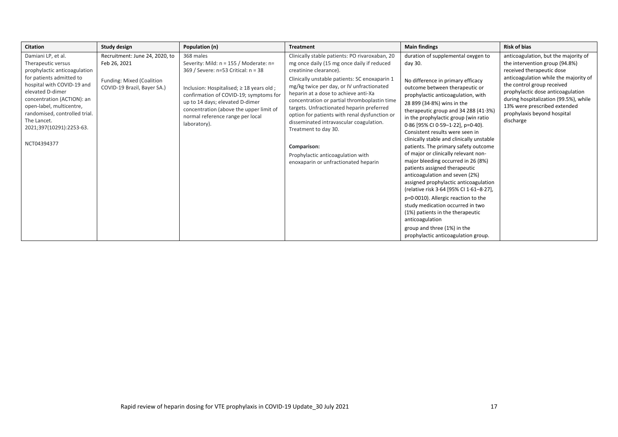| <b>Citation</b>                                                                                                                                                                                                                                                                                             | Study design                                                                                               | Population (n)                                                                                                                                                                                                                                                                                                          | <b>Treatment</b>                                                                                                                                                                                                                                                                                                                                                                                                                                                                                                                                                          | <b>Main findings</b>                                                                                                                                                                                                                                                                                                                                                                                                                                                                                                                                                                                                                                                                                                                                                                                                                                                               | <b>Risk of bias</b>                                                                                                                                                                                                                                                                                                                  |
|-------------------------------------------------------------------------------------------------------------------------------------------------------------------------------------------------------------------------------------------------------------------------------------------------------------|------------------------------------------------------------------------------------------------------------|-------------------------------------------------------------------------------------------------------------------------------------------------------------------------------------------------------------------------------------------------------------------------------------------------------------------------|---------------------------------------------------------------------------------------------------------------------------------------------------------------------------------------------------------------------------------------------------------------------------------------------------------------------------------------------------------------------------------------------------------------------------------------------------------------------------------------------------------------------------------------------------------------------------|------------------------------------------------------------------------------------------------------------------------------------------------------------------------------------------------------------------------------------------------------------------------------------------------------------------------------------------------------------------------------------------------------------------------------------------------------------------------------------------------------------------------------------------------------------------------------------------------------------------------------------------------------------------------------------------------------------------------------------------------------------------------------------------------------------------------------------------------------------------------------------|--------------------------------------------------------------------------------------------------------------------------------------------------------------------------------------------------------------------------------------------------------------------------------------------------------------------------------------|
| Damiani LP, et al.<br>Therapeutic versus<br>prophylactic anticoagulation<br>for patients admitted to<br>hospital with COVID-19 and<br>elevated D-dimer<br>concentration (ACTION): an<br>open-label, multicentre,<br>randomised, controlled trial.<br>The Lancet.<br>2021;397(10291):2253-63.<br>NCT04394377 | Recruitment: June 24, 2020, to<br>Feb 26, 2021<br>Funding: Mixed (Coalition<br>COVID-19 Brazil, Bayer SA.) | 368 males<br>Severity: Mild: n = 155 / Moderate: n=<br>369 / Severe: n=53 Critical: n = 38<br>Inclusion: Hospitalised; $\geq$ 18 years old;<br>confirmation of COVID-19; symptoms for<br>up to 14 days; elevated D-dimer<br>concentration (above the upper limit of<br>normal reference range per local<br>laboratory). | Clinically stable patients: PO rivaroxaban, 20<br>mg once daily (15 mg once daily if reduced<br>creatinine clearance).<br>Clinically unstable patients: SC enoxaparin 1<br>mg/kg twice per day, or IV unfractionated<br>heparin at a dose to achieve anti-Xa<br>concentration or partial thromboplastin time<br>targets. Unfractionated heparin preferred<br>option for patients with renal dysfunction or<br>disseminated intravascular coagulation.<br>Treatment to day 30.<br>Comparison:<br>Prophylactic anticoagulation with<br>enoxaparin or unfractionated heparin | duration of supplemental oxygen to<br>day 30.<br>No difference in primary efficacy<br>outcome between therapeutic or<br>prophylactic anticoagulation, with<br>28 899 (34.8%) wins in the<br>therapeutic group and 34 288 (41.3%)<br>in the prophylactic group (win ratio<br>0.86 [95% CI 0.59-1.22], p=0.40).<br>Consistent results were seen in<br>clinically stable and clinically unstable<br>patients. The primary safety outcome<br>of major or clinically relevant non-<br>major bleeding occurred in 26 (8%)<br>patients assigned therapeutic<br>anticoagulation and seven (2%)<br>assigned prophylactic anticoagulation<br>(relative risk 3.64 [95% CI 1.61-8.27],<br>p=0.0010). Allergic reaction to the<br>study medication occurred in two<br>(1%) patients in the therapeutic<br>anticoagulation<br>group and three (1%) in the<br>prophylactic anticoagulation group. | anticoagulation, but the majority of<br>the intervention group (94.8%)<br>received therapeutic dose<br>anticoagulation while the majority of<br>the control group received<br>prophylactic dose anticoagulation<br>during hospitalization (99.5%), while<br>13% were prescribed extended<br>prophylaxis beyond hospital<br>discharge |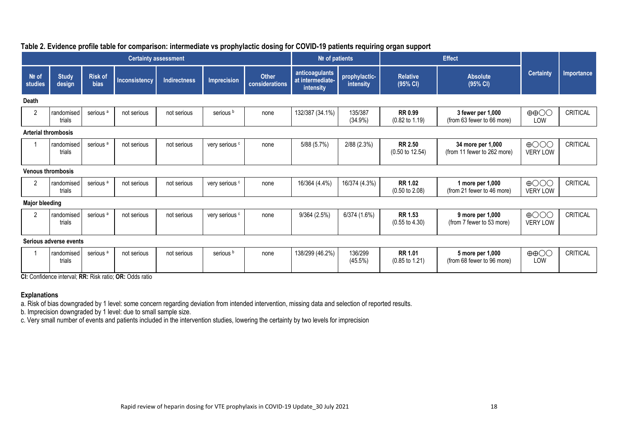| <b>Certainty assessment</b> |                        |                        |               |                     |                      | Nº of patients          |                                                 | <b>Effect</b>              |                                              |                                                  |                                    |                   |
|-----------------------------|------------------------|------------------------|---------------|---------------------|----------------------|-------------------------|-------------------------------------------------|----------------------------|----------------------------------------------|--------------------------------------------------|------------------------------------|-------------------|
| Nº of<br>studies            | <b>Study</b><br>design | <b>Risk of</b><br>bias | Inconsistency | <b>Indirectness</b> | <b>Imprecision</b>   | Other<br>considerations | anticoagulants<br>at intermediate-<br>intensity | prophylactic-<br>intensity | <b>Relative</b><br>(95% CI)                  | <b>Absolute</b><br>(95% CI)                      | <b>Certainty</b>                   | <b>Importance</b> |
| Death                       |                        |                        |               |                     |                      |                         |                                                 |                            |                                              |                                                  |                                    |                   |
| 2                           | randomised<br>trials   | serious <sup>a</sup>   | not serious   | not serious         | serious <sup>b</sup> | none                    | 132/387 (34.1%)                                 | 135/387<br>$(34.9\%)$      | <b>RR 0.99</b><br>$(0.82 \text{ to } 1.19)$  | 3 fewer per 1,000<br>(from 63 fewer to 66 more)  | $\oplus$ $\oplus$<br>LOW           | CRITICAL          |
| <b>Arterial thrombosis</b>  |                        |                        |               |                     |                      |                         |                                                 |                            |                                              |                                                  |                                    |                   |
|                             | randomised<br>trials   | serious <sup>a</sup>   | not serious   | not serious         | very serious c       | none                    | 5/88 (5.7%)                                     | 2/88(2.3%)                 | <b>RR 2.50</b><br>$(0.50 \text{ to } 12.54)$ | 34 more per 1,000<br>(from 11 fewer to 262 more) | $\bigoplus$ OOO<br><b>VERY LOW</b> | CRITICAL          |
| <b>Venous thrombosis</b>    |                        |                        |               |                     |                      |                         |                                                 |                            |                                              |                                                  |                                    |                   |
| 2                           | randomised<br>trials   | serious <sup>a</sup>   | not serious   | not serious         | very serious c       | none                    | 16/364 (4.4%)                                   | 16/374 (4.3%)              | RR 1.02<br>$(0.50 \text{ to } 2.08)$         | 1 more per 1,000<br>(from 21 fewer to 46 more)   | $\bigoplus$ OOO<br>VERY LOW        | CRITICAL          |
| <b>Major bleeding</b>       |                        |                        |               |                     |                      |                         |                                                 |                            |                                              |                                                  |                                    |                   |
| 2                           | randomised<br>trials   | serious <sup>a</sup>   | not serious   | not serious         | very serious c       | none                    | 9/364(2.5%)                                     | 6/374 (1.6%)               | RR 1.53<br>$(0.55 \text{ to } 4.30)$         | 9 more per 1,000<br>(from 7 fewer to 53 more)    | $\bigoplus$ OOO<br><b>VERY LOW</b> | <b>CRITICAL</b>   |
|                             | Serious adverse events |                        |               |                     |                      |                         |                                                 |                            |                                              |                                                  |                                    |                   |
|                             | randomised<br>trials   | serious <sup>a</sup>   | not serious   | not serious         | serious b            | none                    | 138/299 (46.2%)                                 | 136/299<br>$(45.5\%)$      | <b>RR 1.01</b><br>$(0.85 \text{ to } 1.21)$  | 5 more per 1,000<br>(from 68 fewer to 96 more)   | $\oplus$ $\oplus$<br>LOW           | CRITICAL          |

## **Table 2. Evidence profile table for comparison: intermediate vs prophylactic dosing for COVID-19 patients requiring organ support**

**CI:** Confidence interval; **RR:** Risk ratio; **OR:** Odds ratio

#### **Explanations**

a. Risk of bias downgraded by 1 level: some concern regarding deviation from intended intervention, missing data and selection of reported results.

b. Imprecision downgraded by 1 level: due to small sample size.

c. Very small number of events and patients included in the intervention studies, lowering the certainty by two levels for imprecision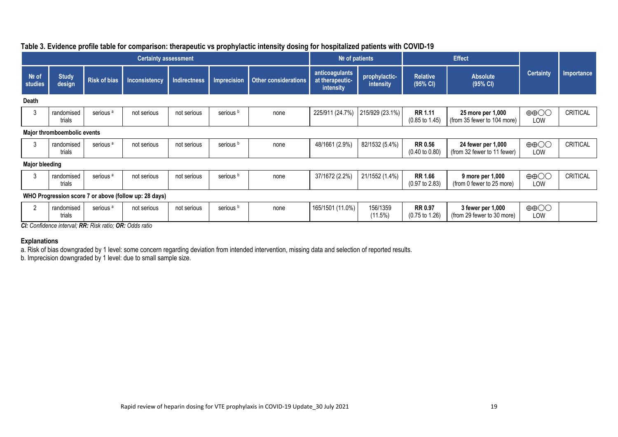|                       | <b>Certainty assessment</b>                           |                                                                                                                                                                                                                                                                                                                                                                                                                                                |                      |              |                      |                             |                                                | $Ne$ of patients           |                                             | <b>Effect</b>                                     |                          |                   |
|-----------------------|-------------------------------------------------------|------------------------------------------------------------------------------------------------------------------------------------------------------------------------------------------------------------------------------------------------------------------------------------------------------------------------------------------------------------------------------------------------------------------------------------------------|----------------------|--------------|----------------------|-----------------------------|------------------------------------------------|----------------------------|---------------------------------------------|---------------------------------------------------|--------------------------|-------------------|
| $Ne$ of<br>studies    | <b>Study</b><br>design                                | <b>Risk of bias</b>                                                                                                                                                                                                                                                                                                                                                                                                                            | <b>Inconsistency</b> | Indirectness | <b>Imprecision</b>   | <b>Other considerations</b> | anticoagulants<br>at therapeutic-<br>intensity | prophylactic-<br>intensity | <b>Relative</b><br>(95% CI)                 | <b>Absolute</b><br>(95% CI)                       | <b>Certainty</b>         | <b>Importance</b> |
| <b>Death</b>          |                                                       |                                                                                                                                                                                                                                                                                                                                                                                                                                                |                      |              |                      |                             |                                                |                            |                                             |                                                   |                          |                   |
| 3                     | randomised<br>trials                                  | serious <sup>a</sup>                                                                                                                                                                                                                                                                                                                                                                                                                           | not serious          | not serious  | serious <sup>b</sup> | none                        | 225/911 (24.7%)                                | 215/929 (23.1%)            | <b>RR 1.11</b><br>$(0.85 \text{ to } 1.45)$ | 25 more per 1,000<br>(from 35 fewer to 104 more)  | $\oplus$ $\oplus$<br>LOW | CRITICAL          |
|                       | Major thromboembolic events                           |                                                                                                                                                                                                                                                                                                                                                                                                                                                |                      |              |                      |                             |                                                |                            |                                             |                                                   |                          |                   |
| 3                     | randomised<br>trials                                  | serious <sup>a</sup>                                                                                                                                                                                                                                                                                                                                                                                                                           | not serious          | not serious  | serious <sup>b</sup> | none                        | 48/1661 (2.9%)                                 | 82/1532 (5.4%)             | <b>RR 0.56</b><br>$(0.40 \text{ to } 0.80)$ | 24 fewer per 1,000<br>(from 32 fewer to 11 fewer) | $\oplus$ $\oplus$<br>LOW | <b>CRITICAL</b>   |
| <b>Major bleeding</b> |                                                       |                                                                                                                                                                                                                                                                                                                                                                                                                                                |                      |              |                      |                             |                                                |                            |                                             |                                                   |                          |                   |
| 3                     | randomised<br>trials                                  | serious <sup>a</sup>                                                                                                                                                                                                                                                                                                                                                                                                                           | not serious          | not serious  | serious <sup>b</sup> | none                        | 37/1672 (2.2%)                                 | 21/1552 (1.4%)             | <b>RR 1.66</b><br>$(0.97 \text{ to } 2.83)$ | 9 more per 1,000<br>(from 0 fewer to 25 more)     | $\oplus$ $\oplus$<br>LOW | CRITICAL          |
|                       | WHO Progression score 7 or above (follow up: 28 days) |                                                                                                                                                                                                                                                                                                                                                                                                                                                |                      |              |                      |                             |                                                |                            |                                             |                                                   |                          |                   |
|                       | randomised<br>trials                                  | serious <sup>a</sup><br>$\mathbf{A} \mathbf{A} \mathbf{A} \mathbf{A} \mathbf{A} \mathbf{A} \mathbf{A} \mathbf{A} \mathbf{A} \mathbf{A} \mathbf{A} \mathbf{A} \mathbf{A} \mathbf{A} \mathbf{A} \mathbf{A} \mathbf{A} \mathbf{A} \mathbf{A} \mathbf{A} \mathbf{A} \mathbf{A} \mathbf{A} \mathbf{A} \mathbf{A} \mathbf{A} \mathbf{A} \mathbf{A} \mathbf{A} \mathbf{A} \mathbf{A} \mathbf{A} \mathbf{A} \mathbf{A} \mathbf{A} \mathbf{A} \mathbf{$ | not serious          | not serious  | serious <sup>b</sup> | none                        | 165/1501 (11.0%)                               | 156/1359<br>(11.5%)        | <b>RR 0.97</b><br>$(0.75 \text{ to } 1.26)$ | 3 fewer per 1,000<br>(from 29 fewer to 30 more)   | $\oplus$ $\oplus$<br>LOW |                   |

# **Table 3. Evidence profile table for comparison: therapeutic vs prophylactic intensity dosing for hospitalized patients with COVID-19**

*CI: Confidence interval; RR: Risk ratio; OR: Odds ratio*

### **Explanations**

a. Risk of bias downgraded by 1 level: some concern regarding deviation from intended intervention, missing data and selection of reported results.

b. Imprecision downgraded by 1 level: due to small sample size.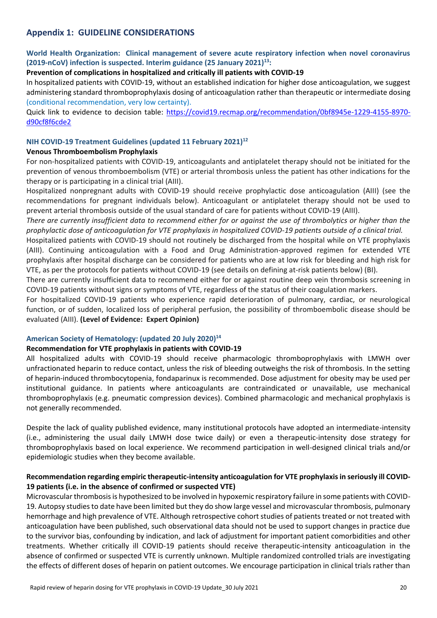# **Appendix 1: GUIDELINE CONSIDERATIONS**

## **World Health Organization: Clinical management of severe acute respiratory infection when novel coronavirus (2019-nCoV) infection is suspected. Interim guidance (25 January 2021) 13 :**

#### **Prevention of complications in hospitalized and critically ill patients with COVID-19**

In hospitalized patients with COVID-19, without an established indication for higher dose anticoagulation, we suggest administering standard thromboprophylaxis dosing of anticoagulation rather than therapeutic or intermediate dosing (conditional recommendation, very low certainty).

Quick link to evidence to decision table: [https://covid19.recmap.org/recommendation/0bf8945e-1229-4155-8970](https://covid19.recmap.org/recommendation/0bf8945e-1229-4155-8970-d90cf8f6cde2) [d90cf8f6cde2](https://covid19.recmap.org/recommendation/0bf8945e-1229-4155-8970-d90cf8f6cde2)

### **NIH COVID-19 Treatment Guidelines (updated 11 February 2021) 12**

#### **Venous Thromboembolism Prophylaxis**

For non-hospitalized patients with COVID-19, anticoagulants and antiplatelet therapy should not be initiated for the prevention of venous thromboembolism (VTE) or arterial thrombosis unless the patient has other indications for the therapy or is participating in a clinical trial (AIII).

Hospitalized nonpregnant adults with COVID-19 should receive prophylactic dose anticoagulation (AIII) (see the recommendations for pregnant individuals below). Anticoagulant or antiplatelet therapy should not be used to prevent arterial thrombosis outside of the usual standard of care for patients without COVID-19 (AIII).

*There are currently insufficient data to recommend either for or against the use of thrombolytics or higher than the prophylactic dose of anticoagulation for VTE prophylaxis in hospitalized COVID-19 patients outside of a clinical trial.*

Hospitalized patients with COVID-19 should not routinely be discharged from the hospital while on VTE prophylaxis (AIII). Continuing anticoagulation with a Food and Drug Administration-approved regimen for extended VTE prophylaxis after hospital discharge can be considered for patients who are at low risk for bleeding and high risk for VTE, as per the protocols for patients without COVID-19 (see details on defining at-risk patients below) (BI).

There are currently insufficient data to recommend either for or against routine deep vein thrombosis screening in COVID-19 patients without signs or symptoms of VTE, regardless of the status of their coagulation markers.

For hospitalized COVID-19 patients who experience rapid deterioration of pulmonary, cardiac, or neurological function, or of sudden, localized loss of peripheral perfusion, the possibility of thromboembolic disease should be evaluated (AIII). **(Level of Evidence: Expert Opinion)**

#### **American Society of Hematology: (updated 20 July 2020)<sup>14</sup>**

#### **Recommendation for VTE prophylaxis in patients with COVID-19**

All hospitalized adults with COVID-19 should receive pharmacologic thromboprophylaxis with LMWH over unfractionated heparin to reduce contact, unless the risk of bleeding outweighs the risk of thrombosis. In the setting of heparin-induced thrombocytopenia, fondaparinux is recommended. Dose adjustment for obesity may be used per institutional guidance. In patients where anticoagulants are contraindicated or unavailable, use mechanical thromboprophylaxis (e.g. pneumatic compression devices). Combined pharmacologic and mechanical prophylaxis is not generally recommended.

Despite the lack of quality published evidence, many institutional protocols have adopted an intermediate-intensity (i.e., administering the usual daily LMWH dose twice daily) or even a therapeutic-intensity dose strategy for thromboprophylaxis based on local experience. We recommend participation in well-designed clinical trials and/or epidemiologic studies when they become available.

### **Recommendation regarding empiric therapeutic-intensity anticoagulation for VTE prophylaxis in seriously ill COVID-19 patients (i.e. in the absence of confirmed or suspected VTE)**

Microvascular thrombosis is hypothesized to be involved in hypoxemic respiratory failure in some patients with COVID-19. Autopsy studies to date have been limited but they do show large vessel and microvascular thrombosis, pulmonary hemorrhage and high prevalence of VTE. Although retrospective cohort studies of patients treated or not treated with anticoagulation have been published, such observational data should not be used to support changes in practice due to the survivor bias, confounding by indication, and lack of adjustment for important patient comorbidities and other treatments. Whether critically ill COVID-19 patients should receive therapeutic-intensity anticoagulation in the absence of confirmed or suspected VTE is currently unknown. Multiple randomized controlled trials are investigating the effects of different doses of heparin on patient outcomes. We encourage participation in clinical trials rather than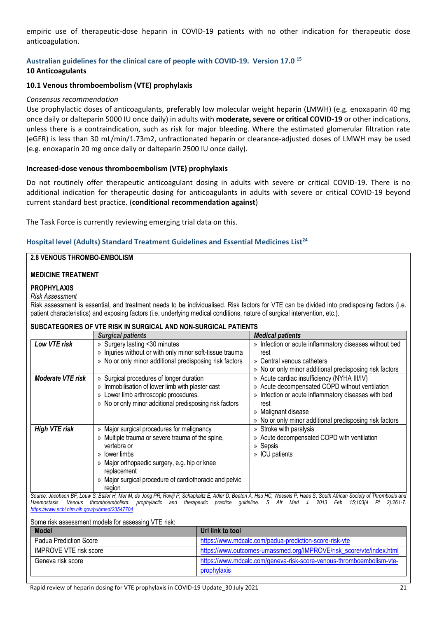empiric use of therapeutic-dose heparin in COVID-19 patients with no other indication for therapeutic dose anticoagulation.

#### **Australian guidelines for the clinical care of people with COVID-19. Version 17.0 <sup>15</sup> 10 Anticoagulants**

# **10.1 Venous thromboembolism (VTE) prophylaxis**

### *Consensus recommendation*

Use prophylactic doses of anticoagulants, preferably low molecular weight heparin (LMWH) (e.g. enoxaparin 40 mg once daily or dalteparin 5000 IU once daily) in adults with **moderate, severe or critical COVID-19** or other indications, unless there is a contraindication, such as risk for major bleeding. Where the estimated glomerular filtration rate (eGFR) is less than 30 mL/min/1.73m2, unfractionated heparin or clearance-adjusted doses of LMWH may be used (e.g. enoxaparin 20 mg once daily or dalteparin 2500 IU once daily).

### **Increased-dose venous thromboembolism (VTE) prophylaxis**

Do not routinely offer therapeutic anticoagulant dosing in adults with severe or critical COVID-19. There is no additional indication for therapeutic dosing for anticoagulants in adults with severe or critical COVID-19 beyond current standard best practice. (**conditional recommendation against**)

The Task Force is currently reviewing emerging trial data on this.

## **Hospital level (Adults) Standard Treatment Guidelines and Essential Medicines List<sup>24</sup>**

#### **2.8 VENOUS THROMBO-EMBOLISM**

#### **MEDICINE TREATMENT**

#### **PROPHYLAXIS**

*Risk Assessment*

Risk assessment is essential, and treatment needs to be individualised. Risk factors for VTE can be divided into predisposing factors (i.e. patient characteristics) and exposing factors (i.e. underlying medical conditions, nature of surgical intervention, etc.).

#### **SUBCATEGORIES OF VTE RISK IN SURGICAL AND NON-SURGICAL PATIENTS**

|                          | <b>Surgical patients</b>                                                                                                                                  | <b>Medical patients</b>                                 |
|--------------------------|-----------------------------------------------------------------------------------------------------------------------------------------------------------|---------------------------------------------------------|
| Low VTE risk             | » Surgery lasting <30 minutes                                                                                                                             | » Infection or acute inflammatory diseases without bed  |
|                          | » Injuries without or with only minor soft-tissue trauma                                                                                                  | rest                                                    |
|                          | » No or only minor additional predisposing risk factors                                                                                                   | » Central venous catheters                              |
|                          |                                                                                                                                                           | » No or only minor additional predisposing risk factors |
| <b>Moderate VTE risk</b> | » Surgical procedures of longer duration                                                                                                                  | » Acute cardiac insufficiency (NYHA III/IV)             |
|                          | » Immobilisation of lower limb with plaster cast                                                                                                          | » Acute decompensated COPD without ventilation          |
|                          | » Lower limb arthroscopic procedures.                                                                                                                     | » Infection or acute inflammatory diseases with bed     |
|                          | » No or only minor additional predisposing risk factors                                                                                                   | rest                                                    |
|                          |                                                                                                                                                           | » Malignant disease                                     |
|                          |                                                                                                                                                           | » No or only minor additional predisposing risk factors |
| <b>High VTE risk</b>     | » Major surgical procedures for malignancy                                                                                                                | » Stroke with paralysis                                 |
|                          | » Multiple trauma or severe trauma of the spine,                                                                                                          | » Acute decompensated COPD with ventilation             |
|                          | vertebra or                                                                                                                                               | » Sepsis                                                |
|                          | » lower limbs                                                                                                                                             | » ICU patients                                          |
|                          | » Major orthopaedic surgery, e.g. hip or knee                                                                                                             |                                                         |
|                          | replacement                                                                                                                                               |                                                         |
|                          | » Major surgical procedure of cardiothoracic and pelvic                                                                                                   |                                                         |
|                          | region<br>Original Jacoberry DE Laure D. Dillard Hand Jacober D. Druit D. Ocherleitz E. Adland Darbara A. Hand D. Hers O. Original Original Thompson in a |                                                         |

Source: Jacobson BF, Louw S, Büller H, Mer M, de Jong PR, Rowji P, Schapkaitz E, Adler D, Beeton A, Hsu HC, Wessels P, Haas S; South African Society of Thrombosis and *Haemostasis. Venous thromboembolism: prophylactic and therapeutic practice guideline. S Afr Med J. 2013 Feb 15;103(4 Pt 2):261-7. <https://www.ncbi.nlm.nih.gov/pubmed/23547704>*

| Some risk assessment models for assessing VTE risk: |                                                                      |  |  |  |  |  |
|-----------------------------------------------------|----------------------------------------------------------------------|--|--|--|--|--|
| <b>Model</b>                                        | Url link to tool                                                     |  |  |  |  |  |
| Padua Prediction Score                              | https://www.mdcalc.com/padua-prediction-score-risk-vte               |  |  |  |  |  |
| <b>IMPROVE VTE risk score</b>                       | https://www.outcomes-umassmed.org/IMPROVE/risk_score/vte/index.html  |  |  |  |  |  |
| Geneva risk score                                   | https://www.mdcalc.com/geneva-risk-score-venous-thromboembolism-vte- |  |  |  |  |  |
|                                                     | prophylaxis                                                          |  |  |  |  |  |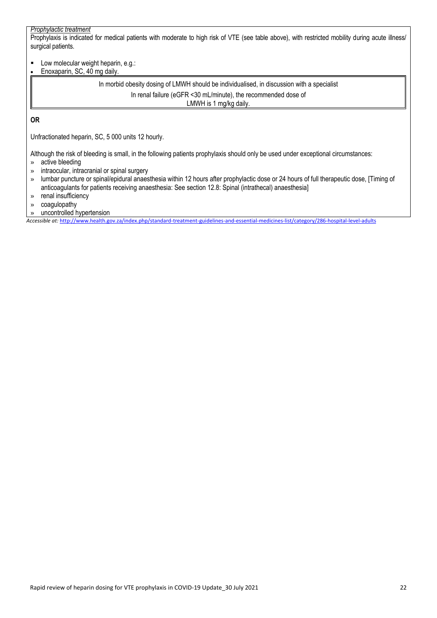#### *Prophylactic treatment*

Prophylaxis is indicated for medical patients with moderate to high risk of VTE (see table above), with restricted mobility during acute illness/ surgical patients.

**Low molecular weight heparin, e.g.:** Enoxaparin, SC, 40 mg daily.

> In morbid obesity dosing of LMWH should be individualised, in discussion with a specialist In renal failure (eGFR <30 mL/minute), the recommended dose of LMWH is 1 mg/kg daily.

**OR**

Unfractionated heparin, SC, 5 000 units 12 hourly.

Although the risk of bleeding is small, in the following patients prophylaxis should only be used under exceptional circumstances:

- » active bleeding
- » intraocular, intracranial or spinal surgery
- » lumbar puncture or spinal/epidural anaesthesia within 12 hours after prophylactic dose or 24 hours of full therapeutic dose, [Timing of anticoagulants for patients receiving anaesthesia: See section 12.8: Spinal (intrathecal) anaesthesia]
- » renal insufficiency
- » coagulopathy
- » uncontrolled hypertension

*Accessible at:* <http://www.health.gov.za/index.php/standard-treatment-guidelines-and-essential-medicines-list/category/286-hospital-level-adults>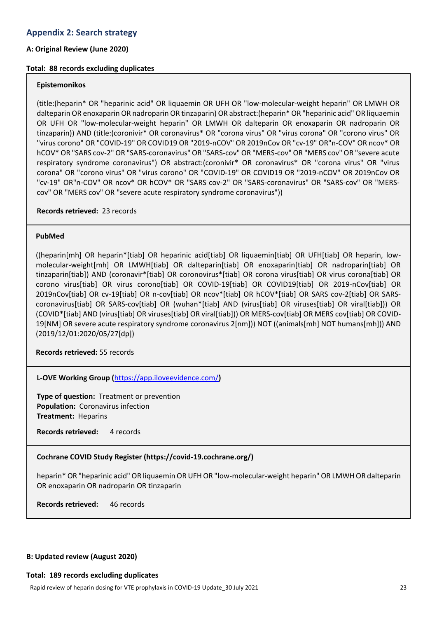#### **A: Original Review (June 2020)**

#### **Total: 88 records excluding duplicates**

#### **Epistemonikos**

(title:(heparin\* OR "heparinic acid" OR liquaemin OR UFH OR "low-molecular-weight heparin" OR LMWH OR dalteparin OR enoxaparin OR nadroparin OR tinzaparin) OR abstract:(heparin\* OR "heparinic acid" OR liquaemin OR UFH OR "low-molecular-weight heparin" OR LMWH OR dalteparin OR enoxaparin OR nadroparin OR tinzaparin)) AND (title:(coronivir\* OR coronavirus\* OR "corona virus" OR "virus corona" OR "corono virus" OR "virus corono" OR "COVID-19" OR COVID19 OR "2019-nCOV" OR 2019nCov OR "cv-19" OR"n-COV" OR ncov\* OR hCOV\* OR "SARS cov-2" OR "SARS-coronavirus" OR "SARS-cov" OR "MERS-cov" OR "MERS cov" OR "severe acute respiratory syndrome coronavirus") OR abstract:(coronivir\* OR coronavirus\* OR "corona virus" OR "virus corona" OR "corono virus" OR "virus corono" OR "COVID-19" OR COVID19 OR "2019-nCOV" OR 2019nCov OR "cv-19" OR"n-COV" OR ncov\* OR hCOV\* OR "SARS cov-2" OR "SARS-coronavirus" OR "SARS-cov" OR "MERScov" OR "MERS cov" OR "severe acute respiratory syndrome coronavirus"))

**Records retrieved:** 23 records

#### **PubMed**

((heparin[mh] OR heparin\*[tiab] OR heparinic acid[tiab] OR liquaemin[tiab] OR UFH[tiab] OR heparin, lowmolecular-weight[mh] OR LMWH[tiab] OR dalteparin[tiab] OR enoxaparin[tiab] OR nadroparin[tiab] OR tinzaparin[tiab]) AND (coronavir\*[tiab] OR coronovirus\*[tiab] OR corona virus[tiab] OR virus corona[tiab] OR corono virus[tiab] OR virus corono[tiab] OR COVID-19[tiab] OR COVID19[tiab] OR 2019-nCov[tiab] OR 2019nCov[tiab] OR cv-19[tiab] OR n-cov[tiab] OR ncov\*[tiab] OR hCOV\*[tiab] OR SARS cov-2[tiab] OR SARScoronavirus[tiab] OR SARS-cov[tiab] OR (wuhan\*[tiab] AND (virus[tiab] OR viruses[tiab] OR viral[tiab])) OR (COVID\*[tiab] AND (virus[tiab] OR viruses[tiab] OR viral[tiab])) OR MERS-cov[tiab] OR MERS cov[tiab] OR COVID-19[NM] OR severe acute respiratory syndrome coronavirus 2[nm])) NOT ((animals[mh] NOT humans[mh])) AND (2019/12/01:2020/05/27[dp])

**Records retrieved:** 55 records

**L-OVE Working Group (**<https://app.iloveevidence.com/>**)**

**Type of question:** Treatment or prevention **Population:** Coronavirus infection **Treatment:** Heparins

**Records retrieved:** 4 records

#### **Cochrane COVID Study Register (https://covid-19.cochrane.org/)**

heparin\* OR "heparinic acid" OR liquaemin OR UFH OR "low-molecular-weight heparin" OR LMWH OR dalteparin OR enoxaparin OR nadroparin OR tinzaparin

**Records retrieved:** 46 records

#### **B: Updated review (August 2020)**

#### **Total: 189 records excluding duplicates**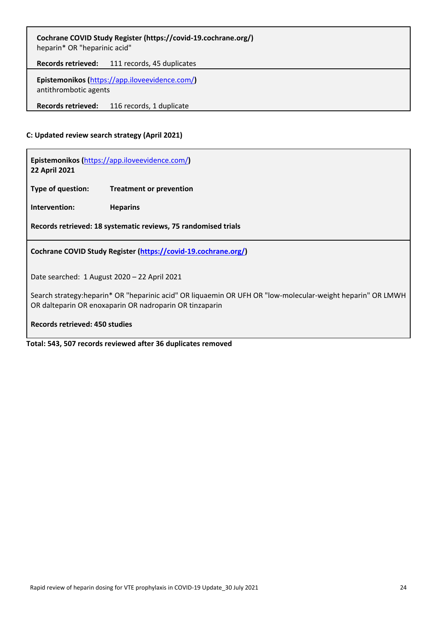| Cochrane COVID Study Register (https://covid-19.cochrane.org/)<br>heparin* OR "heparinic acid" |                            |  |  |  |  |  |
|------------------------------------------------------------------------------------------------|----------------------------|--|--|--|--|--|
| <b>Records retrieved:</b>                                                                      | 111 records, 45 duplicates |  |  |  |  |  |
| Epistemonikos (https://app.iloveevidence.com/)<br>antithrombotic agents                        |                            |  |  |  |  |  |
| <b>Records retrieved:</b>                                                                      | 116 records, 1 duplicate   |  |  |  |  |  |

### **C: Updated review search strategy (April 2021)**

**Epistemonikos (**<https://app.iloveevidence.com/>**) 22 April 2021**

**Type of question: Treatment or prevention**

**Intervention: Heparins**

**Records retrieved: 18 systematic reviews, 75 randomised trials**

**Cochrane COVID Study Register [\(https://covid-19.cochrane.org/\)](https://covid-19.cochrane.org/)**

Date searched: 1 August 2020 – 22 April 2021

Search strategy:heparin\* OR "heparinic acid" OR liquaemin OR UFH OR "low-molecular-weight heparin" OR LMWH OR dalteparin OR enoxaparin OR nadroparin OR tinzaparin

**Records retrieved: 450 studies**

**Total: 543, 507 records reviewed after 36 duplicates removed**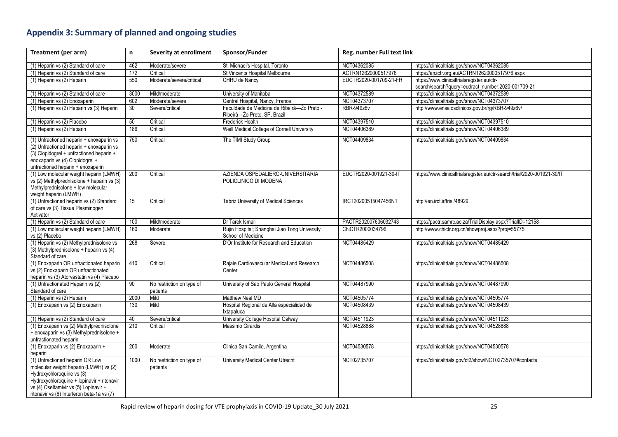# **Appendix 3: Summary of planned and ongoing studies**

| Treatment (per arm)                                                                                                                                                                                                                         | n.   | Severity at enrollment                | Sponsor/Funder                                                              | Reg. number Full text link |                                                                          |
|---------------------------------------------------------------------------------------------------------------------------------------------------------------------------------------------------------------------------------------------|------|---------------------------------------|-----------------------------------------------------------------------------|----------------------------|--------------------------------------------------------------------------|
| (1) Heparin vs (2) Standard of care                                                                                                                                                                                                         | 462  | Moderate/severe                       | St. Michael's Hospital, Toronto                                             | NCT04362085                | https://clinicaltrials.gov/show/NCT04362085                              |
| (1) Heparin vs (2) Standard of care                                                                                                                                                                                                         | 172  | Critical                              | St Vincents Hospital Melbourne                                              | ACTRN12620000517976        | https://anzctr.org.au/ACTRN12620000517976.aspx                           |
| (1) Heparin vs (2) Heparin                                                                                                                                                                                                                  | 550  | Moderate/severe/critical              | CHRU de Nancy                                                               | EUCTR2020-001709-21-FR     | https://www.clinicaltrialsregister.eu/ctr-                               |
|                                                                                                                                                                                                                                             |      |                                       |                                                                             |                            | search/search?query=eudract_number:2020-001709-21                        |
| (1) Heparin vs (2) Standard of care                                                                                                                                                                                                         | 3000 | Mild/moderate                         | University of Manitoba                                                      | NCT04372589                | https://clinicaltrials.gov/show/NCT04372589                              |
| (1) Heparin vs (2) Enoxaparin                                                                                                                                                                                                               | 602  | Moderate/severe                       | Central Hospital, Nancy, France                                             | NCT04373707                | https://clinicaltrials.gov/show/NCT04373707                              |
| (1) Heparin vs (2) Heparin vs (3) Heparin                                                                                                                                                                                                   | 30   | Severe/critical                       | Faculdade de Medicina de Ribeirâ-Žo Preto -<br>Ribeirâ-Žo Preto, SP, Brazil | <b>RBR-949z6v</b>          | http://www.ensaiosclinicos.gov.br/rg/RBR-949z6v/                         |
| (1) Heparin vs (2) Placebo                                                                                                                                                                                                                  | 50   | Critical                              | Frederick Health                                                            | NCT04397510                | https://clinicaltrials.gov/show/NCT04397510                              |
| (1) Heparin vs (2) Heparin                                                                                                                                                                                                                  | 186  | Critical                              | Weill Medical College of Cornell University                                 | NCT04406389                | https://clinicaltrials.gov/show/NCT04406389                              |
| (1) Unfractioned heparin + enoxaparin vs<br>(2) Unfractioned heparin + enoxaparin vs<br>(3) Clopidogrel + unfractioned heparin +<br>enoxaparin vs (4) Clopidogrel +<br>unfractioned heparin + enoxaparin                                    | 750  | Critical                              | The TIMI Study Group                                                        | NCT04409834                | https://clinicaltrials.gov/show/NCT04409834                              |
| (1) Low molecular weight heparin (LMWH)<br>vs (2) Methylprednisolone + heparin vs (3)<br>Methylprednisolone + low molecular<br>weight heparin (LMWH)                                                                                        | 200  | Critical                              | AZIENDA OSPEDALIERO-UNIVERSITARIA<br>POLICLINICO DI MODENA                  | EUCTR2020-001921-30-IT     | https://www.clinicaltrialsregister.eu/ctr-search/trial/2020-001921-30/IT |
| (1) Unfractioned heparin vs (2) Standard<br>of care vs (3) Tissue Plasminogen<br>Activator                                                                                                                                                  | 15   | Critical                              | Tabriz University of Medical Sciences                                       | IRCT20200515047456N1       | http://en.irct.ir/trial/48929                                            |
| (1) Heparin vs (2) Standard of care                                                                                                                                                                                                         | 100  | Mild/moderate                         | Dr Tarek Ismail                                                             | PACTR202007606032743       | https://pactr.samrc.ac.za/TrialDisplay.aspx?TrialID=12158                |
| (1) Low molecular weight heparin (LMWH)<br>vs (2) Placebo                                                                                                                                                                                   | 160  | Moderate                              | Rujin Hospital; Shanghai Jiao Tong University<br>School of Medicine         | ChiCTR2000034796           | http://www.chictr.org.cn/showproj.aspx?proj=55775                        |
| (1) Heparin vs (2) Methylprednisolone vs<br>(3) Methylprednisolone + heparin vs (4)<br>Standard of care                                                                                                                                     | 268  | Severe                                | D'Or Institute for Research and Education                                   | NCT04485429                | https://clinicaltrials.gov/show/NCT04485429                              |
| (1) Enoxaparin OR unfractionated heparin<br>vs (2) Enoxaparin OR unfractionated<br>heparin vs (3) Atorvastatin vs (4) Placebo                                                                                                               | 410  | Critical                              | Rajaie Cardiovascular Medical and Research<br>Center                        | NCT04486508                | https://clinicaltrials.gov/show/NCT04486508                              |
| (1) Unfractionated Heparin vs (2)<br>Standard of care                                                                                                                                                                                       | 90   | No restriction on type of<br>patients | University of Sao Paulo General Hospital                                    | NCT04487990                | https://clinicaltrials.gov/show/NCT04487990                              |
| (1) Heparin vs (2) Heparin                                                                                                                                                                                                                  | 2000 | Mild                                  | Matthew Neal MD                                                             | NCT04505774                | https://clinicaltrials.gov/show/NCT04505774                              |
| (1) Enoxaparin vs (2) Enoxaparin                                                                                                                                                                                                            | 130  | Mild                                  | Hospital Regional de Alta especialidad de<br>Ixtapaluca                     | NCT04508439                | https://clinicaltrials.gov/show/NCT04508439                              |
| (1) Heparin vs (2) Standard of care                                                                                                                                                                                                         | 40   | Severe/critical                       | University College Hospital Galway                                          | NCT04511923                | https://clinicaltrials.gov/show/NCT04511923                              |
| (1) Enoxaparin vs (2) Methylprednisolone<br>+ enoxaparin vs (3) Methylprednisolone +<br>unfractionated heparin                                                                                                                              | 210  | Critical                              | Massimo Girardis                                                            | NCT04528888                | https://clinicaltrials.gov/show/NCT04528888                              |
| (1) Enoxaparin vs (2) Enoxaparin +<br>heparin                                                                                                                                                                                               | 200  | Moderate                              | Clinica San Camilo, Argentina                                               | NCT04530578                | https://clinicaltrials.gov/show/NCT04530578                              |
| (1) Unfractioned heparin OR Low<br>molecular weight heparin (LMWH) vs (2)<br>Hydroxychloroquine vs (3)<br>Hydroxychloroquine + lopinavir + ritonavir<br>vs (4) Oseltamivir vs (5) Lopinavir +<br>ritonavir vs (6) Interferon beta-1a vs (7) | 1000 | No restriction on type of<br>patients | University Medical Center Utrecht                                           | NCT02735707                | https://clinicaltrials.gov/ct2/show/NCT02735707#contacts                 |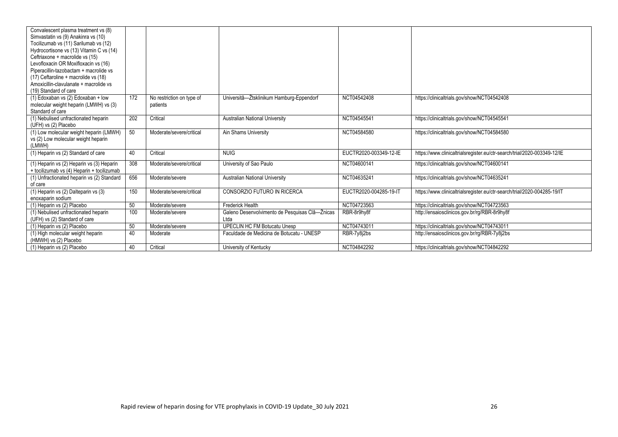| Convalescent plasma treatment vs (8)<br>Simvastatin vs (9) Anakinra vs (10)    |     |                           |                                                |                        |                                                                          |
|--------------------------------------------------------------------------------|-----|---------------------------|------------------------------------------------|------------------------|--------------------------------------------------------------------------|
|                                                                                |     |                           |                                                |                        |                                                                          |
| Tocilizumab vs (11) Sarilumab vs (12)                                          |     |                           |                                                |                        |                                                                          |
| Hydrocortisone vs (13) Vitamin C vs (14)                                       |     |                           |                                                |                        |                                                                          |
| Ceftriaxone + macrolide vs (15)                                                |     |                           |                                                |                        |                                                                          |
| Levofloxacin OR Moxifloxacin vs (16)                                           |     |                           |                                                |                        |                                                                          |
| Piperacillin-tazobactam + macrolide vs                                         |     |                           |                                                |                        |                                                                          |
| (17) Ceftaroline + macrolide vs (18)<br>Amoxicillin-clavulanate + macrolide vs |     |                           |                                                |                        |                                                                          |
| (19) Standard of care                                                          |     |                           |                                                |                        |                                                                          |
|                                                                                |     |                           |                                                |                        |                                                                          |
| (1) Edoxaban vs (2) Edoxaban + low                                             | 172 | No restriction on type of | Universitâ-Ztsklinikum Hamburg-Eppendorf       | NCT04542408            | https://clinicaltrials.gov/show/NCT04542408                              |
| molecular weight heparin (LMWH) vs (3)<br>Standard of care                     |     | patients                  |                                                |                        |                                                                          |
|                                                                                | 202 |                           |                                                | NCT04545541            |                                                                          |
| (1) Nebulised unfractionated heparin                                           |     | Critical                  | <b>Australian National University</b>          |                        | https://clinicaltrials.gov/show/NCT04545541                              |
| (UFH) vs (2) Placebo                                                           |     |                           |                                                |                        |                                                                          |
| (1) Low molecular weight heparin (LMWH)                                        | 50  | Moderate/severe/critical  | Ain Shams University                           | NCT04584580            | https://clinicaltrials.gov/show/NCT04584580                              |
| vs (2) Low molecular weight heparin                                            |     |                           |                                                |                        |                                                                          |
| (LMWH)                                                                         |     |                           |                                                |                        |                                                                          |
| (1) Heparin vs (2) Standard of care                                            | 40  | Critical                  | <b>NUIG</b>                                    | EUCTR2020-003349-12-IE | https://www.clinicaltrialsregister.eu/ctr-search/trial/2020-003349-12/IE |
| (1) Heparin vs (2) Heparin vs (3) Heparin                                      | 308 | Moderate/severe/critical  | University of Sao Paulo                        | NCT04600141            | https://clinicaltrials.gov/show/NCT04600141                              |
| + tocilizumab vs (4) Heparin + tocilizumab                                     |     |                           |                                                |                        |                                                                          |
| (1) Unfractionated heparin vs (2) Standard                                     | 656 | Moderate/severe           | Australian National University                 | NCT04635241            | https://clinicaltrials.gov/show/NCT04635241                              |
| of care                                                                        |     |                           |                                                |                        |                                                                          |
| (1) Heparin vs (2) Dalteparin vs (3)                                           | 150 | Moderate/severe/critical  | CONSORZIO FUTURO IN RICERCA                    | EUCTR2020-004285-19-IT | https://www.clinicaltrialsregister.eu/ctr-search/trial/2020-004285-19/IT |
| enoxaparin sodium                                                              |     |                           |                                                |                        |                                                                          |
| (1) Heparin vs (2) Placebo                                                     | 50  | Moderate/severe           | <b>Frederick Health</b>                        | NCT04723563            | https://clinicaltrials.gov/show/NCT04723563                              |
| (1) Nebulised unfractionated heparin                                           | 100 | Moderate/severe           | Galeno Desenvolvimento de Pesquisas Clâ-Žnicas | RBR-8r9hy8f            | http://ensaiosclinicos.gov.br/rg/RBR-8r9hy8f                             |
| (UFH) vs (2) Standard of care                                                  |     |                           | Ltda                                           |                        |                                                                          |
| (1) Heparin vs (2) Placebo                                                     | 50  | Moderate/severe           | <b>UPECLIN HC FM Botucatu Unesp</b>            | NCT04743011            | https://clinicaltrials.gov/show/NCT04743011                              |
| (1) High molecular weight heparin                                              | 40  | Moderate                  | Faculdade de Medicina de Botucatu - UNESP      | RBR-7y8i2bs            | http://ensaiosclinicos.gov.br/rg/RBR-7y8j2bs                             |
| (HMWH) vs (2) Placebo                                                          |     |                           |                                                |                        |                                                                          |
| (1) Heparin vs (2) Placebo                                                     | 40  | Critical                  | University of Kentucky                         | NCT04842292            | https://clinicaltrials.gov/show/NCT04842292                              |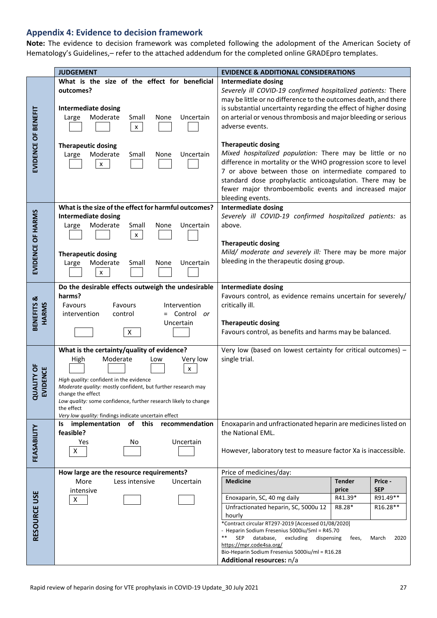# **Appendix 4: Evidence to decision framework**

**Note:** The evidence to decision framework was completed following the adolopment of the American Society of Hematology's Guidelines,– refer to the attached addendum for the completed online GRADEpro templates.

|                                          | <b>JUDGEMENT</b>                                                                                                                                                                                                                                                                                                                                                | <b>EVIDENCE &amp; ADDITIONAL CONSIDERATIONS</b>                                                                                                                                                                                                                                                                                                                                                                                                                                                                                        |
|------------------------------------------|-----------------------------------------------------------------------------------------------------------------------------------------------------------------------------------------------------------------------------------------------------------------------------------------------------------------------------------------------------------------|----------------------------------------------------------------------------------------------------------------------------------------------------------------------------------------------------------------------------------------------------------------------------------------------------------------------------------------------------------------------------------------------------------------------------------------------------------------------------------------------------------------------------------------|
| EVIDENCE OF BENEFIT                      | What is the size of the effect for beneficial<br>outcomes?<br><b>Intermediate dosing</b><br>Moderate<br>Uncertain<br>Large<br>Small<br>None<br>$\pmb{\mathsf{X}}$<br><b>Therapeutic dosing</b><br>Moderate<br>Uncertain<br>Large<br>Small<br>None                                                                                                               | Intermediate dosing<br>Severely ill COVID-19 confirmed hospitalized patients: There<br>may be little or no difference to the outcomes death, and there<br>is substantial uncertainty regarding the effect of higher dosing<br>on arterial or venous thrombosis and major bleeding or serious<br>adverse events.<br><b>Therapeutic dosing</b><br>Mixed hospitalized population: There may be little or no                                                                                                                               |
|                                          | $\pmb{\mathsf{X}}$                                                                                                                                                                                                                                                                                                                                              | difference in mortality or the WHO progression score to level<br>7 or above between those on intermediate compared to<br>standard dose prophylactic anticoagulation. There may be<br>fewer major thromboembolic events and increased major<br>bleeding events.                                                                                                                                                                                                                                                                         |
| EVIDENCE OF HARMS                        | What is the size of the effect for harmful outcomes?<br><b>Intermediate dosing</b><br>Moderate<br>Small<br>Uncertain<br>Large<br>None<br>$\pmb{\mathsf{X}}$<br><b>Therapeutic dosing</b><br>Moderate<br>Uncertain<br>Large<br>Small<br>None<br>$\pmb{\mathsf{X}}$                                                                                               | <b>Intermediate dosing</b><br>Severely ill COVID-19 confirmed hospitalized patients: as<br>above.<br><b>Therapeutic dosing</b><br>Mild/ moderate and severely ill: There may be more major<br>bleeding in the therapeutic dosing group.                                                                                                                                                                                                                                                                                                |
| BENEFITS &<br>HARMS                      | Do the desirable effects outweigh the undesirable<br>harms?<br>Favours<br>Favours<br>Intervention<br>= Control or<br>intervention<br>control<br>Uncertain<br>X                                                                                                                                                                                                  | <b>Intermediate dosing</b><br>Favours control, as evidence remains uncertain for severely/<br>critically ill.<br><b>Therapeutic dosing</b><br>Favours control, as benefits and harms may be balanced.                                                                                                                                                                                                                                                                                                                                  |
| <b>JALITY OF</b><br>VIDENCE<br>$\vec{a}$ | What is the certainty/quality of evidence?<br>Moderate<br>High<br>Very low<br>Low<br>x<br>High quality: confident in the evidence<br>Moderate quality: mostly confident, but further research may<br>change the effect<br>Low quality: some confidence, further research likely to change<br>the effect<br>Very low quality: findings indicate uncertain effect | Very low (based on lowest certainty for critical outcomes) -<br>single trial.                                                                                                                                                                                                                                                                                                                                                                                                                                                          |
| FEASABILITY                              | implementation of this recommendation<br>Is.<br>feasible?<br>Uncertain<br>Yes<br>No<br>X                                                                                                                                                                                                                                                                        | Enoxaparin and unfractionated heparin are medicines listed on<br>the National EML.<br>However, laboratory test to measure factor Xa is inaccessible.                                                                                                                                                                                                                                                                                                                                                                                   |
| RESOURCE USE                             | How large are the resource requirements?<br>Less intensive<br>More<br>Uncertain<br>intensive<br>X                                                                                                                                                                                                                                                               | Price of medicines/day:<br><b>Medicine</b><br><b>Tender</b><br>Price -<br><b>SEP</b><br>price<br>R91.49**<br>Enoxaparin, SC, 40 mg daily<br>R41.39*<br>Unfractionated heparin, SC, 5000u 12<br>R8.28*<br>R16.28**<br>hourly<br>*Contract circular RT297-2019 [Accessed 01/08/2020]<br>- Heparin Sodium Fresenius 5000iu/5ml = R45.70<br><b>SEP</b><br>**<br>database,<br>excluding<br>2020<br>dispensing<br>fees,<br>March<br>https://mpr.code4sa.org/<br>Bio-Heparin Sodium Fresenius 5000iu/ml = R16.28<br>Additional resources: n/a |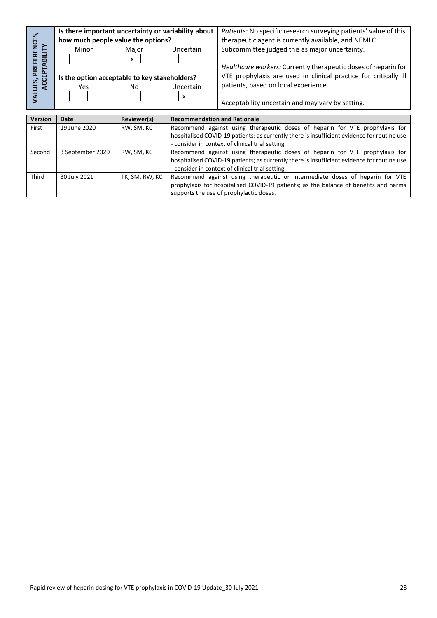|                                               | Is there important uncertainty or variability about |                           |                                     | Patients: No specific research surveying patients' value of this |
|-----------------------------------------------|-----------------------------------------------------|---------------------------|-------------------------------------|------------------------------------------------------------------|
|                                               | how much people value the options?                  |                           |                                     | therapeutic agent is currently available, and NEMLC              |
| ERENCES,<br>È                                 | Minor                                               | Major                     | Uncertain                           | Subcommittee judged this as major uncertainty.                   |
| <b><i>V</i>ALUES, PREFERE<br/>ACCEPTABILI</b> |                                                     | $\boldsymbol{\mathsf{x}}$ |                                     |                                                                  |
|                                               |                                                     |                           |                                     | Healthcare workers: Currently therapeutic doses of heparin for   |
|                                               | Is the option acceptable to key stakeholders?       |                           |                                     | VTE prophylaxis are used in clinical practice for critically ill |
|                                               | Yes                                                 | No                        | Uncertain                           | patients, based on local experience.                             |
|                                               |                                                     |                           | x                                   |                                                                  |
|                                               |                                                     |                           |                                     | Acceptability uncertain and may vary by setting.                 |
|                                               |                                                     |                           |                                     |                                                                  |
| Version                                       | Date                                                | Reviewer(s)               | <b>Recommendation and Rationale</b> |                                                                  |

| First  | 19 June 2020     | RW, SM, KC     | Recommend against using therapeutic doses of heparin for VTE prophylaxis for                |
|--------|------------------|----------------|---------------------------------------------------------------------------------------------|
|        |                  |                | hospitalised COVID-19 patients; as currently there is insufficient evidence for routine use |
|        |                  |                | - consider in context of clinical trial setting.                                            |
| Second | 3 September 2020 | RW, SM, KC     | Recommend against using therapeutic doses of heparin for VTE prophylaxis for                |
|        |                  |                | hospitalised COVID-19 patients; as currently there is insufficient evidence for routine use |
|        |                  |                | - consider in context of clinical trial setting.                                            |
| Third  | 30 July 2021     | TK, SM, RW, KC | Recommend against using therapeutic or intermediate doses of heparin for VTE                |
|        |                  |                | prophylaxis for hospitalised COVID-19 patients; as the balance of benefits and harms        |
|        |                  |                | supports the use of prophylactic doses.                                                     |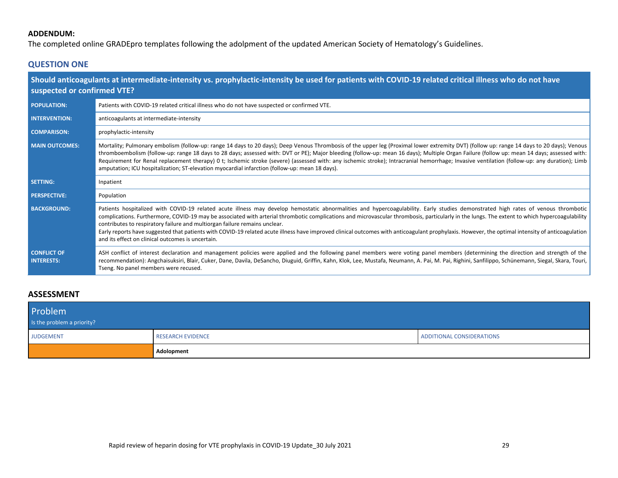## **ADDENDUM:**

The completed online GRADEpro templates following the adolpment of the updated American Society of Hematology's Guidelines.

# **QUESTION ONE**

| suspected or confirmed VTE?             | Should anticoagulants at intermediate-intensity vs. prophylactic-intensity be used for patients with COVID-19 related critical illness who do not have                                                                                                                                                                                                                                                                                                                                                                                                                                                                                                                                                                    |
|-----------------------------------------|---------------------------------------------------------------------------------------------------------------------------------------------------------------------------------------------------------------------------------------------------------------------------------------------------------------------------------------------------------------------------------------------------------------------------------------------------------------------------------------------------------------------------------------------------------------------------------------------------------------------------------------------------------------------------------------------------------------------------|
| <b>POPULATION:</b>                      | Patients with COVID-19 related critical illness who do not have suspected or confirmed VTE.                                                                                                                                                                                                                                                                                                                                                                                                                                                                                                                                                                                                                               |
| <b>INTERVENTION:</b>                    | anticoagulants at intermediate-intensity                                                                                                                                                                                                                                                                                                                                                                                                                                                                                                                                                                                                                                                                                  |
| <b>COMPARISON:</b>                      | prophylactic-intensity                                                                                                                                                                                                                                                                                                                                                                                                                                                                                                                                                                                                                                                                                                    |
| <b>MAIN OUTCOMES:</b>                   | Mortality; Pulmonary embolism (follow-up: range 14 days to 20 days); Deep Venous Thrombosis of the upper leg (Proximal lower extremity DVT) (follow up: range 14 days to 20 days); Venous<br>thromboembolism (follow-up: range 18 days to 28 days; assessed with: DVT or PE); Major bleeding (follow-up: mean 16 days); Multiple Organ Failure (follow up: mean 14 days; assessed with:<br>Requirement for Renal replacement therapy) 0 t; Ischemic stroke (severe) (assessed with: any ischemic stroke); Intracranial hemorrhage; Invasive ventilation (follow-up: any duration); Limb<br>amputation; ICU hospitalization; ST-elevation myocardial infarction (follow-up: mean 18 days).                                 |
| <b>SETTING:</b>                         | Inpatient                                                                                                                                                                                                                                                                                                                                                                                                                                                                                                                                                                                                                                                                                                                 |
| <b>PERSPECTIVE:</b>                     | Population                                                                                                                                                                                                                                                                                                                                                                                                                                                                                                                                                                                                                                                                                                                |
| <b>BACKGROUND:</b>                      | Patients hospitalized with COVID-19 related acute illness may develop hemostatic abnormalities and hypercoagulability. Early studies demonstrated high rates of venous thrombotic<br>complications. Furthermore, COVID-19 may be associated with arterial thrombotic complications and microvascular thrombosis, particularly in the lungs. The extent to which hypercoagulability<br>contributes to respiratory failure and multiorgan failure remains unclear.<br>Early reports have suggested that patients with COVID-19 related acute illness have improved clinical outcomes with anticoagulant prophylaxis. However, the optimal intensity of anticoagulation<br>and its effect on clinical outcomes is uncertain. |
| <b>CONFLICT OF</b><br><b>INTERESTS:</b> | ASH conflict of interest declaration and management policies were applied and the following panel members were voting panel members (determining the direction and strength of the<br>recommendation): Angchaisuksiri, Blair, Cuker, Dane, Davila, DeSancho, Diuguid, Griffin, Kahn, Klok, Lee, Mustafa, Neumann, A. Pai, M. Pai, Righini, Sanfilippo, Schünemann, Siegal, Skara, Touri,<br>Tseng. No panel members were recused.                                                                                                                                                                                                                                                                                         |

### **ASSESSMENT**

| Problem<br>Is the problem a priority? |                          |                           |
|---------------------------------------|--------------------------|---------------------------|
| <b>JUDGEMENT</b>                      | <b>RESEARCH EVIDENCE</b> | ADDITIONAL CONSIDERATIONS |
|                                       | Adolopment               |                           |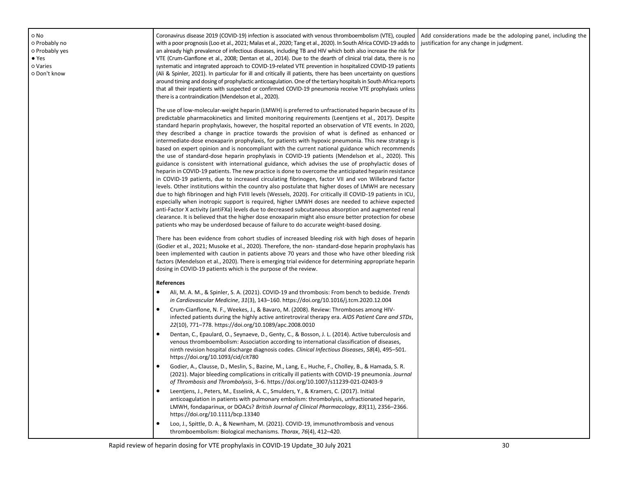○ No ○ Probably no ○ Probably yes ● Yes ○ Varies ○ Don't know

Coronavirus disease 2019 (COVID-19) infection is associated with venous thromboembolism (VTE), coupled with a poor prognosis (Loo et al., 2021; Malas et al., 2020; Tang et al., 2020). In South Africa COVID-19 adds to an already high prevalence of infectious diseases, including TB and HIV which both also increase the risk for VTE (Crum-Cianflone et al., 2008; Dentan et al., 2014). Due to the dearth of clinical trial data, there is no systematic and integrated approach to COVID-19-related VTE prevention in hospitalized COVID-19 patients (Ali & Spinler, 2021). In particular for ill and critically ill patients, there has been uncertainty on questions around timing and dosing of prophylactic anticoagulation. One of the tertiary hospitals in South Africa reports that all their inpatients with suspected or confirmed COVID-19 pneumonia receive VTE prophylaxis unless there is a contraindication (Mendelson et al., 2020).

The use of low-molecular-weight heparin (LMWH) is preferred to unfractionated heparin because of its predictable pharmacokinetics and limited monitoring requirements (Leentjens et al., 2017). Despite standard heparin prophylaxis, however, the hospital reported an observation of VTE events. In 2020, they described a change in practice towards the provision of what is defined as enhanced or intermediate-dose enoxaparin prophylaxis, for patients with hypoxic pneumonia. This new strategy is based on expert opinion and is noncompliant with the current national guidance which recommends the use of standard-dose heparin prophylaxis in COVID-19 patients (Mendelson et al., 2020). This guidance is consistent with international guidance, which advises the use of prophylactic doses of heparin in COVID-19 patients. The new practice is done to overcome the anticipated heparin resistance in COVID-19 patients, due to increased circulating fibrinogen, factor VII and von Willebrand factor levels. Other institutions within the country also postulate that higher doses of LMWH are necessary due to high fibrinogen and high FVIII levels (Wessels, 2020). For critically ill COVID-19 patients in ICU, especially when inotropic support is required, higher LMWH doses are needed to achieve expected anti-Factor X activity (antiFXa) levels due to decreased subcutaneous absorption and augmented renal clearance. It is believed that the higher dose enoxaparin might also ensure better protection for obese patients who may be underdosed because of failure to do accurate weight-based dosing.

There has been evidence from cohort studies of increased bleeding risk with high doses of heparin (Godier et al., 2021; Musoke et al., 2020). Therefore, the non- standard-dose heparin prophylaxis has been implemented with caution in patients above 70 years and those who have other bleeding risk factors (Mendelson et al., 2020). There is emerging trial evidence for determining appropriate heparin dosing in COVID-19 patients which is the purpose of the review.

#### **References**

- Ali, M. A. M., & Spinler, S. A. (2021). COVID-19 and thrombosis: From bench to bedside. *Trends in Cardiovascular Medicine*, *31*(3), 143–160. https://doi.org/10.1016/j.tcm.2020.12.004
- Crum-Cianflone, N. F., Weekes, J., & Bavaro, M. (2008). Review: Thromboses among HIVinfected patients during the highly active antiretroviral therapy era. *AIDS Patient Care and STDs*, *22*(10), 771–778. https://doi.org/10.1089/apc.2008.0010
- Dentan, C., Epaulard, O., Seynaeve, D., Genty, C., & Bosson, J. L. (2014). Active tuberculosis and venous thromboembolism: Association according to international classification of diseases, ninth revision hospital discharge diagnosis codes. *Clinical Infectious Diseases*, *58*(4), 495–501. https://doi.org/10.1093/cid/cit780
- Godier, A., Clausse, D., Meslin, S., Bazine, M., Lang, E., Huche, F., Cholley, B., & Hamada, S. R. (2021). Major bleeding complications in critically ill patients with COVID-19 pneumonia. *Journal of Thrombosis and Thrombolysis*, 3–6. https://doi.org/10.1007/s11239-021-02403-9
- Leentjens, J., Peters, M., Esselink, A. C., Smulders, Y., & Kramers, C. (2017). Initial anticoagulation in patients with pulmonary embolism: thrombolysis, unfractionated heparin, LMWH, fondaparinux, or DOACs? *British Journal of Clinical Pharmacology*, *83*(11), 2356–2366. https://doi.org/10.1111/bcp.13340
- Loo, J., Spittle, D. A., & Newnham, M. (2021). COVID-19, immunothrombosis and venous thromboembolism: Biological mechanisms. *Thorax*, *76*(4), 412–420.

Add considerations made be the adoloping panel, including the justification for any change in judgment.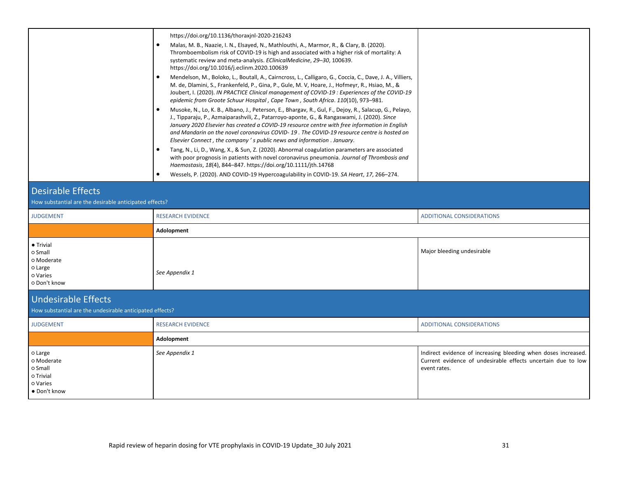|                                                                                        | https://doi.org/10.1136/thoraxjnl-2020-216243<br>$\bullet$<br>Malas, M. B., Naazie, I. N., Elsayed, N., Mathlouthi, A., Marmor, R., & Clary, B. (2020).<br>Thromboembolism risk of COVID-19 is high and associated with a higher risk of mortality: A<br>systematic review and meta-analysis. EClinicalMedicine, 29-30, 100639.<br>https://doi.org/10.1016/j.eclinm.2020.100639<br>$\bullet$<br>Mendelson, M., Boloko, L., Boutall, A., Cairncross, L., Calligaro, G., Coccia, C., Dave, J. A., Villiers,<br>M. de, Dlamini, S., Frankenfeld, P., Gina, P., Gule, M. V, Hoare, J., Hofmeyr, R., Hsiao, M., &<br>Joubert, I. (2020). IN PRACTICE Clinical management of COVID-19 : Experiences of the COVID-19 |                                                                                                                                                |
|----------------------------------------------------------------------------------------|---------------------------------------------------------------------------------------------------------------------------------------------------------------------------------------------------------------------------------------------------------------------------------------------------------------------------------------------------------------------------------------------------------------------------------------------------------------------------------------------------------------------------------------------------------------------------------------------------------------------------------------------------------------------------------------------------------------|------------------------------------------------------------------------------------------------------------------------------------------------|
|                                                                                        | epidemic from Groote Schuur Hospital, Cape Town, South Africa. 110(10), 973-981.<br>$\bullet$<br>Musoke, N., Lo, K. B., Albano, J., Peterson, E., Bhargav, R., Gul, F., Dejoy, R., Salacup, G., Pelayo,<br>J., Tipparaju, P., Azmaiparashvili, Z., Patarroyo-aponte, G., & Rangaswami, J. (2020). Since<br>January 2020 Elsevier has created a COVID-19 resource centre with free information in English<br>and Mandarin on the novel coronavirus COVID-19. The COVID-19 resource centre is hosted on<br>Elsevier Connect, the company's public news and information. January.                                                                                                                                |                                                                                                                                                |
|                                                                                        | $\bullet$<br>Tang, N., Li, D., Wang, X., & Sun, Z. (2020). Abnormal coagulation parameters are associated<br>with poor prognosis in patients with novel coronavirus pneumonia. Journal of Thrombosis and<br>Haemostasis, 18(4), 844-847. https://doi.org/10.1111/jth.14768<br>Wessels, P. (2020). AND COVID-19 Hypercoagulability in COVID-19. SA Heart, 17, 266-274.<br>$\bullet$                                                                                                                                                                                                                                                                                                                            |                                                                                                                                                |
| <b>Desirable Effects</b><br>How substantial are the desirable anticipated effects?     |                                                                                                                                                                                                                                                                                                                                                                                                                                                                                                                                                                                                                                                                                                               |                                                                                                                                                |
| <b>JUDGEMENT</b>                                                                       | <b>RESEARCH EVIDENCE</b>                                                                                                                                                                                                                                                                                                                                                                                                                                                                                                                                                                                                                                                                                      | <b>ADDITIONAL CONSIDERATIONS</b>                                                                                                               |
|                                                                                        | Adolopment                                                                                                                                                                                                                                                                                                                                                                                                                                                                                                                                                                                                                                                                                                    |                                                                                                                                                |
| • Trivial<br>o Small<br>o Moderate<br>o Large<br>o Varies<br>o Don't know              | See Appendix 1                                                                                                                                                                                                                                                                                                                                                                                                                                                                                                                                                                                                                                                                                                | Major bleeding undesirable                                                                                                                     |
| <b>Undesirable Effects</b><br>How substantial are the undesirable anticipated effects? |                                                                                                                                                                                                                                                                                                                                                                                                                                                                                                                                                                                                                                                                                                               |                                                                                                                                                |
| <b>JUDGEMENT</b>                                                                       | <b>RESEARCH EVIDENCE</b>                                                                                                                                                                                                                                                                                                                                                                                                                                                                                                                                                                                                                                                                                      | <b>ADDITIONAL CONSIDERATIONS</b>                                                                                                               |
|                                                                                        | Adolopment                                                                                                                                                                                                                                                                                                                                                                                                                                                                                                                                                                                                                                                                                                    |                                                                                                                                                |
| o Large<br>o Moderate<br>o Small<br>o Trivial<br>o Varies<br>• Don't know              | See Appendix 1                                                                                                                                                                                                                                                                                                                                                                                                                                                                                                                                                                                                                                                                                                | Indirect evidence of increasing bleeding when doses increased.<br>Current evidence of undesirable effects uncertain due to low<br>event rates. |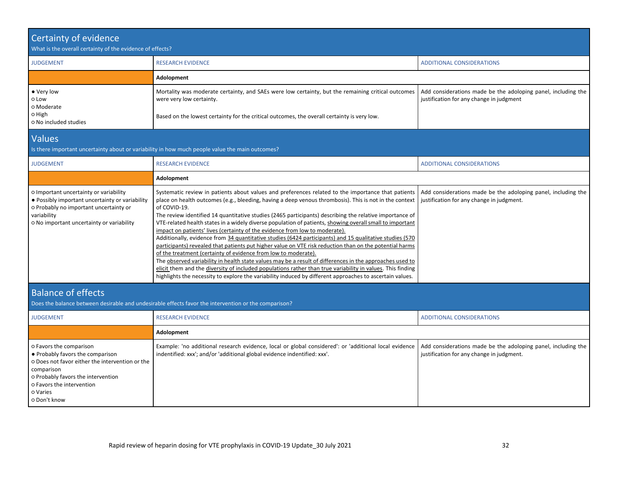| <b>Certainty of evidence</b><br>What is the overall certainty of the evidence of effects?                                                                                                                                   |                                                                                                                                                                                                                                                                                                                                                                                                                                                                                                                                                                                                                                                                                                                                                                                                                                                                                                                                                                                                                                                                                                                                                                  |                                                                                                            |
|-----------------------------------------------------------------------------------------------------------------------------------------------------------------------------------------------------------------------------|------------------------------------------------------------------------------------------------------------------------------------------------------------------------------------------------------------------------------------------------------------------------------------------------------------------------------------------------------------------------------------------------------------------------------------------------------------------------------------------------------------------------------------------------------------------------------------------------------------------------------------------------------------------------------------------------------------------------------------------------------------------------------------------------------------------------------------------------------------------------------------------------------------------------------------------------------------------------------------------------------------------------------------------------------------------------------------------------------------------------------------------------------------------|------------------------------------------------------------------------------------------------------------|
| <b>JUDGEMENT</b>                                                                                                                                                                                                            | <b>RESEARCH EVIDENCE</b>                                                                                                                                                                                                                                                                                                                                                                                                                                                                                                                                                                                                                                                                                                                                                                                                                                                                                                                                                                                                                                                                                                                                         | <b>ADDITIONAL CONSIDERATIONS</b>                                                                           |
|                                                                                                                                                                                                                             | Adolopment                                                                                                                                                                                                                                                                                                                                                                                                                                                                                                                                                                                                                                                                                                                                                                                                                                                                                                                                                                                                                                                                                                                                                       |                                                                                                            |
| • Very low<br>o Low<br>o Moderate<br>O High                                                                                                                                                                                 | Mortality was moderate certainty, and SAEs were low certainty, but the remaining critical outcomes<br>were very low certainty.<br>Based on the lowest certainty for the critical outcomes, the overall certainty is very low.                                                                                                                                                                                                                                                                                                                                                                                                                                                                                                                                                                                                                                                                                                                                                                                                                                                                                                                                    | Add considerations made be the adoloping panel, including the<br>justification for any change in judgment  |
| O No included studies                                                                                                                                                                                                       |                                                                                                                                                                                                                                                                                                                                                                                                                                                                                                                                                                                                                                                                                                                                                                                                                                                                                                                                                                                                                                                                                                                                                                  |                                                                                                            |
| <b>Values</b>                                                                                                                                                                                                               | Is there important uncertainty about or variability in how much people value the main outcomes?                                                                                                                                                                                                                                                                                                                                                                                                                                                                                                                                                                                                                                                                                                                                                                                                                                                                                                                                                                                                                                                                  |                                                                                                            |
| <b>JUDGEMENT</b>                                                                                                                                                                                                            | <b>RESEARCH EVIDENCE</b>                                                                                                                                                                                                                                                                                                                                                                                                                                                                                                                                                                                                                                                                                                                                                                                                                                                                                                                                                                                                                                                                                                                                         | <b>ADDITIONAL CONSIDERATIONS</b>                                                                           |
|                                                                                                                                                                                                                             | Adolopment                                                                                                                                                                                                                                                                                                                                                                                                                                                                                                                                                                                                                                                                                                                                                                                                                                                                                                                                                                                                                                                                                                                                                       |                                                                                                            |
| o Important uncertainty or variability<br>. Possibly important uncertainty or variability<br>o Probably no important uncertainty or<br>variability<br>O No important uncertainty or variability                             | Systematic review in patients about values and preferences related to the importance that patients<br>place on health outcomes (e.g., bleeding, having a deep venous thrombosis). This is not in the context<br>of COVID-19.<br>The review identified 14 quantitative studies (2465 participants) describing the relative importance of<br>VTE-related health states in a widely diverse population of patients, showing overall small to important<br>impact on patients' lives (certainty of the evidence from low to moderate).<br>Additionally, evidence from 34 quantitative studies (6424 participants) and 15 qualitative studies (570<br>participants) revealed that patients put higher value on VTE risk reduction than on the potential harms<br>of the treatment (certainty of evidence from low to moderate).<br>The observed variability in health state values may be a result of differences in the approaches used to<br>elicit them and the diversity of included populations rather than true variability in values. This finding<br>highlights the necessity to explore the variability induced by different approaches to ascertain values. | Add considerations made be the adoloping panel, including the<br>justification for any change in judgment. |
| <b>Balance of effects</b>                                                                                                                                                                                                   |                                                                                                                                                                                                                                                                                                                                                                                                                                                                                                                                                                                                                                                                                                                                                                                                                                                                                                                                                                                                                                                                                                                                                                  |                                                                                                            |
|                                                                                                                                                                                                                             | Does the balance between desirable and undesirable effects favor the intervention or the comparison?                                                                                                                                                                                                                                                                                                                                                                                                                                                                                                                                                                                                                                                                                                                                                                                                                                                                                                                                                                                                                                                             |                                                                                                            |
| <b>JUDGEMENT</b>                                                                                                                                                                                                            | <b>RESEARCH EVIDENCE</b>                                                                                                                                                                                                                                                                                                                                                                                                                                                                                                                                                                                                                                                                                                                                                                                                                                                                                                                                                                                                                                                                                                                                         | <b>ADDITIONAL CONSIDERATIONS</b>                                                                           |
|                                                                                                                                                                                                                             | Adolopment                                                                                                                                                                                                                                                                                                                                                                                                                                                                                                                                                                                                                                                                                                                                                                                                                                                                                                                                                                                                                                                                                                                                                       |                                                                                                            |
| o Favors the comparison<br>• Probably favors the comparison<br>o Does not favor either the intervention or the<br>comparison<br>o Probably favors the intervention<br>o Favors the intervention<br>o Varies<br>o Don't know | Example: 'no additional research evidence, local or global considered': or 'additional local evidence<br>indentified: xxx'; and/or 'additional global evidence indentified: xxx'.                                                                                                                                                                                                                                                                                                                                                                                                                                                                                                                                                                                                                                                                                                                                                                                                                                                                                                                                                                                | Add considerations made be the adoloping panel, including the<br>justification for any change in judgment. |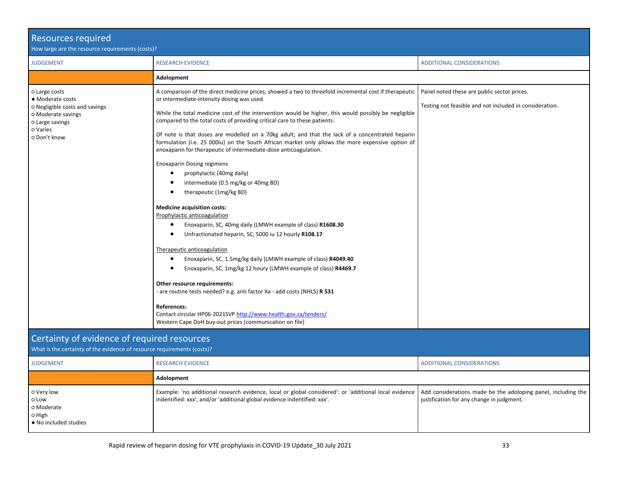| <b>Resources required</b><br>How large are the resource requirements (costs)?                                                            |                                                                                                                                                                                                                                                                                                                                                                                                                                                                                                                                                                                                                                                                                                                                                                                                                                                                                                                                                                                                                                                                                                                                                                                                                                                                                                                                                                                                 |                                                                                                        |
|------------------------------------------------------------------------------------------------------------------------------------------|-------------------------------------------------------------------------------------------------------------------------------------------------------------------------------------------------------------------------------------------------------------------------------------------------------------------------------------------------------------------------------------------------------------------------------------------------------------------------------------------------------------------------------------------------------------------------------------------------------------------------------------------------------------------------------------------------------------------------------------------------------------------------------------------------------------------------------------------------------------------------------------------------------------------------------------------------------------------------------------------------------------------------------------------------------------------------------------------------------------------------------------------------------------------------------------------------------------------------------------------------------------------------------------------------------------------------------------------------------------------------------------------------|--------------------------------------------------------------------------------------------------------|
| <b>JUDGEMENT</b>                                                                                                                         | <b>RESEARCH EVIDENCE</b>                                                                                                                                                                                                                                                                                                                                                                                                                                                                                                                                                                                                                                                                                                                                                                                                                                                                                                                                                                                                                                                                                                                                                                                                                                                                                                                                                                        | <b>ADDITIONAL CONSIDERATIONS</b>                                                                       |
|                                                                                                                                          | Adolopment                                                                                                                                                                                                                                                                                                                                                                                                                                                                                                                                                                                                                                                                                                                                                                                                                                                                                                                                                                                                                                                                                                                                                                                                                                                                                                                                                                                      |                                                                                                        |
| o Large costs<br>• Moderate costs<br>o Negligible costs and savings<br>O Moderate savings<br>o Large savings<br>o Varies<br>o Don't know | A comparison of the direct medicine prices, showed a two to threefold incremental cost if therapeutic<br>or intermediate-intensity dosing was used.<br>While the total medicine cost of the intervention would be higher, this would possibly be negligible<br>compared to the total costs of providing critical care to these patients.<br>Of note is that doses are modelled on a 70kg adult; and that the lack of a concentrated heparin<br>formulation (i.e. 25 000iu) on the South African market only allows the more expensive option of<br>enoxaparin for therapeutic of intermediate-dose anticoagulation.<br><b>Enoxaparin Dosing regimens</b><br>prophylactic (40mg daily)<br>intermediate (0.5 mg/kg or 40mg BD)<br>therapeutic (1mg/kg BD)<br><b>Medicine acquisition costs:</b><br>Prophylactic anticoagulation<br>Enoxaparin, SC, 40mg daily (LMWH example of class) R1608.30<br>٠<br>Unfractionated heparin, SC, 5000 iu 12 hourly R108.17<br>Therapeutic anticoagulation<br>Enoxaparin, SC, 1.5mg/kg daily (LMWH example of class) R4049.40<br>Enoxaparin, SC, 1mg/kg 12 houry (LMWH example of class) R4469.7<br>Other resource requirements:<br>- are routine tests needed? e.g. anti factor Xa - add costs (NHLS) R 531<br><b>References:</b><br>Contact circular HP06-2021SVP http://www.health.gov.za/tenders/<br>Western Cape DoH buy-out prices (communication on file) | Panel noted these are public sector prices.<br>Testing not feasible and not included in consideration. |
| Certainty of evidence of required resources<br>What is the certainty of the evidence of resource requirements (costs)?                   |                                                                                                                                                                                                                                                                                                                                                                                                                                                                                                                                                                                                                                                                                                                                                                                                                                                                                                                                                                                                                                                                                                                                                                                                                                                                                                                                                                                                 |                                                                                                        |
| <b>JUDGEMENT</b>                                                                                                                         | <b>RESEARCH EVIDENCE</b>                                                                                                                                                                                                                                                                                                                                                                                                                                                                                                                                                                                                                                                                                                                                                                                                                                                                                                                                                                                                                                                                                                                                                                                                                                                                                                                                                                        | <b>ADDITIONAL CONSIDERATIONS</b>                                                                       |

Example: 'no additional research evidence, local or global considered': or 'additional local evidence

indentified: xxx'; and/or 'additional global evidence indentified: xxx'.

**Adolopment**

○ Very low ○ Low ○ Moderate ○ High

● No included studies

Add considerations made be the adoloping panel, including the

justification for any change in judgment.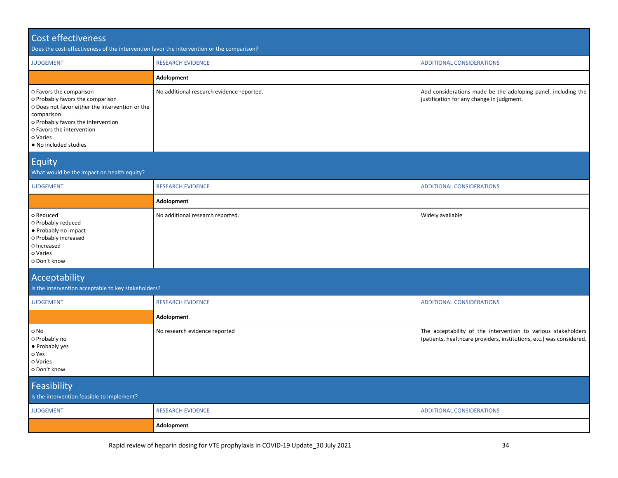| Cost effectiveness<br>Does the cost-effectiveness of the intervention favor the intervention or the comparison?                                                                                                                      |                                                                                                                                                         |                                                                                                                                       |  |  |
|--------------------------------------------------------------------------------------------------------------------------------------------------------------------------------------------------------------------------------------|---------------------------------------------------------------------------------------------------------------------------------------------------------|---------------------------------------------------------------------------------------------------------------------------------------|--|--|
| <b>JUDGEMENT</b>                                                                                                                                                                                                                     | <b>RESEARCH EVIDENCE</b>                                                                                                                                | <b>ADDITIONAL CONSIDERATIONS</b>                                                                                                      |  |  |
|                                                                                                                                                                                                                                      | Adolopment                                                                                                                                              |                                                                                                                                       |  |  |
| o Favors the comparison<br>o Probably favors the comparison<br>o Does not favor either the intervention or the<br>comparison<br>o Probably favors the intervention<br>o Favors the intervention<br>o Varies<br>. No included studies | No additional research evidence reported.<br>Add considerations made be the adoloping panel, including the<br>justification for any change in judgment. |                                                                                                                                       |  |  |
| Equity<br>What would be the impact on health equity?                                                                                                                                                                                 |                                                                                                                                                         |                                                                                                                                       |  |  |
| <b>JUDGEMENT</b>                                                                                                                                                                                                                     | <b>RESEARCH EVIDENCE</b>                                                                                                                                | <b>ADDITIONAL CONSIDERATIONS</b>                                                                                                      |  |  |
| Adolopment                                                                                                                                                                                                                           |                                                                                                                                                         |                                                                                                                                       |  |  |
| o Reduced<br>o Probably reduced<br>• Probably no impact<br>o Probably increased<br>o Increased<br>o Varies<br>o Don't know                                                                                                           | No additional research reported.                                                                                                                        | Widely available                                                                                                                      |  |  |
| Acceptability<br>Is the intervention acceptable to key stakeholders?                                                                                                                                                                 |                                                                                                                                                         |                                                                                                                                       |  |  |
| <b>JUDGEMENT</b>                                                                                                                                                                                                                     | <b>RESEARCH EVIDENCE</b>                                                                                                                                | <b>ADDITIONAL CONSIDERATIONS</b>                                                                                                      |  |  |
|                                                                                                                                                                                                                                      | Adolopment                                                                                                                                              |                                                                                                                                       |  |  |
| o No<br>o Probably no<br>• Probably yes<br>o Yes<br>o Varies<br>o Don't know                                                                                                                                                         | No research evidence reported                                                                                                                           | The acceptability of the intervention to various stakeholders<br>(patients, healthcare providers, institutions, etc.) was considered. |  |  |
| Feasibility<br>Is the intervention feasible to implement?                                                                                                                                                                            |                                                                                                                                                         |                                                                                                                                       |  |  |
| <b>JUDGEMENT</b>                                                                                                                                                                                                                     | <b>RESEARCH EVIDENCE</b>                                                                                                                                | <b>ADDITIONAL CONSIDERATIONS</b>                                                                                                      |  |  |
|                                                                                                                                                                                                                                      | Adolopment                                                                                                                                              |                                                                                                                                       |  |  |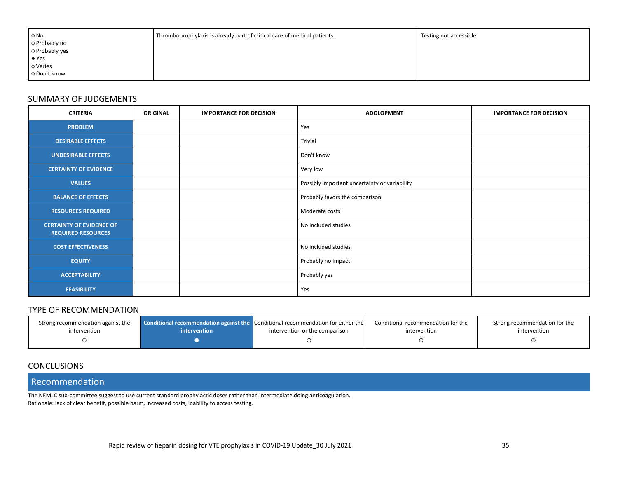| Thromboprophylaxis is already part of critical care of medical patients. | Testing not accessible |
|--------------------------------------------------------------------------|------------------------|
|                                                                          |                        |
|                                                                          |                        |
|                                                                          |                        |
|                                                                          |                        |
|                                                                          |                        |
|                                                                          |                        |

### SUMMARY OF JUDGEMENTS

| <b>CRITERIA</b>                                              | <b>ORIGINAL</b> | <b>IMPORTANCE FOR DECISION</b> | <b>ADOLOPMENT</b>                             | <b>IMPORTANCE FOR DECISION</b> |
|--------------------------------------------------------------|-----------------|--------------------------------|-----------------------------------------------|--------------------------------|
| <b>PROBLEM</b>                                               |                 |                                | Yes                                           |                                |
| <b>DESIRABLE EFFECTS</b>                                     |                 |                                | Trivial                                       |                                |
| <b>UNDESIRABLE EFFECTS</b>                                   |                 |                                | Don't know                                    |                                |
| <b>CERTAINTY OF EVIDENCE</b>                                 |                 |                                | Very low                                      |                                |
| <b>VALUES</b>                                                |                 |                                | Possibly important uncertainty or variability |                                |
| <b>BALANCE OF EFFECTS</b>                                    |                 |                                | Probably favors the comparison                |                                |
| <b>RESOURCES REQUIRED</b>                                    |                 |                                | Moderate costs                                |                                |
| <b>CERTAINTY OF EVIDENCE OF</b><br><b>REQUIRED RESOURCES</b> |                 |                                | No included studies                           |                                |
| <b>COST EFFECTIVENESS</b>                                    |                 |                                | No included studies                           |                                |
| <b>EQUITY</b>                                                |                 |                                | Probably no impact                            |                                |
| <b>ACCEPTABILITY</b>                                         |                 |                                | Probably yes                                  |                                |
| <b>FEASIBILITY</b>                                           |                 |                                | Yes                                           |                                |

#### TYPE OF RECOMMENDATION

| Strong recommendation against the | intervention | Conditional recommendation against the Conditional recommendation for either the | Conditional recommendation for the | Strong recommendation for the |
|-----------------------------------|--------------|----------------------------------------------------------------------------------|------------------------------------|-------------------------------|
| intervention                      |              | intervention or the comparison                                                   | intervention                       | intervention                  |
|                                   |              |                                                                                  |                                    |                               |

### **CONCLUSIONS**

Recommendation

The NEMLC sub-committee suggest to use current standard prophylactic doses rather than intermediate doing anticoagulation. Rationale: lack of clear benefit, possible harm, increased costs, inability to access testing.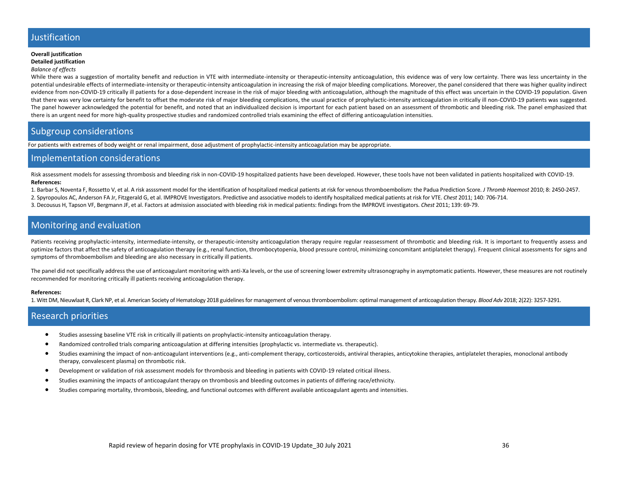# Justification

#### **Overall justification Detailed justification**

#### *Balance of effects*

While there was a suggestion of mortality benefit and reduction in VTE with intermediate-intensity or therapeutic-intensity anticoagulation, this evidence was of very low certainty. There was less uncertainty in the potential undesirable effects of intermediate-intensity or therapeutic-intensity anticoagulation in increasing the risk of major bleeding complications. Moreover, the panel considered that there was higher quality indirect evidence from non-COVID-19 critically ill patients for a dose-dependent increase in the risk of major bleeding with anticoagulation, although the magnitude of this effect was uncertain in the COVID-19 population. Given that there was very low certainty for benefit to offset the moderate risk of major bleeding complications, the usual practice of prophylactic-intensity anticoagulation in critically ill non-COVID-19 patients was suggested. The panel however acknowledged the potential for benefit, and noted that an individualized decision is important for each patient based on an assessment of thrombotic and bleeding risk. The panel emphasized that there is an urgent need for more high-quality prospective studies and randomized controlled trials examining the effect of differing anticoagulation intensities.

### Subgroup considerations

For patients with extremes of body weight or renal impairment, dose adjustment of prophylactic-intensity anticoagulation may be appropriate.

#### Implementation considerations

Risk assessment models for assessing thrombosis and bleeding risk in non-COVID-19 hospitalized patients have been developed. However, these tools have not been validated in patients hospitalized with COVID-19. **References:**

1. Barbar S, Noventa F, Rossetto V, et al. A risk assssment model for the identification of hospitalized medical patients at risk for venous thromboembolism: the Padua Prediction Score. J Thromb Haemost 2010; 8: 2450-2457.

- 2. Spyropoulos AC, Anderson FA Jr, Fitzgerald G, et al. IMPROVE Investigators. Predictive and associative models to identify hospitalized medical patients at risk for VTE. *Chest* 2011; 140: 706-714.
- 3. Decousus H, Tapson VF, Bergmann JF, et al. Factors at admission associated with bleeding risk in medical patients: findings from the IMPROVE investigators. *Chest* 2011; 139: 69-79.

### Monitoring and evaluation

Patients receiving prophylactic-intensity, intermediate-intensity, or therapeutic-intensity anticoagulation therapy require regular reassessment of thrombotic and bleeding risk. It is important to frequently assess and optimize factors that affect the safety of anticoagulation therapy (e.g., renal function, thrombocytopenia, blood pressure control, minimizing concomitant antiplatelet therapy). Frequent clinical assessments for signs and symptoms of thromboembolism and bleeding are also necessary in critically ill patients.

The panel did not specifically address the use of anticoagulant monitoring with anti-Xa levels, or the use of screening lower extremity ultrasonography in asymptomatic patients. However, these measures are not routinely recommended for monitoring critically ill patients receiving anticoagulation therapy.

#### **References:**

1. Witt DM, Nieuwlaat R, Clark NP, et al. American Society of Hematology 2018 guidelines for management of venous thromboembolism: optimal management of anticoagulation therapy. *Blood Adv* 2018; 2(22): 3257-3291.

#### Research priorities

- Studies assessing baseline VTE risk in critically ill patients on prophylactic-intensity anticoagulation therapy.
- Randomized controlled trials comparing anticoagulation at differing intensities (prophylactic vs. intermediate vs. therapeutic).
- Studies examining the impact of non-anticoagulant interventions (e.g., anti-complement therapy, corticosteroids, antiviral therapies, anticytokine therapies, antiplatelet therapies, monoclonal antibody therapy, convalescent plasma) on thrombotic risk.
- Development or validation of risk assessment models for thrombosis and bleeding in patients with COVID-19 related critical illness.
- Studies examining the impacts of anticoagulant therapy on thrombosis and bleeding outcomes in patients of differing race/ethnicity.
- Studies comparing mortality, thrombosis, bleeding, and functional outcomes with different available anticoagulant agents and intensities.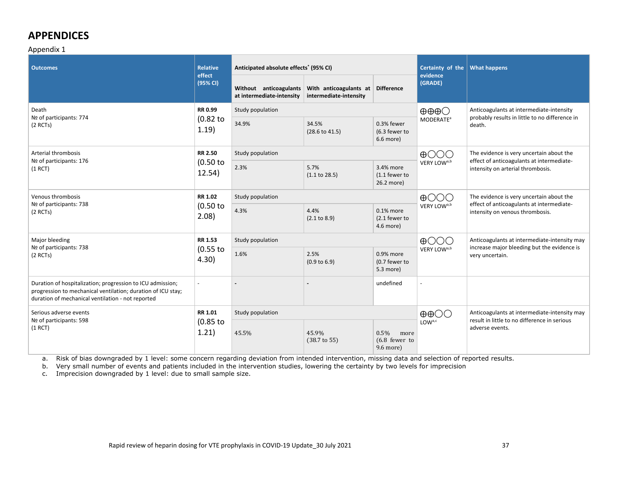# **APPENDICES**

#### Appendix 1

| <b>Outcomes</b>                                                                                                                                                                 | <b>Relative</b><br>effect             | Anticipated absolute effects <sup>*</sup> (95% CI)  |                                                  |                                                 | Certainty of the<br>evidence      | <b>What happens</b>                                                                   |
|---------------------------------------------------------------------------------------------------------------------------------------------------------------------------------|---------------------------------------|-----------------------------------------------------|--------------------------------------------------|-------------------------------------------------|-----------------------------------|---------------------------------------------------------------------------------------|
|                                                                                                                                                                                 | (95% CI)                              | Without anticoagulants<br>at intermediate-intensity | With anticoagulants at<br>intermediate-intensity | <b>Difference</b>                               | (GRADE)                           |                                                                                       |
| Death<br>Nº of participants: 774                                                                                                                                                | RR 0.99<br>$(0.82$ to<br>1.19)        | Study population                                    |                                                  |                                                 | $\oplus \oplus \oplus \bigcirc$   | Anticoagulants at intermediate-intensity                                              |
| $(2$ RCTs)                                                                                                                                                                      |                                       | 34.9%                                               | 34.5%<br>$(28.6 \text{ to } 41.5)$               | 0.3% fewer<br>(6.3 fewer to<br>6.6 more)        | MODERATE <sup>a</sup>             | probably results in little to no difference in<br>death.                              |
| Arterial thrombosis                                                                                                                                                             | <b>RR 2.50</b>                        | Study population                                    |                                                  |                                                 | $\bigoplus$ $\bigodot$ $\bigodot$ | The evidence is very uncertain about the                                              |
| Nº of participants: 176<br>$(1$ RCT)                                                                                                                                            | $(0.50)$ to<br>12.54)                 | 2.3%                                                | 5.7%<br>(1.1 to 28.5)                            | 3.4% more<br>(1.1 fewer to<br>26.2 more)        | VERY LOW <sup>a,b</sup>           | effect of anticoagulants at intermediate-<br>intensity on arterial thrombosis.        |
| Venous thrombosis<br>Nº of participants: 738                                                                                                                                    | <b>RR 1.02</b><br>$(0.50)$ to<br>2.08 | Study population                                    |                                                  |                                                 | $\bigoplus$ $\bigodot$ $\bigodot$ | The evidence is very uncertain about the<br>effect of anticoagulants at intermediate- |
| $(2$ RCTs)                                                                                                                                                                      |                                       | 4.3%                                                | 4.4%<br>(2.1 to 8.9)                             | 0.1% more<br>(2.1 fewer to<br>4.6 more)         | VERY LOW <sup>a,b</sup>           | intensity on venous thrombosis.                                                       |
| Major bleeding                                                                                                                                                                  | RR 1.53<br>$(0.55$ to<br>4.30)        | Study population                                    |                                                  |                                                 | $\bigoplus$ OOO                   | Anticoagulants at intermediate-intensity may                                          |
| Nº of participants: 738<br>$(2$ RCTs)                                                                                                                                           |                                       | 1.6%                                                | 2.5%<br>(0.9 to 6.9)                             | 0.9% more<br>(0.7 fewer to<br>5.3 more)         | VERY LOW <sup>a,b</sup>           | increase major bleeding but the evidence is<br>very uncertain.                        |
| Duration of hospitalization; progression to ICU admission;<br>progression to mechanical ventilation; duration of ICU stay;<br>duration of mechanical ventilation - not reported | $\overline{\phantom{a}}$              |                                                     |                                                  | undefined                                       |                                   |                                                                                       |
| Serious adverse events<br>Nº of participants: 598                                                                                                                               | RR 1.01                               | Study population                                    |                                                  |                                                 | $\oplus$ $\oplus$                 | Anticoagulants at intermediate-intensity may                                          |
| $(1$ RCT)                                                                                                                                                                       | $(0.85$ to<br>1.21)                   | 45.5%                                               | 45.9%<br>$(38.7 \text{ to } 55)$                 | 0.5%<br>more<br>$(6.8)$ fewer to<br>$9.6$ more) | LOWa,c                            | result in little to no difference in serious<br>adverse events.                       |

a. Risk of bias downgraded by 1 level: some concern regarding deviation from intended intervention, missing data and selection of reported results.

b. Very small number of events and patients included in the intervention studies, lowering the certainty by two levels for imprecision

c. Imprecision downgraded by 1 level: due to small sample size.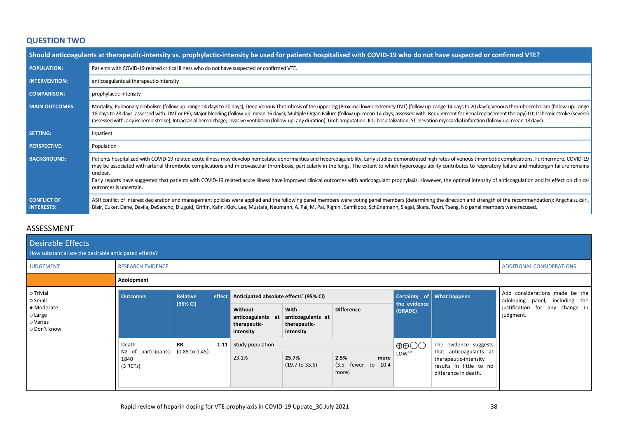# **QUESTION TWO**

|                                         | Should anticoagulants at therapeutic-intensity vs. prophylactic-intensity be used for patients hospitalised with COVID-19 who do not have suspected or confirmed VTE?                                                                                                                                                                                                                                                                                                                                                                                                                                                                                                                                                     |
|-----------------------------------------|---------------------------------------------------------------------------------------------------------------------------------------------------------------------------------------------------------------------------------------------------------------------------------------------------------------------------------------------------------------------------------------------------------------------------------------------------------------------------------------------------------------------------------------------------------------------------------------------------------------------------------------------------------------------------------------------------------------------------|
| <b>POPULATION:</b>                      | Patients with COVID-19 related critical illness who do not have suspected or confirmed VTE.                                                                                                                                                                                                                                                                                                                                                                                                                                                                                                                                                                                                                               |
| <b>INTERVENTION:</b>                    | anticoagulants at therapeutic-intensity                                                                                                                                                                                                                                                                                                                                                                                                                                                                                                                                                                                                                                                                                   |
| <b>COMPARISON:</b>                      | prophylactic-intensity                                                                                                                                                                                                                                                                                                                                                                                                                                                                                                                                                                                                                                                                                                    |
| <b>MAIN OUTCOMES:</b>                   | Mortality; Pulmonary embolism (follow-up: range 14 days to 20 days); Deep Venous Thrombosis of the upper leg (Proximal lower extremity DVT) (follow up: range 14 days to 20 days); Venous thromboembolism (follow-up: range<br>18 days to 28 days; assessed with: DVT or PE); Major bleeding (follow-up: mean 16 days); Multiple Organ Failure (follow up: mean 14 days; assessed with: Requirement for Renal replacement therapy) 0 t; Ischemic stroke (seve<br>(assessed with: any ischemic stroke); Intracranial hemorrhage; Invasive ventilation (follow-up: any duration); Limb amputation; ICU hospitalization; ST-elevation myocardial infarction (follow-up: mean 18 days).                                       |
| <b>SETTING:</b>                         | Inpatient                                                                                                                                                                                                                                                                                                                                                                                                                                                                                                                                                                                                                                                                                                                 |
| <b>PERSPECTIVE:</b>                     | Population                                                                                                                                                                                                                                                                                                                                                                                                                                                                                                                                                                                                                                                                                                                |
| <b>BACKGROUND:</b>                      | Patients hospitalized with COVID-19 related acute illness may develop hemostatic abnormalities and hypercoagulability. Early studies demonstrated high rates of venous thrombotic complications. Furthermore, COVID-19<br>may be associated with arterial thrombotic complications and microvascular thrombosis, particularly in the lungs. The extent to which hypercoagulability contributes to respiratory failure and multiorgan failure remains<br>unclear.<br>Early reports have suggested that patients with COVID-19 related acute illness have improved clinical outcomes with anticoagulant prophylaxis. However, the optimal intensity of anticoagulation and its effect on clinical<br>outcomes is uncertain. |
| <b>CONFLICT OF</b><br><b>INTERESTS:</b> | ASH conflict of interest declaration and management policies were applied and the following panel members were voting panel members (determining the direction and strength of the recommendation): Angchaisuksiri,<br>Blair, Cuker, Dane, Davila, DeSancho, Diuguid, Griffin, Kahn, Klok, Lee, Mustafa, Neumann, A. Pai, M. Pai, Righini, Sanfilippo, Schünemann, Siegal, Skara, Touri, Tseng. No panel members were recused.                                                                                                                                                                                                                                                                                            |

# ASSESSMENT

| Desirable Effects<br>How substantial are the desirable anticipated effects? |                                            |                           |        |                                                           |                                                        |                                                   |                           |                                                                                                    |                                                                  |
|-----------------------------------------------------------------------------|--------------------------------------------|---------------------------|--------|-----------------------------------------------------------|--------------------------------------------------------|---------------------------------------------------|---------------------------|----------------------------------------------------------------------------------------------------|------------------------------------------------------------------|
| <b>JUDGEMENT</b>                                                            | <b>RESEARCH EVIDENCE</b>                   |                           |        |                                                           |                                                        |                                                   | ADDITIONAL CONSIDERATIONS |                                                                                                    |                                                                  |
|                                                                             | Adolopment                                 |                           |        |                                                           |                                                        |                                                   |                           |                                                                                                    |                                                                  |
| o Trivial<br>o Small<br>• Moderate<br>o Large<br>o Varies<br>o Don't know   | <b>Outcomes</b>                            | Relative                  | effect | Anticipated absolute effects <sup>*</sup> (95% CI)        |                                                        |                                                   |                           | Certainty of What happens                                                                          | Add considerations made be the<br>adoloping panel, including the |
|                                                                             |                                            | (95% CI)                  |        | Without<br>anticoagulants at<br>therapeutic-<br>intensity | With<br>anticoagulants at<br>therapeutic-<br>intensity | <b>Difference</b>                                 | the evidence<br>(GRADE)   | justification for any change in<br>judgment.                                                       |                                                                  |
|                                                                             | Death                                      | <b>RR</b>                 | 1.11   | Study population                                          |                                                        |                                                   | $\oplus$ $\oplus$         | The evidence suggests                                                                              |                                                                  |
|                                                                             | participants:<br>Nº of<br>1840<br>(3 RCTs) | $(0.85 \text{ to } 1.45)$ |        | 23.1%                                                     | 25.7%<br>$(19.7 \text{ to } 33.6)$                     | 2.5%<br>more<br>$(3.5)$ fewer to<br>10.4<br>more) | LOW <sup>a,b</sup>        | that anticoagulants at<br>therapeutic-intensity<br>results in little to no<br>difference in death. |                                                                  |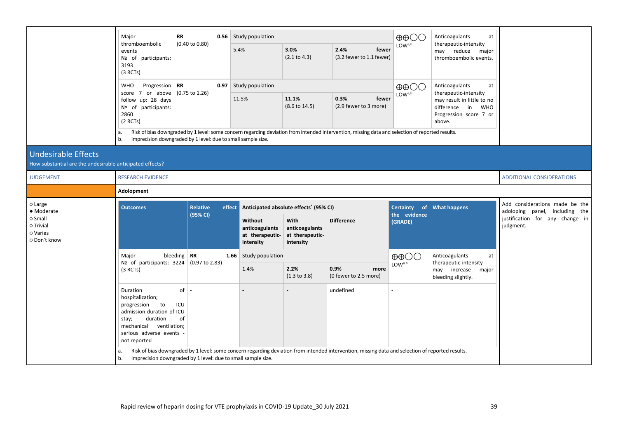|                                                                                        | Major                                                                                                                                                                 | RR                     |        | <b>0.56</b> Study population                              |                                                        |                                                                                                                                                                                            |                                   | Anticoagulants<br>at                                                                                                                 |                                                                                |
|----------------------------------------------------------------------------------------|-----------------------------------------------------------------------------------------------------------------------------------------------------------------------|------------------------|--------|-----------------------------------------------------------|--------------------------------------------------------|--------------------------------------------------------------------------------------------------------------------------------------------------------------------------------------------|-----------------------------------|--------------------------------------------------------------------------------------------------------------------------------------|--------------------------------------------------------------------------------|
|                                                                                        | thromboembolic<br>events<br>Nº of participants:<br>3193<br>$(3$ RCTs)                                                                                                 | (0.40 to 0.80)         |        | 5.4%                                                      | 3.0%<br>(2.1 to 4.3)                                   | 2.4%<br>fewer<br>(3.2 fewer to 1.1 fewer)                                                                                                                                                  | LOW <sub>a,b</sub>                | therapeutic-intensity<br>may reduce<br>major<br>thromboembolic events.                                                               |                                                                                |
|                                                                                        | Progression<br><b>RR</b><br><b>WHO</b><br>score 7 or above $(0.75 \text{ to } 1.26)$<br>follow up: 28 days<br>Nº of participants:<br>2860<br>$(2$ RCTs)<br>a.         |                        | 0.97   | Study population                                          |                                                        |                                                                                                                                                                                            | $\oplus \oplus \bigcirc \bigcirc$ | Anticoagulants<br>at<br>therapeutic-intensity<br>may result in little to no<br>difference in WHO<br>Progression score 7 or<br>above. |                                                                                |
|                                                                                        |                                                                                                                                                                       |                        |        | 11.5%                                                     | 11.1%<br>$(8.6 \text{ to } 14.5)$                      | 0.3%<br>fewer<br>(2.9 fewer to 3 more)<br>Risk of bias downgraded by 1 level: some concern regarding deviation from intended intervention, missing data and selection of reported results. | LOWa,b                            |                                                                                                                                      |                                                                                |
|                                                                                        | Imprecision downgraded by 1 level: due to small sample size.<br>b.                                                                                                    |                        |        |                                                           |                                                        |                                                                                                                                                                                            |                                   |                                                                                                                                      |                                                                                |
| <b>Undesirable Effects</b><br>How substantial are the undesirable anticipated effects? |                                                                                                                                                                       |                        |        |                                                           |                                                        |                                                                                                                                                                                            |                                   |                                                                                                                                      |                                                                                |
| <b>JUDGEMENT</b>                                                                       | <b>RESEARCH EVIDENCE</b>                                                                                                                                              |                        |        |                                                           |                                                        |                                                                                                                                                                                            | <b>ADDITIONAL CONSIDERATIONS</b>  |                                                                                                                                      |                                                                                |
|                                                                                        | Adolopment                                                                                                                                                            |                        |        |                                                           |                                                        |                                                                                                                                                                                            |                                   |                                                                                                                                      |                                                                                |
|                                                                                        |                                                                                                                                                                       |                        |        |                                                           |                                                        |                                                                                                                                                                                            |                                   |                                                                                                                                      |                                                                                |
| o Large                                                                                | <b>Outcomes</b>                                                                                                                                                       | Relative               | effect |                                                           | Anticipated absolute effects <sup>*</sup> (95% CI)     |                                                                                                                                                                                            | Certainty of                      | <b>What happens</b>                                                                                                                  | Add considerations made be the                                                 |
| • Moderate<br>o Small<br>o Trivial<br>o Varies<br>o Don't know                         |                                                                                                                                                                       | (95% CI)               |        | Without<br>anticoagulants<br>at therapeutic-<br>intensity | With<br>anticoagulants<br>at therapeutic-<br>intensity | <b>Difference</b>                                                                                                                                                                          | the evidence<br>(GRADE)           |                                                                                                                                      | adoloping panel, including the<br>justification for any change in<br>judgment. |
|                                                                                        | Major                                                                                                                                                                 | bleeding $\mathbf{RR}$ | 1.66   | Study population                                          |                                                        |                                                                                                                                                                                            | $\oplus$ $\oplus$                 | Anticoagulants<br>at                                                                                                                 |                                                                                |
|                                                                                        | Nº of participants: $3224$ (0.97 to 2.83)<br>(3 RCTs)                                                                                                                 |                        |        | 1.4%                                                      | 2.2%<br>$(1.3 \text{ to } 3.8)$                        | 0.9%<br>more<br>(0 fewer to 2.5 more)                                                                                                                                                      | LOWa,b                            | therapeutic-intensity<br>may increase major<br>bleeding slightly.                                                                    |                                                                                |
|                                                                                        | Duration<br>hospitalization;<br>progression to<br>admission duration of ICU<br>duration<br>stay;<br>mechanical ventilation;<br>serious adverse events<br>not reported | of<br>ICU<br>of        |        |                                                           |                                                        | undefined                                                                                                                                                                                  |                                   |                                                                                                                                      |                                                                                |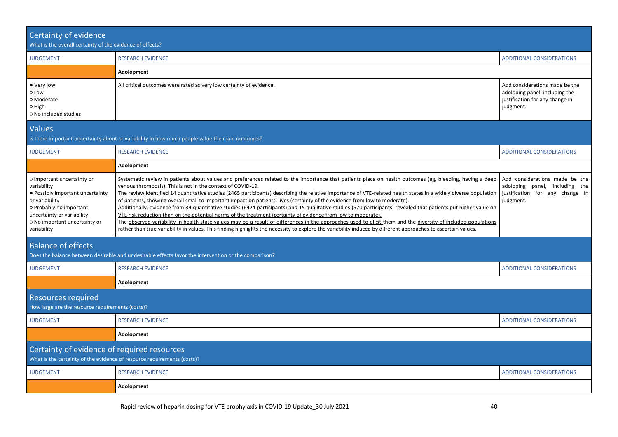| Certainty of evidence<br>What is the overall certainty of the evidence of effects?                                                                                                                       |                                                                                                                                                                                                                                                                                                                                                                                                                                                                                                                                                                                                                                                                                                                                                                                                                                                                                                                                                                                                                                                                                                                                                    |                                                                                                                  |  |  |  |  |  |
|----------------------------------------------------------------------------------------------------------------------------------------------------------------------------------------------------------|----------------------------------------------------------------------------------------------------------------------------------------------------------------------------------------------------------------------------------------------------------------------------------------------------------------------------------------------------------------------------------------------------------------------------------------------------------------------------------------------------------------------------------------------------------------------------------------------------------------------------------------------------------------------------------------------------------------------------------------------------------------------------------------------------------------------------------------------------------------------------------------------------------------------------------------------------------------------------------------------------------------------------------------------------------------------------------------------------------------------------------------------------|------------------------------------------------------------------------------------------------------------------|--|--|--|--|--|
| <b>JUDGEMENT</b>                                                                                                                                                                                         | <b>RESEARCH EVIDENCE</b>                                                                                                                                                                                                                                                                                                                                                                                                                                                                                                                                                                                                                                                                                                                                                                                                                                                                                                                                                                                                                                                                                                                           | <b>ADDITIONAL CONSIDERATIONS</b>                                                                                 |  |  |  |  |  |
|                                                                                                                                                                                                          | Adolopment                                                                                                                                                                                                                                                                                                                                                                                                                                                                                                                                                                                                                                                                                                                                                                                                                                                                                                                                                                                                                                                                                                                                         |                                                                                                                  |  |  |  |  |  |
| • Very low<br>o Low<br>o Moderate<br>0 High<br>O No included studies                                                                                                                                     | All critical outcomes were rated as very low certainty of evidence.                                                                                                                                                                                                                                                                                                                                                                                                                                                                                                                                                                                                                                                                                                                                                                                                                                                                                                                                                                                                                                                                                | Add considerations made be the<br>adoloping panel, including the<br>justification for any change in<br>judgment. |  |  |  |  |  |
| <b>Values</b>                                                                                                                                                                                            | Is there important uncertainty about or variability in how much people value the main outcomes?                                                                                                                                                                                                                                                                                                                                                                                                                                                                                                                                                                                                                                                                                                                                                                                                                                                                                                                                                                                                                                                    |                                                                                                                  |  |  |  |  |  |
| <b>JUDGEMENT</b>                                                                                                                                                                                         | <b>RESEARCH EVIDENCE</b>                                                                                                                                                                                                                                                                                                                                                                                                                                                                                                                                                                                                                                                                                                                                                                                                                                                                                                                                                                                                                                                                                                                           | <b>ADDITIONAL CONSIDERATIONS</b>                                                                                 |  |  |  |  |  |
|                                                                                                                                                                                                          | Adolopment                                                                                                                                                                                                                                                                                                                                                                                                                                                                                                                                                                                                                                                                                                                                                                                                                                                                                                                                                                                                                                                                                                                                         |                                                                                                                  |  |  |  |  |  |
| o Important uncertainty or<br>variability<br>• Possibly important uncertainty<br>or variability<br>o Probably no important<br>uncertainty or variability<br>o No important uncertainty or<br>variability | Systematic review in patients about values and preferences related to the importance that patients place on health outcomes (eg, bleeding, having a deep<br>venous thrombosis). This is not in the context of COVID-19.<br>The review identified 14 quantitative studies (2465 participants) describing the relative importance of VTE-related health states in a widely diverse population<br>of patients, showing overall small to important impact on patients' lives (certainty of the evidence from low to moderate).<br>Additionally, evidence from 34 quantitative studies (6424 participants) and 15 qualitative studies (570 participants) revealed that patients put higher value on<br>VTE risk reduction than on the potential harms of the treatment (certainty of evidence from low to moderate).<br>The observed variability in health state values may be a result of differences in the approaches used to elicit them and the diversity of included populations<br>rather than true variability in values. This finding highlights the necessity to explore the variability induced by different approaches to ascertain values. | Add considerations made be the<br>adoloping panel, including the<br>justification for any change in<br>judgment. |  |  |  |  |  |
| <b>Balance of effects</b>                                                                                                                                                                                | Does the balance between desirable and undesirable effects favor the intervention or the comparison?                                                                                                                                                                                                                                                                                                                                                                                                                                                                                                                                                                                                                                                                                                                                                                                                                                                                                                                                                                                                                                               |                                                                                                                  |  |  |  |  |  |
| <b>JUDGEMENT</b>                                                                                                                                                                                         | <b>RESEARCH EVIDENCE</b>                                                                                                                                                                                                                                                                                                                                                                                                                                                                                                                                                                                                                                                                                                                                                                                                                                                                                                                                                                                                                                                                                                                           | <b>ADDITIONAL CONSIDERATIONS</b>                                                                                 |  |  |  |  |  |
|                                                                                                                                                                                                          | Adolopment                                                                                                                                                                                                                                                                                                                                                                                                                                                                                                                                                                                                                                                                                                                                                                                                                                                                                                                                                                                                                                                                                                                                         |                                                                                                                  |  |  |  |  |  |
| <b>Resources required</b><br>How large are the resource requirements (costs)?                                                                                                                            |                                                                                                                                                                                                                                                                                                                                                                                                                                                                                                                                                                                                                                                                                                                                                                                                                                                                                                                                                                                                                                                                                                                                                    |                                                                                                                  |  |  |  |  |  |
| <b>JUDGEMENT</b>                                                                                                                                                                                         | <b>RESEARCH EVIDENCE</b>                                                                                                                                                                                                                                                                                                                                                                                                                                                                                                                                                                                                                                                                                                                                                                                                                                                                                                                                                                                                                                                                                                                           | <b>ADDITIONAL CONSIDERATIONS</b>                                                                                 |  |  |  |  |  |
|                                                                                                                                                                                                          | Adolopment                                                                                                                                                                                                                                                                                                                                                                                                                                                                                                                                                                                                                                                                                                                                                                                                                                                                                                                                                                                                                                                                                                                                         |                                                                                                                  |  |  |  |  |  |
| Certainty of evidence of required resources<br>What is the certainty of the evidence of resource requirements (costs)?                                                                                   |                                                                                                                                                                                                                                                                                                                                                                                                                                                                                                                                                                                                                                                                                                                                                                                                                                                                                                                                                                                                                                                                                                                                                    |                                                                                                                  |  |  |  |  |  |
| <b>JUDGEMENT</b>                                                                                                                                                                                         | <b>RESEARCH EVIDENCE</b>                                                                                                                                                                                                                                                                                                                                                                                                                                                                                                                                                                                                                                                                                                                                                                                                                                                                                                                                                                                                                                                                                                                           | <b>ADDITIONAL CONSIDERATIONS</b>                                                                                 |  |  |  |  |  |
|                                                                                                                                                                                                          | Adolopment                                                                                                                                                                                                                                                                                                                                                                                                                                                                                                                                                                                                                                                                                                                                                                                                                                                                                                                                                                                                                                                                                                                                         |                                                                                                                  |  |  |  |  |  |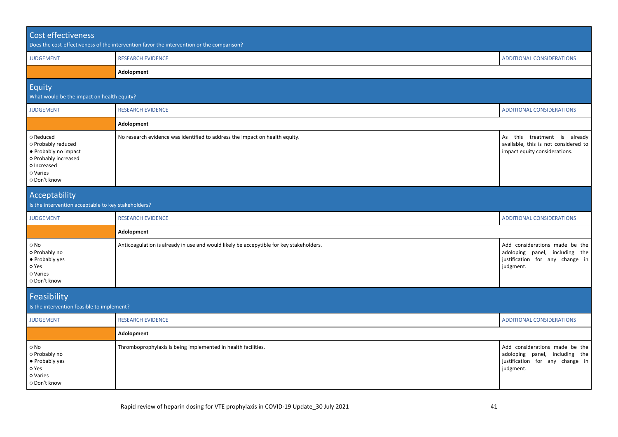| Cost effectiveness                                                                                                         | Does the cost-effectiveness of the intervention favor the intervention or the comparison? |                                                                                                                  |
|----------------------------------------------------------------------------------------------------------------------------|-------------------------------------------------------------------------------------------|------------------------------------------------------------------------------------------------------------------|
| <b>JUDGEMENT</b>                                                                                                           | <b>RESEARCH EVIDENCE</b>                                                                  | <b>ADDITIONAL CONSIDERATIONS</b>                                                                                 |
|                                                                                                                            | Adolopment                                                                                |                                                                                                                  |
| Equity<br>What would be the impact on health equity?                                                                       |                                                                                           |                                                                                                                  |
| <b>JUDGEMENT</b>                                                                                                           | <b>RESEARCH EVIDENCE</b>                                                                  | <b>ADDITIONAL CONSIDERATIONS</b>                                                                                 |
|                                                                                                                            | Adolopment                                                                                |                                                                                                                  |
| o Reduced<br>o Probably reduced<br>• Probably no impact<br>o Probably increased<br>o Increased<br>o Varies<br>o Don't know | No research evidence was identified to address the impact on health equity.               | As this treatment is already<br>available, this is not considered to<br>impact equity considerations.            |
| Acceptability<br>Is the intervention acceptable to key stakeholders?                                                       |                                                                                           |                                                                                                                  |
| <b>JUDGEMENT</b>                                                                                                           | <b>RESEARCH EVIDENCE</b>                                                                  | <b>ADDITIONAL CONSIDERATIONS</b>                                                                                 |
|                                                                                                                            | Adolopment                                                                                |                                                                                                                  |
| o No<br>o Probably no<br>• Probably yes<br>o Yes<br>o Varies<br>o Don't know                                               | Anticoagulation is already in use and would likely be accepytible for key stakeholders.   | Add considerations made be the<br>adoloping panel, including the<br>justification for any change in<br>judgment. |
| Feasibility<br>Is the intervention feasible to implement?                                                                  |                                                                                           |                                                                                                                  |
| <b>JUDGEMENT</b>                                                                                                           | <b>RESEARCH EVIDENCE</b>                                                                  | <b>ADDITIONAL CONSIDERATIONS</b>                                                                                 |
|                                                                                                                            | Adolopment                                                                                |                                                                                                                  |
| o No<br>o Probably no<br>• Probably yes<br>o Yes<br>o Varies<br>o Don't know                                               | Thromboprophylaxis is being implemented in health facilities.                             | Add considerations made be the<br>adoloping panel, including the<br>justification for any change in<br>judgment. |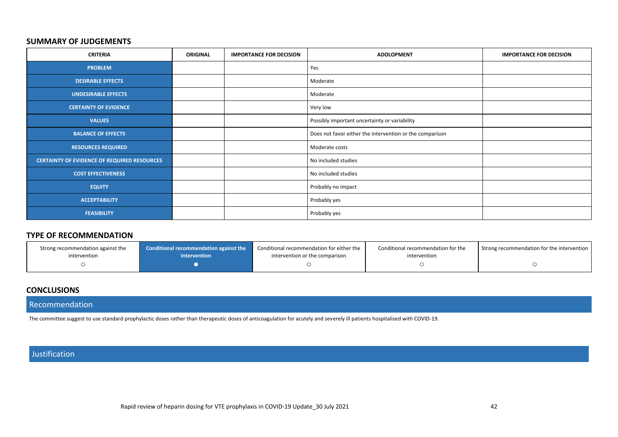#### **SUMMARY OF JUDGEMENTS**

| <b>CRITERIA</b>                                    | <b>ORIGINAL</b> | <b>IMPORTANCE FOR DECISION</b> | <b>ADOLOPMENT</b>                                        | <b>IMPORTANCE FOR DECISION</b> |
|----------------------------------------------------|-----------------|--------------------------------|----------------------------------------------------------|--------------------------------|
| <b>PROBLEM</b>                                     |                 |                                | Yes                                                      |                                |
| <b>DESIRABLE EFFECTS</b>                           |                 |                                | Moderate                                                 |                                |
| <b>UNDESIRABLE EFFECTS</b>                         |                 |                                | Moderate                                                 |                                |
| <b>CERTAINTY OF EVIDENCE</b>                       |                 |                                | Very low                                                 |                                |
| <b>VALUES</b>                                      |                 |                                | Possibly important uncertainty or variability            |                                |
| <b>BALANCE OF EFFECTS</b>                          |                 |                                | Does not favor either the intervention or the comparison |                                |
| <b>RESOURCES REQUIRED</b>                          |                 |                                | Moderate costs                                           |                                |
| <b>CERTAINTY OF EVIDENCE OF REQUIRED RESOURCES</b> |                 |                                | No included studies                                      |                                |
| <b>COST EFFECTIVENESS</b>                          |                 |                                | No included studies                                      |                                |
| <b>EQUITY</b>                                      |                 |                                | Probably no impact                                       |                                |
| <b>ACCEPTABILITY</b>                               |                 |                                | Probably yes                                             |                                |
| <b>FEASIBILITY</b>                                 |                 |                                | Probably yes                                             |                                |

### **TYPE OF RECOMMENDATION**

| Strong recommendation against the | <b>Conditional recommendation against the</b> | Conditional recommendation for either the | Conditional recommendation for the | Strong recommendation for the intervention |
|-----------------------------------|-----------------------------------------------|-------------------------------------------|------------------------------------|--------------------------------------------|
| intervention                      | <i>intervention</i>                           | intervention or the comparison            | intervention                       |                                            |
|                                   |                                               |                                           |                                    |                                            |

# **CONCLUSIONS**

#### Recommendation

The committee suggest to use standard prophylactic doses rather than therapeutic doses of anticoagulation for acutely and severely ill patients hospitalised with COVID-19.

# Justification